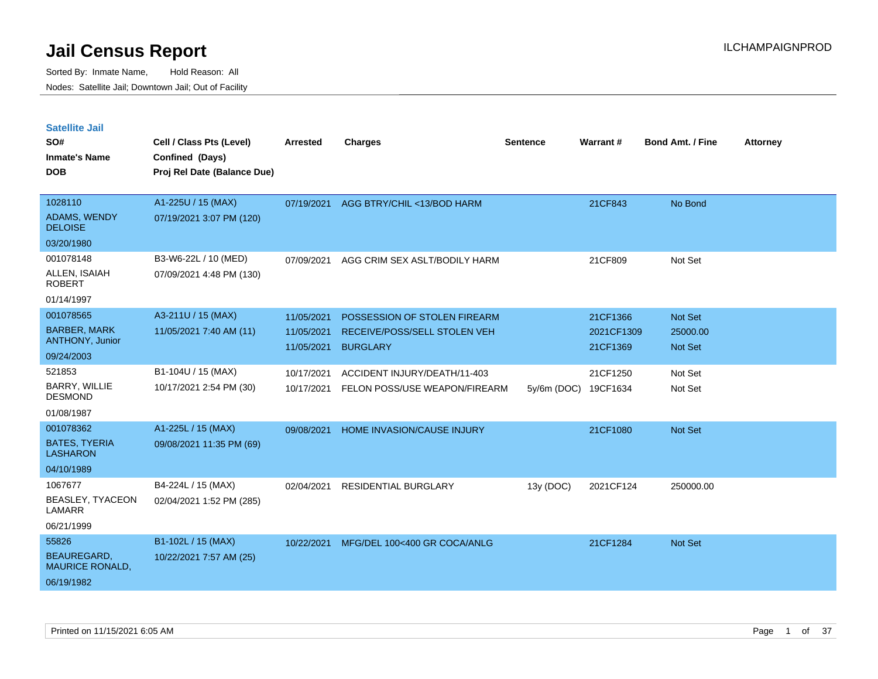| <b>Satellite Jail</b><br>SO#<br><b>Inmate's Name</b><br><b>DOB</b>                     | Cell / Class Pts (Level)<br>Confined (Days)<br>Proj Rel Date (Balance Due) | <b>Arrested</b>                        | <b>Charges</b>                                                                  | Sentence    | <b>Warrant#</b>                    | <b>Bond Amt. / Fine</b>               | <b>Attorney</b> |
|----------------------------------------------------------------------------------------|----------------------------------------------------------------------------|----------------------------------------|---------------------------------------------------------------------------------|-------------|------------------------------------|---------------------------------------|-----------------|
| 1028110<br>ADAMS, WENDY<br><b>DELOISE</b>                                              | A1-225U / 15 (MAX)<br>07/19/2021 3:07 PM (120)                             | 07/19/2021                             | AGG BTRY/CHIL <13/BOD HARM                                                      |             | 21CF843                            | No Bond                               |                 |
| 03/20/1980<br>001078148<br>ALLEN, ISAIAH<br><b>ROBERT</b>                              | B3-W6-22L / 10 (MED)<br>07/09/2021 4:48 PM (130)                           | 07/09/2021                             | AGG CRIM SEX ASLT/BODILY HARM                                                   |             | 21CF809                            | Not Set                               |                 |
| 01/14/1997<br>001078565<br><b>BARBER, MARK</b><br><b>ANTHONY, Junior</b><br>09/24/2003 | A3-211U / 15 (MAX)<br>11/05/2021 7:40 AM (11)                              | 11/05/2021<br>11/05/2021<br>11/05/2021 | POSSESSION OF STOLEN FIREARM<br>RECEIVE/POSS/SELL STOLEN VEH<br><b>BURGLARY</b> |             | 21CF1366<br>2021CF1309<br>21CF1369 | Not Set<br>25000.00<br><b>Not Set</b> |                 |
| 521853<br>BARRY, WILLIE<br><b>DESMOND</b><br>01/08/1987                                | B1-104U / 15 (MAX)<br>10/17/2021 2:54 PM (30)                              | 10/17/2021<br>10/17/2021               | ACCIDENT INJURY/DEATH/11-403<br>FELON POSS/USE WEAPON/FIREARM                   | 5y/6m (DOC) | 21CF1250<br>19CF1634               | Not Set<br>Not Set                    |                 |
| 001078362<br><b>BATES, TYERIA</b><br><b>LASHARON</b><br>04/10/1989                     | A1-225L / 15 (MAX)<br>09/08/2021 11:35 PM (69)                             | 09/08/2021                             | HOME INVASION/CAUSE INJURY                                                      |             | 21CF1080                           | <b>Not Set</b>                        |                 |
| 1067677<br>BEASLEY, TYACEON<br>LAMARR<br>06/21/1999                                    | B4-224L / 15 (MAX)<br>02/04/2021 1:52 PM (285)                             | 02/04/2021                             | <b>RESIDENTIAL BURGLARY</b>                                                     | 13y (DOC)   | 2021CF124                          | 250000.00                             |                 |
| 55826<br><b>BEAUREGARD,</b><br><b>MAURICE RONALD,</b><br>06/19/1982                    | B1-102L / 15 (MAX)<br>10/22/2021 7:57 AM (25)                              | 10/22/2021                             | MFG/DEL 100<400 GR COCA/ANLG                                                    |             | 21CF1284                           | <b>Not Set</b>                        |                 |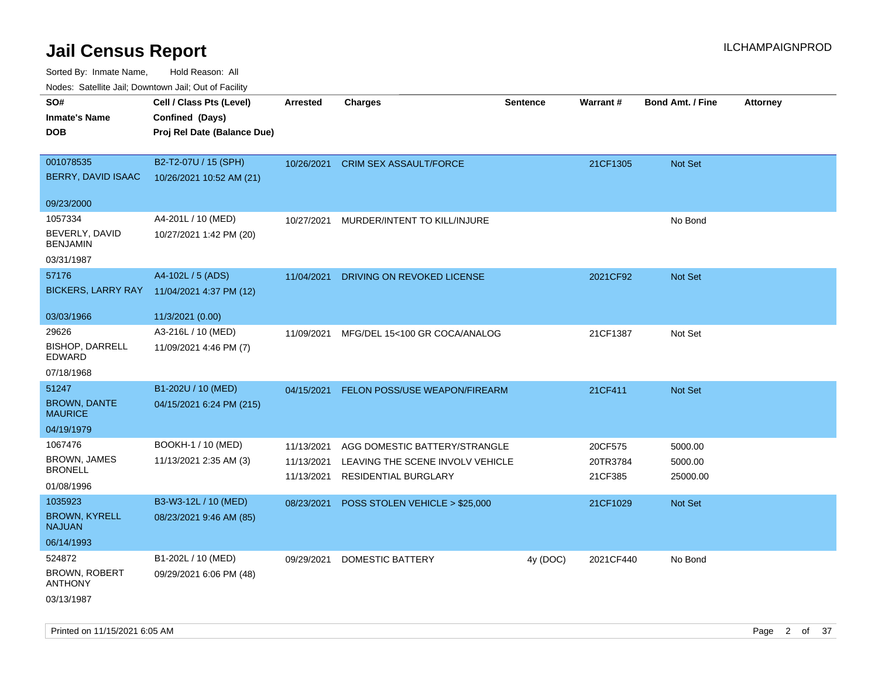| SO#<br><b>Inmate's Name</b><br><b>DOB</b> | Cell / Class Pts (Level)<br>Confined (Days)<br>Proj Rel Date (Balance Due) | <b>Arrested</b> | <b>Charges</b>                       | <b>Sentence</b> | Warrant#  | <b>Bond Amt. / Fine</b> | <b>Attorney</b> |
|-------------------------------------------|----------------------------------------------------------------------------|-----------------|--------------------------------------|-----------------|-----------|-------------------------|-----------------|
|                                           |                                                                            |                 |                                      |                 |           |                         |                 |
| 001078535                                 | B2-T2-07U / 15 (SPH)                                                       | 10/26/2021      | <b>CRIM SEX ASSAULT/FORCE</b>        |                 | 21CF1305  | Not Set                 |                 |
| BERRY, DAVID ISAAC                        | 10/26/2021 10:52 AM (21)                                                   |                 |                                      |                 |           |                         |                 |
| 09/23/2000                                |                                                                            |                 |                                      |                 |           |                         |                 |
| 1057334                                   | A4-201L / 10 (MED)                                                         | 10/27/2021      | MURDER/INTENT TO KILL/INJURE         |                 |           | No Bond                 |                 |
| BEVERLY, DAVID<br><b>BENJAMIN</b>         | 10/27/2021 1:42 PM (20)                                                    |                 |                                      |                 |           |                         |                 |
| 03/31/1987                                |                                                                            |                 |                                      |                 |           |                         |                 |
| 57176                                     | A4-102L / 5 (ADS)                                                          | 11/04/2021      | DRIVING ON REVOKED LICENSE           |                 | 2021CF92  | <b>Not Set</b>          |                 |
| <b>BICKERS, LARRY RAY</b>                 | 11/04/2021 4:37 PM (12)                                                    |                 |                                      |                 |           |                         |                 |
| 03/03/1966                                | 11/3/2021 (0.00)                                                           |                 |                                      |                 |           |                         |                 |
| 29626                                     | A3-216L / 10 (MED)                                                         | 11/09/2021      | MFG/DEL 15<100 GR COCA/ANALOG        |                 | 21CF1387  | Not Set                 |                 |
| <b>BISHOP, DARRELL</b><br>EDWARD          | 11/09/2021 4:46 PM (7)                                                     |                 |                                      |                 |           |                         |                 |
| 07/18/1968                                |                                                                            |                 |                                      |                 |           |                         |                 |
| 51247                                     | B1-202U / 10 (MED)                                                         | 04/15/2021      | <b>FELON POSS/USE WEAPON/FIREARM</b> |                 | 21CF411   | <b>Not Set</b>          |                 |
| <b>BROWN, DANTE</b><br><b>MAURICE</b>     | 04/15/2021 6:24 PM (215)                                                   |                 |                                      |                 |           |                         |                 |
| 04/19/1979                                |                                                                            |                 |                                      |                 |           |                         |                 |
| 1067476                                   | BOOKH-1 / 10 (MED)                                                         | 11/13/2021      | AGG DOMESTIC BATTERY/STRANGLE        |                 | 20CF575   | 5000.00                 |                 |
| <b>BROWN, JAMES</b>                       | 11/13/2021 2:35 AM (3)                                                     | 11/13/2021      | LEAVING THE SCENE INVOLV VEHICLE     |                 | 20TR3784  | 5000.00                 |                 |
| <b>BRONELL</b>                            |                                                                            | 11/13/2021      | <b>RESIDENTIAL BURGLARY</b>          |                 | 21CF385   | 25000.00                |                 |
| 01/08/1996                                |                                                                            |                 |                                      |                 |           |                         |                 |
| 1035923                                   | B3-W3-12L / 10 (MED)                                                       | 08/23/2021      | POSS STOLEN VEHICLE > \$25,000       |                 | 21CF1029  | <b>Not Set</b>          |                 |
| <b>BROWN, KYRELL</b><br><b>NAJUAN</b>     | 08/23/2021 9:46 AM (85)                                                    |                 |                                      |                 |           |                         |                 |
| 06/14/1993                                |                                                                            |                 |                                      |                 |           |                         |                 |
| 524872                                    | B1-202L / 10 (MED)                                                         | 09/29/2021      | <b>DOMESTIC BATTERY</b>              | 4y (DOC)        | 2021CF440 | No Bond                 |                 |
| <b>BROWN, ROBERT</b><br><b>ANTHONY</b>    | 09/29/2021 6:06 PM (48)                                                    |                 |                                      |                 |           |                         |                 |
| 03/13/1987                                |                                                                            |                 |                                      |                 |           |                         |                 |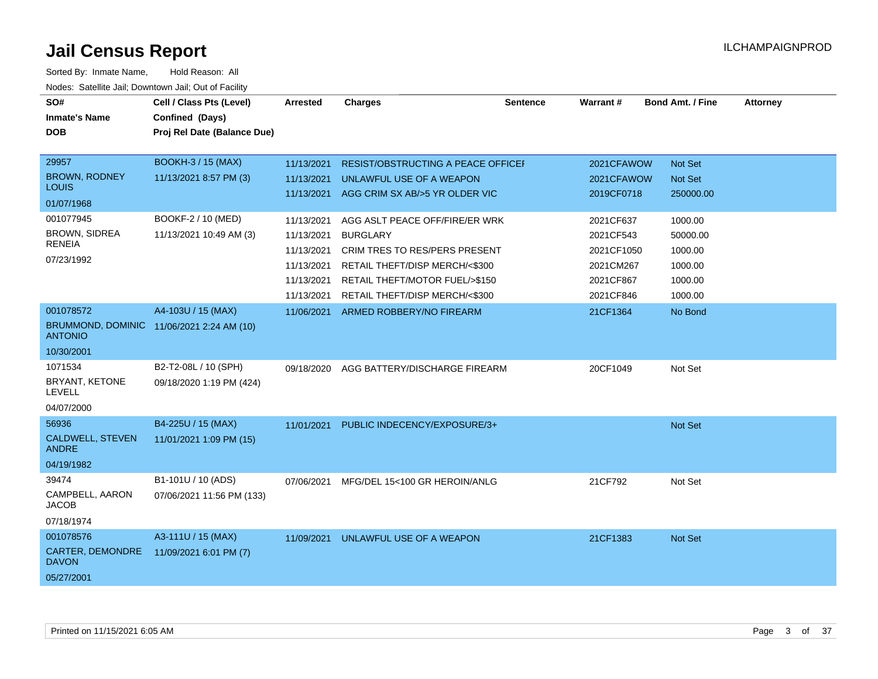| SO#<br><b>Inmate's Name</b><br><b>DOB</b> | Cell / Class Pts (Level)<br>Confined (Days)<br>Proj Rel Date (Balance Due) | <b>Arrested</b>          | <b>Charges</b>                                                 | <b>Sentence</b> | <b>Warrant#</b>          | <b>Bond Amt. / Fine</b>          | <b>Attorney</b> |
|-------------------------------------------|----------------------------------------------------------------------------|--------------------------|----------------------------------------------------------------|-----------------|--------------------------|----------------------------------|-----------------|
| 29957<br><b>BROWN, RODNEY</b>             | <b>BOOKH-3 / 15 (MAX)</b><br>11/13/2021 8:57 PM (3)                        | 11/13/2021<br>11/13/2021 | RESIST/OBSTRUCTING A PEACE OFFICEI<br>UNLAWFUL USE OF A WEAPON |                 | 2021CFAWOW<br>2021CFAWOW | <b>Not Set</b><br><b>Not Set</b> |                 |
| <b>LOUIS</b><br>01/07/1968                |                                                                            |                          | 11/13/2021 AGG CRIM SX AB/>5 YR OLDER VIC                      |                 | 2019CF0718               | 250000.00                        |                 |
|                                           |                                                                            |                          |                                                                |                 |                          |                                  |                 |
| 001077945                                 | BOOKF-2 / 10 (MED)                                                         | 11/13/2021               | AGG ASLT PEACE OFF/FIRE/ER WRK                                 |                 | 2021CF637                | 1000.00                          |                 |
| <b>BROWN, SIDREA</b><br><b>RENEIA</b>     | 11/13/2021 10:49 AM (3)                                                    | 11/13/2021               | <b>BURGLARY</b>                                                |                 | 2021CF543                | 50000.00                         |                 |
| 07/23/1992                                |                                                                            | 11/13/2021               | CRIM TRES TO RES/PERS PRESENT                                  |                 | 2021CF1050               | 1000.00                          |                 |
|                                           |                                                                            | 11/13/2021               | RETAIL THEFT/DISP MERCH/<\$300                                 |                 | 2021CM267                | 1000.00                          |                 |
|                                           |                                                                            | 11/13/2021               | RETAIL THEFT/MOTOR FUEL/>\$150                                 |                 | 2021CF867                | 1000.00                          |                 |
|                                           |                                                                            | 11/13/2021               | RETAIL THEFT/DISP MERCH/<\$300                                 |                 | 2021CF846                | 1000.00                          |                 |
| 001078572                                 | A4-103U / 15 (MAX)                                                         | 11/06/2021               | ARMED ROBBERY/NO FIREARM                                       |                 | 21CF1364                 | No Bond                          |                 |
| <b>ANTONIO</b>                            | BRUMMOND, DOMINIC 11/06/2021 2:24 AM (10)                                  |                          |                                                                |                 |                          |                                  |                 |
| 10/30/2001                                |                                                                            |                          |                                                                |                 |                          |                                  |                 |
| 1071534                                   | B2-T2-08L / 10 (SPH)                                                       | 09/18/2020               | AGG BATTERY/DISCHARGE FIREARM                                  |                 | 20CF1049                 | Not Set                          |                 |
| BRYANT, KETONE<br><b>LEVELL</b>           | 09/18/2020 1:19 PM (424)                                                   |                          |                                                                |                 |                          |                                  |                 |
| 04/07/2000                                |                                                                            |                          |                                                                |                 |                          |                                  |                 |
| 56936                                     | B4-225U / 15 (MAX)                                                         | 11/01/2021               | PUBLIC INDECENCY/EXPOSURE/3+                                   |                 |                          | Not Set                          |                 |
| <b>CALDWELL, STEVEN</b><br><b>ANDRE</b>   | 11/01/2021 1:09 PM (15)                                                    |                          |                                                                |                 |                          |                                  |                 |
| 04/19/1982                                |                                                                            |                          |                                                                |                 |                          |                                  |                 |
| 39474                                     | B1-101U / 10 (ADS)                                                         | 07/06/2021               | MFG/DEL 15<100 GR HEROIN/ANLG                                  |                 | 21CF792                  | Not Set                          |                 |
| CAMPBELL, AARON<br><b>JACOB</b>           | 07/06/2021 11:56 PM (133)                                                  |                          |                                                                |                 |                          |                                  |                 |
| 07/18/1974                                |                                                                            |                          |                                                                |                 |                          |                                  |                 |
| 001078576                                 | A3-111U / 15 (MAX)                                                         | 11/09/2021               | UNLAWFUL USE OF A WEAPON                                       |                 | 21CF1383                 | <b>Not Set</b>                   |                 |
| CARTER, DEMONDRE<br><b>DAVON</b>          | 11/09/2021 6:01 PM (7)                                                     |                          |                                                                |                 |                          |                                  |                 |
| 05/27/2001                                |                                                                            |                          |                                                                |                 |                          |                                  |                 |
|                                           |                                                                            |                          |                                                                |                 |                          |                                  |                 |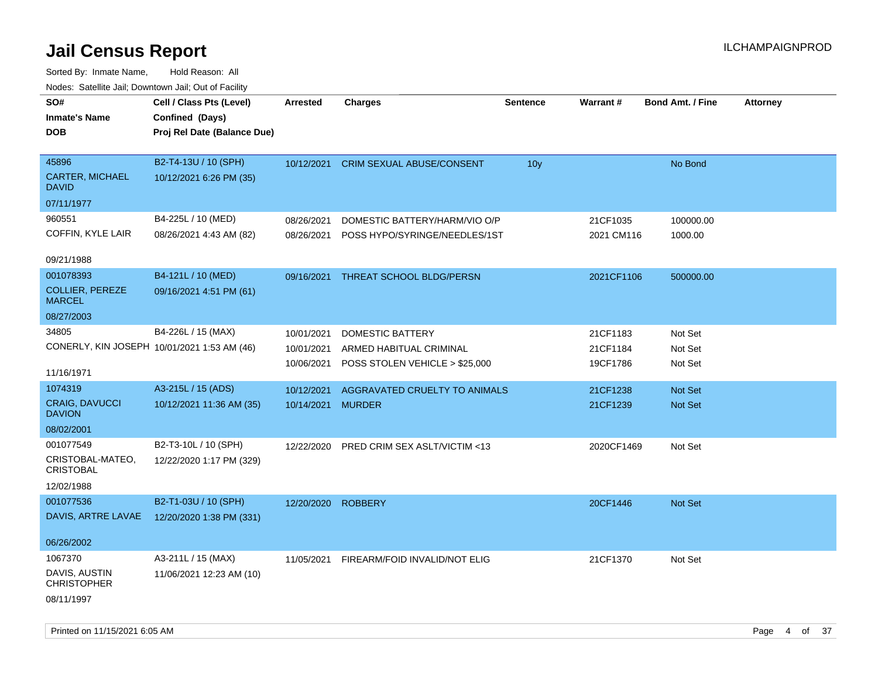| rouco. Calcillo Jali, Downtown Jali, Out of Facility                             |                                                                            |                                        |                                                                               |                 |                                  |                               |                 |
|----------------------------------------------------------------------------------|----------------------------------------------------------------------------|----------------------------------------|-------------------------------------------------------------------------------|-----------------|----------------------------------|-------------------------------|-----------------|
| SO#<br><b>Inmate's Name</b><br>DOB                                               | Cell / Class Pts (Level)<br>Confined (Days)<br>Proj Rel Date (Balance Due) | Arrested                               | <b>Charges</b>                                                                | <b>Sentence</b> | <b>Warrant#</b>                  | <b>Bond Amt. / Fine</b>       | <b>Attorney</b> |
| 45896<br>CARTER, MICHAEL<br>David<br>07/11/1977                                  | B2-T4-13U / 10 (SPH)<br>10/12/2021 6:26 PM (35)                            | 10/12/2021                             | <b>CRIM SEXUAL ABUSE/CONSENT</b>                                              | 10 <sub>y</sub> |                                  | No Bond                       |                 |
| 960551<br>COFFIN, KYLE LAIR<br>09/21/1988                                        | B4-225L / 10 (MED)<br>08/26/2021 4:43 AM (82)                              | 08/26/2021<br>08/26/2021               | DOMESTIC BATTERY/HARM/VIO O/P<br>POSS HYPO/SYRINGE/NEEDLES/1ST                |                 | 21CF1035<br>2021 CM116           | 100000.00<br>1000.00          |                 |
| 001078393<br><b>COLLIER, PEREZE</b><br><b>MARCEL</b>                             | B4-121L / 10 (MED)<br>09/16/2021 4:51 PM (61)                              | 09/16/2021                             | THREAT SCHOOL BLDG/PERSN                                                      |                 | 2021CF1106                       | 500000.00                     |                 |
| 08/27/2003<br>34805<br>CONERLY, KIN JOSEPH 10/01/2021 1:53 AM (46)<br>11/16/1971 | B4-226L / 15 (MAX)                                                         | 10/01/2021<br>10/01/2021<br>10/06/2021 | DOMESTIC BATTERY<br>ARMED HABITUAL CRIMINAL<br>POSS STOLEN VEHICLE > \$25,000 |                 | 21CF1183<br>21CF1184<br>19CF1786 | Not Set<br>Not Set<br>Not Set |                 |
| 1074319<br><b>CRAIG, DAVUCCI</b><br><b>DAVION</b><br>08/02/2001                  | A3-215L / 15 (ADS)<br>10/12/2021 11:36 AM (35)                             | 10/12/2021<br>10/14/2021               | AGGRAVATED CRUELTY TO ANIMALS<br><b>MURDER</b>                                |                 | 21CF1238<br>21CF1239             | <b>Not Set</b><br>Not Set     |                 |
| 001077549<br>CRISTOBAL-MATEO,<br>CRISTOBAL<br>12/02/1988                         | B2-T3-10L / 10 (SPH)<br>12/22/2020 1:17 PM (329)                           | 12/22/2020                             | PRED CRIM SEX ASLT/VICTIM <13                                                 |                 | 2020CF1469                       | Not Set                       |                 |
| 001077536<br>DAVIS, ARTRE LAVAE                                                  | B2-T1-03U / 10 (SPH)<br>12/20/2020 1:38 PM (331)                           | 12/20/2020                             | <b>ROBBERY</b>                                                                |                 | 20CF1446                         | Not Set                       |                 |
| 06/26/2002<br>1067370<br>DAVIS, AUSTIN<br><b>CHRISTOPHER</b><br>08/11/1997       | A3-211L / 15 (MAX)<br>11/06/2021 12:23 AM (10)                             | 11/05/2021                             | FIREARM/FOID INVALID/NOT ELIG                                                 |                 | 21CF1370                         | Not Set                       |                 |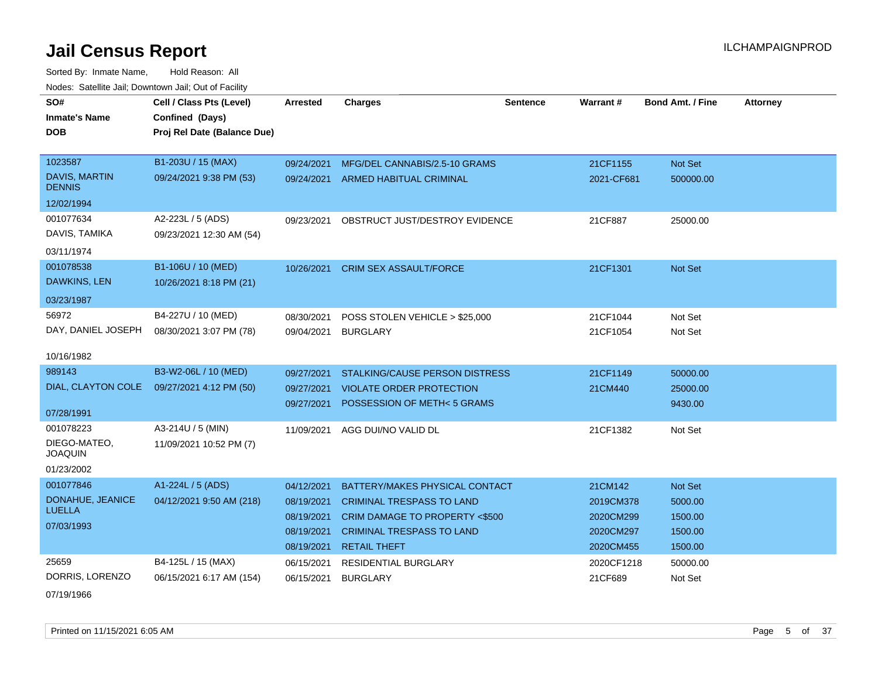| SO#                                   | Cell / Class Pts (Level)                      | <b>Arrested</b>          | <b>Charges</b>                                    | <b>Sentence</b> | <b>Warrant#</b>      | <b>Bond Amt. / Fine</b> | <b>Attorney</b> |
|---------------------------------------|-----------------------------------------------|--------------------------|---------------------------------------------------|-----------------|----------------------|-------------------------|-----------------|
| <b>Inmate's Name</b>                  | Confined (Days)                               |                          |                                                   |                 |                      |                         |                 |
| <b>DOB</b>                            | Proj Rel Date (Balance Due)                   |                          |                                                   |                 |                      |                         |                 |
|                                       |                                               |                          |                                                   |                 |                      |                         |                 |
| 1023587                               | B1-203U / 15 (MAX)                            | 09/24/2021               | MFG/DEL CANNABIS/2.5-10 GRAMS                     |                 | 21CF1155             | Not Set                 |                 |
| <b>DAVIS, MARTIN</b><br><b>DENNIS</b> | 09/24/2021 9:38 PM (53)                       |                          | 09/24/2021 ARMED HABITUAL CRIMINAL                |                 | 2021-CF681           | 500000.00               |                 |
| 12/02/1994                            |                                               |                          |                                                   |                 |                      |                         |                 |
| 001077634<br>DAVIS, TAMIKA            | A2-223L / 5 (ADS)<br>09/23/2021 12:30 AM (54) | 09/23/2021               | OBSTRUCT JUST/DESTROY EVIDENCE                    |                 | 21CF887              | 25000.00                |                 |
| 03/11/1974                            |                                               |                          |                                                   |                 |                      |                         |                 |
| 001078538<br>DAWKINS, LEN             | B1-106U / 10 (MED)<br>10/26/2021 8:18 PM (21) | 10/26/2021               | <b>CRIM SEX ASSAULT/FORCE</b>                     |                 | 21CF1301             | Not Set                 |                 |
| 03/23/1987                            |                                               |                          |                                                   |                 |                      |                         |                 |
| 56972<br>DAY, DANIEL JOSEPH           | B4-227U / 10 (MED)<br>08/30/2021 3:07 PM (78) | 08/30/2021<br>09/04/2021 | POSS STOLEN VEHICLE > \$25,000<br><b>BURGLARY</b> |                 | 21CF1044<br>21CF1054 | Not Set<br>Not Set      |                 |
| 10/16/1982                            |                                               |                          |                                                   |                 |                      |                         |                 |
| 989143                                | B3-W2-06L / 10 (MED)                          | 09/27/2021               | <b>STALKING/CAUSE PERSON DISTRESS</b>             |                 | 21CF1149             | 50000.00                |                 |
| DIAL, CLAYTON COLE                    | 09/27/2021 4:12 PM (50)                       | 09/27/2021               | <b>VIOLATE ORDER PROTECTION</b>                   |                 | 21CM440              | 25000.00                |                 |
|                                       |                                               | 09/27/2021               | POSSESSION OF METH<5 GRAMS                        |                 |                      | 9430.00                 |                 |
| 07/28/1991                            |                                               |                          |                                                   |                 |                      |                         |                 |
| 001078223                             | A3-214U / 5 (MIN)                             | 11/09/2021               | AGG DUI/NO VALID DL                               |                 | 21CF1382             | Not Set                 |                 |
| DIEGO-MATEO,<br><b>JOAQUIN</b>        | 11/09/2021 10:52 PM (7)                       |                          |                                                   |                 |                      |                         |                 |
| 01/23/2002                            |                                               |                          |                                                   |                 |                      |                         |                 |
| 001077846                             | A1-224L / 5 (ADS)                             | 04/12/2021               | BATTERY/MAKES PHYSICAL CONTACT                    |                 | 21CM142              | Not Set                 |                 |
| DONAHUE, JEANICE                      | 04/12/2021 9:50 AM (218)                      | 08/19/2021               | <b>CRIMINAL TRESPASS TO LAND</b>                  |                 | 2019CM378            | 5000.00                 |                 |
| <b>LUELLA</b>                         |                                               | 08/19/2021               | CRIM DAMAGE TO PROPERTY <\$500                    |                 | 2020CM299            | 1500.00                 |                 |
| 07/03/1993                            |                                               | 08/19/2021               | <b>CRIMINAL TRESPASS TO LAND</b>                  |                 | 2020CM297            | 1500.00                 |                 |
|                                       |                                               | 08/19/2021               | <b>RETAIL THEFT</b>                               |                 | 2020CM455            | 1500.00                 |                 |
| 25659                                 | B4-125L / 15 (MAX)                            | 06/15/2021               | <b>RESIDENTIAL BURGLARY</b>                       |                 | 2020CF1218           | 50000.00                |                 |
| DORRIS, LORENZO                       | 06/15/2021 6:17 AM (154)                      | 06/15/2021               | <b>BURGLARY</b>                                   |                 | 21CF689              | Not Set                 |                 |
| 07/19/1966                            |                                               |                          |                                                   |                 |                      |                         |                 |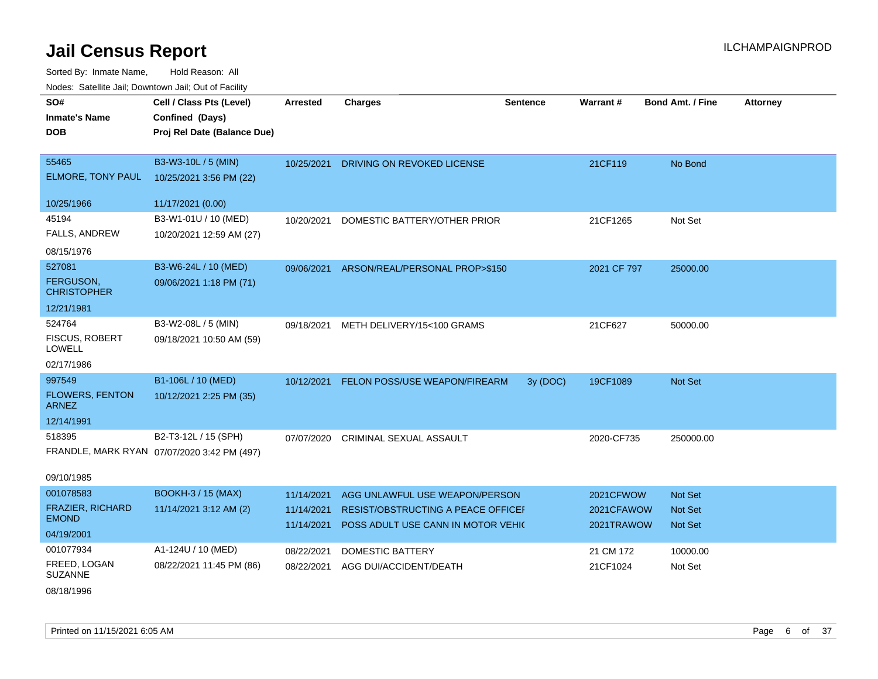| ivouss. Satellite Jali, Downtown Jali, Out of Facility |                                             |            |                                          |                 |                  |                         |                 |
|--------------------------------------------------------|---------------------------------------------|------------|------------------------------------------|-----------------|------------------|-------------------------|-----------------|
| SO#                                                    | Cell / Class Pts (Level)                    | Arrested   | <b>Charges</b>                           | <b>Sentence</b> | <b>Warrant#</b>  | <b>Bond Amt. / Fine</b> | <b>Attorney</b> |
| Inmate's Name                                          | Confined (Days)                             |            |                                          |                 |                  |                         |                 |
| DOB                                                    | Proj Rel Date (Balance Due)                 |            |                                          |                 |                  |                         |                 |
|                                                        |                                             |            |                                          |                 |                  |                         |                 |
| 55465                                                  | B3-W3-10L / 5 (MIN)                         | 10/25/2021 | DRIVING ON REVOKED LICENSE               |                 | 21CF119          | No Bond                 |                 |
| <b>ELMORE, TONY PAUL</b>                               | 10/25/2021 3:56 PM (22)                     |            |                                          |                 |                  |                         |                 |
| 10/25/1966                                             | 11/17/2021 (0.00)                           |            |                                          |                 |                  |                         |                 |
| 45194                                                  | B3-W1-01U / 10 (MED)                        | 10/20/2021 | DOMESTIC BATTERY/OTHER PRIOR             |                 | 21CF1265         | Not Set                 |                 |
| FALLS, ANDREW                                          | 10/20/2021 12:59 AM (27)                    |            |                                          |                 |                  |                         |                 |
| 08/15/1976                                             |                                             |            |                                          |                 |                  |                         |                 |
| 527081                                                 | B3-W6-24L / 10 (MED)                        | 09/06/2021 | ARSON/REAL/PERSONAL PROP>\$150           |                 | 2021 CF 797      | 25000.00                |                 |
| <b>FERGUSON,</b><br>CHRISTOPHER                        | 09/06/2021 1:18 PM (71)                     |            |                                          |                 |                  |                         |                 |
| 12/21/1981                                             |                                             |            |                                          |                 |                  |                         |                 |
| 524764                                                 | B3-W2-08L / 5 (MIN)                         | 09/18/2021 | METH DELIVERY/15<100 GRAMS               |                 | 21CF627          | 50000.00                |                 |
| FISCUS, ROBERT<br>LOWELL                               | 09/18/2021 10:50 AM (59)                    |            |                                          |                 |                  |                         |                 |
| 02/17/1986                                             |                                             |            |                                          |                 |                  |                         |                 |
| 997549                                                 | B1-106L / 10 (MED)                          |            | 10/12/2021 FELON POSS/USE WEAPON/FIREARM | 3y (DOC)        | 19CF1089         | <b>Not Set</b>          |                 |
| <b>FLOWERS, FENTON</b><br>ARNEZ                        | 10/12/2021 2:25 PM (35)                     |            |                                          |                 |                  |                         |                 |
| 12/14/1991                                             |                                             |            |                                          |                 |                  |                         |                 |
| 518395                                                 | B2-T3-12L / 15 (SPH)                        | 07/07/2020 | CRIMINAL SEXUAL ASSAULT                  |                 | 2020-CF735       | 250000.00               |                 |
|                                                        | FRANDLE, MARK RYAN 07/07/2020 3:42 PM (497) |            |                                          |                 |                  |                         |                 |
| 09/10/1985                                             |                                             |            |                                          |                 |                  |                         |                 |
| 001078583                                              | <b>BOOKH-3 / 15 (MAX)</b>                   | 11/14/2021 | AGG UNLAWFUL USE WEAPON/PERSON           |                 | <b>2021CFWOW</b> | <b>Not Set</b>          |                 |
| <b>FRAZIER, RICHARD</b>                                | 11/14/2021 3:12 AM (2)                      | 11/14/2021 | RESIST/OBSTRUCTING A PEACE OFFICEF       |                 | 2021CFAWOW       | <b>Not Set</b>          |                 |
| <b>EMOND</b>                                           |                                             | 11/14/2021 | POSS ADULT USE CANN IN MOTOR VEHIC       |                 | 2021TRAWOW       | <b>Not Set</b>          |                 |
| 04/19/2001                                             |                                             |            |                                          |                 |                  |                         |                 |
| 001077934                                              | A1-124U / 10 (MED)                          | 08/22/2021 | <b>DOMESTIC BATTERY</b>                  |                 | 21 CM 172        | 10000.00                |                 |
| FREED, LOGAN<br>SUZANNE                                | 08/22/2021 11:45 PM (86)                    | 08/22/2021 | AGG DUI/ACCIDENT/DEATH                   |                 | 21CF1024         | Not Set                 |                 |
| 08/18/1996                                             |                                             |            |                                          |                 |                  |                         |                 |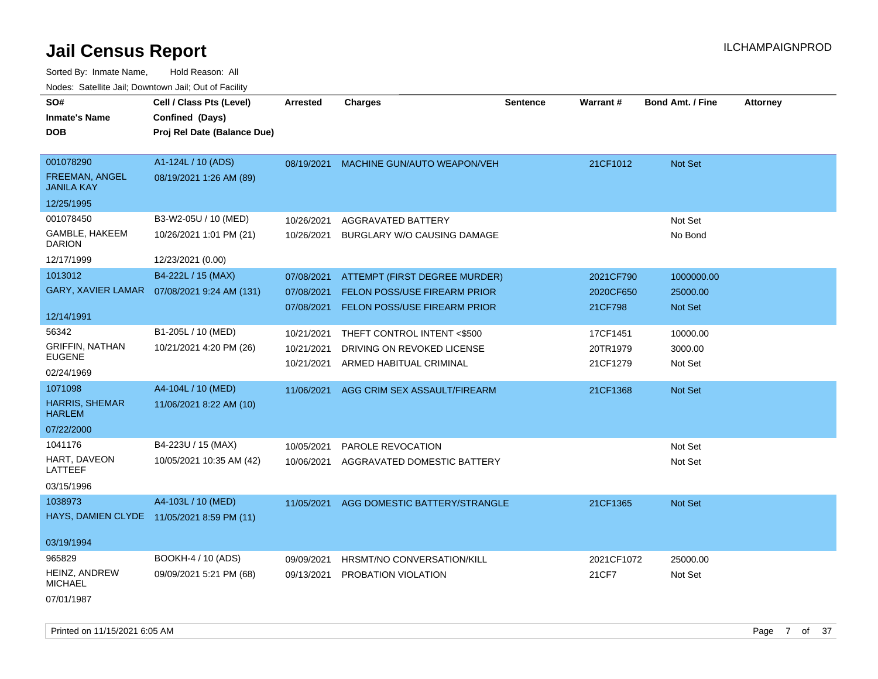| SO#                                        | Cell / Class Pts (Level)                     | <b>Arrested</b> | <b>Charges</b>                      | <b>Sentence</b> | Warrant#   | <b>Bond Amt. / Fine</b> | <b>Attorney</b> |
|--------------------------------------------|----------------------------------------------|-----------------|-------------------------------------|-----------------|------------|-------------------------|-----------------|
| <b>Inmate's Name</b>                       | Confined (Days)                              |                 |                                     |                 |            |                         |                 |
| <b>DOB</b>                                 | Proj Rel Date (Balance Due)                  |                 |                                     |                 |            |                         |                 |
|                                            |                                              |                 |                                     |                 |            |                         |                 |
| 001078290                                  | A1-124L / 10 (ADS)                           | 08/19/2021      | MACHINE GUN/AUTO WEAPON/VEH         |                 | 21CF1012   | Not Set                 |                 |
| <b>FREEMAN, ANGEL</b><br><b>JANILA KAY</b> | 08/19/2021 1:26 AM (89)                      |                 |                                     |                 |            |                         |                 |
| 12/25/1995                                 |                                              |                 |                                     |                 |            |                         |                 |
| 001078450                                  | B3-W2-05U / 10 (MED)                         | 10/26/2021      | <b>AGGRAVATED BATTERY</b>           |                 |            | Not Set                 |                 |
| GAMBLE, HAKEEM<br><b>DARION</b>            | 10/26/2021 1:01 PM (21)                      | 10/26/2021      | BURGLARY W/O CAUSING DAMAGE         |                 |            | No Bond                 |                 |
| 12/17/1999                                 | 12/23/2021 (0.00)                            |                 |                                     |                 |            |                         |                 |
| 1013012                                    | B4-222L / 15 (MAX)                           | 07/08/2021      | ATTEMPT (FIRST DEGREE MURDER)       |                 | 2021CF790  | 1000000.00              |                 |
|                                            | GARY, XAVIER LAMAR  07/08/2021 9:24 AM (131) | 07/08/2021      | <b>FELON POSS/USE FIREARM PRIOR</b> |                 | 2020CF650  | 25000.00                |                 |
|                                            |                                              | 07/08/2021      | <b>FELON POSS/USE FIREARM PRIOR</b> |                 | 21CF798    | <b>Not Set</b>          |                 |
| 12/14/1991                                 |                                              |                 |                                     |                 |            |                         |                 |
| 56342                                      | B1-205L / 10 (MED)                           | 10/21/2021      | THEFT CONTROL INTENT <\$500         |                 | 17CF1451   | 10000.00                |                 |
| <b>GRIFFIN, NATHAN</b>                     | 10/21/2021 4:20 PM (26)                      | 10/21/2021      | DRIVING ON REVOKED LICENSE          |                 | 20TR1979   | 3000.00                 |                 |
| <b>EUGENE</b>                              |                                              | 10/21/2021      | ARMED HABITUAL CRIMINAL             |                 | 21CF1279   | Not Set                 |                 |
| 02/24/1969                                 |                                              |                 |                                     |                 |            |                         |                 |
| 1071098                                    | A4-104L / 10 (MED)                           | 11/06/2021      | AGG CRIM SEX ASSAULT/FIREARM        |                 | 21CF1368   | Not Set                 |                 |
| <b>HARRIS, SHEMAR</b><br><b>HARLEM</b>     | 11/06/2021 8:22 AM (10)                      |                 |                                     |                 |            |                         |                 |
| 07/22/2000                                 |                                              |                 |                                     |                 |            |                         |                 |
| 1041176                                    | B4-223U / 15 (MAX)                           | 10/05/2021      | PAROLE REVOCATION                   |                 |            | Not Set                 |                 |
| HART, DAVEON<br>LATTEEF                    | 10/05/2021 10:35 AM (42)                     | 10/06/2021      | AGGRAVATED DOMESTIC BATTERY         |                 |            | Not Set                 |                 |
| 03/15/1996                                 |                                              |                 |                                     |                 |            |                         |                 |
| 1038973                                    | A4-103L / 10 (MED)                           | 11/05/2021      | AGG DOMESTIC BATTERY/STRANGLE       |                 | 21CF1365   | Not Set                 |                 |
|                                            | HAYS, DAMIEN CLYDE 11/05/2021 8:59 PM (11)   |                 |                                     |                 |            |                         |                 |
|                                            |                                              |                 |                                     |                 |            |                         |                 |
| 03/19/1994                                 |                                              |                 |                                     |                 |            |                         |                 |
| 965829                                     | BOOKH-4 / 10 (ADS)                           | 09/09/2021      | HRSMT/NO CONVERSATION/KILL          |                 | 2021CF1072 | 25000.00                |                 |
| HEINZ, ANDREW<br><b>MICHAEL</b>            | 09/09/2021 5:21 PM (68)                      | 09/13/2021      | PROBATION VIOLATION                 |                 | 21CF7      | Not Set                 |                 |
| 07/01/1987                                 |                                              |                 |                                     |                 |            |                         |                 |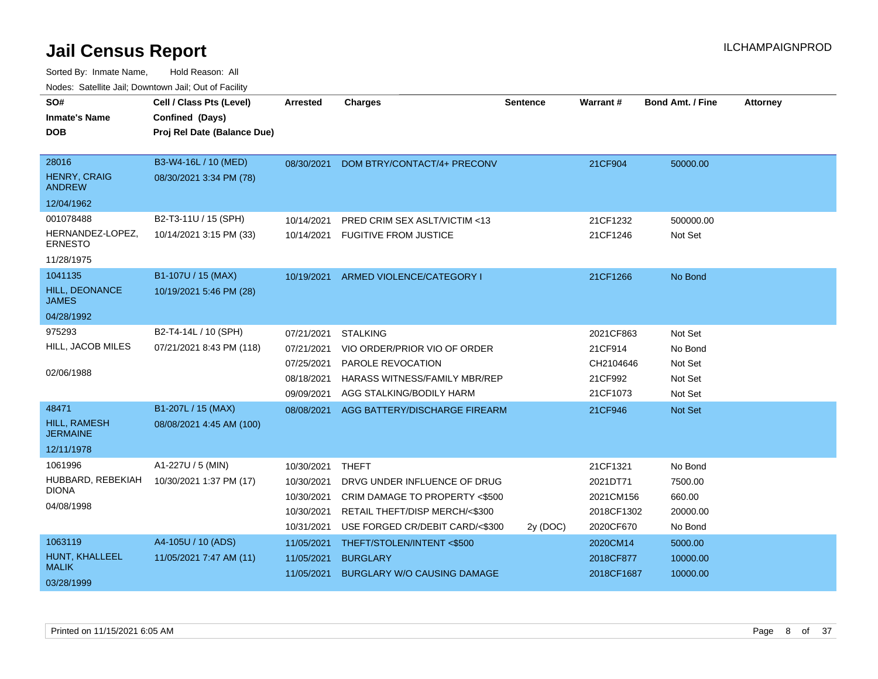| SO#                                    | Cell / Class Pts (Level)    | <b>Arrested</b> | <b>Charges</b>                           | <b>Sentence</b> | Warrant#   | <b>Bond Amt. / Fine</b> | <b>Attorney</b> |
|----------------------------------------|-----------------------------|-----------------|------------------------------------------|-----------------|------------|-------------------------|-----------------|
| <b>Inmate's Name</b>                   | Confined (Days)             |                 |                                          |                 |            |                         |                 |
| <b>DOB</b>                             | Proj Rel Date (Balance Due) |                 |                                          |                 |            |                         |                 |
|                                        |                             |                 |                                          |                 |            |                         |                 |
| 28016                                  | B3-W4-16L / 10 (MED)        | 08/30/2021      | DOM BTRY/CONTACT/4+ PRECONV              |                 | 21CF904    | 50000.00                |                 |
| <b>HENRY, CRAIG</b><br><b>ANDREW</b>   | 08/30/2021 3:34 PM (78)     |                 |                                          |                 |            |                         |                 |
| 12/04/1962                             |                             |                 |                                          |                 |            |                         |                 |
| 001078488                              | B2-T3-11U / 15 (SPH)        | 10/14/2021      | PRED CRIM SEX ASLT/VICTIM <13            |                 | 21CF1232   | 500000.00               |                 |
| HERNANDEZ-LOPEZ.<br><b>ERNESTO</b>     | 10/14/2021 3:15 PM (33)     |                 | 10/14/2021 FUGITIVE FROM JUSTICE         |                 | 21CF1246   | Not Set                 |                 |
| 11/28/1975                             |                             |                 |                                          |                 |            |                         |                 |
| 1041135                                | B1-107U / 15 (MAX)          |                 | 10/19/2021 ARMED VIOLENCE/CATEGORY I     |                 | 21CF1266   | No Bond                 |                 |
| HILL, DEONANCE<br><b>JAMES</b>         | 10/19/2021 5:46 PM (28)     |                 |                                          |                 |            |                         |                 |
| 04/28/1992                             |                             |                 |                                          |                 |            |                         |                 |
| 975293                                 | B2-T4-14L / 10 (SPH)        | 07/21/2021      | <b>STALKING</b>                          |                 | 2021CF863  | Not Set                 |                 |
| HILL, JACOB MILES                      | 07/21/2021 8:43 PM (118)    | 07/21/2021      | VIO ORDER/PRIOR VIO OF ORDER             |                 | 21CF914    | No Bond                 |                 |
|                                        |                             | 07/25/2021      | PAROLE REVOCATION                        |                 | CH2104646  | Not Set                 |                 |
| 02/06/1988                             |                             | 08/18/2021      | HARASS WITNESS/FAMILY MBR/REP            |                 | 21CF992    | Not Set                 |                 |
|                                        |                             | 09/09/2021      | AGG STALKING/BODILY HARM                 |                 | 21CF1073   | Not Set                 |                 |
| 48471                                  | B1-207L / 15 (MAX)          |                 | 08/08/2021 AGG BATTERY/DISCHARGE FIREARM |                 | 21CF946    | Not Set                 |                 |
| <b>HILL, RAMESH</b><br><b>JERMAINE</b> | 08/08/2021 4:45 AM (100)    |                 |                                          |                 |            |                         |                 |
| 12/11/1978                             |                             |                 |                                          |                 |            |                         |                 |
| 1061996                                | A1-227U / 5 (MIN)           | 10/30/2021      | <b>THEFT</b>                             |                 | 21CF1321   | No Bond                 |                 |
| HUBBARD, REBEKIAH                      | 10/30/2021 1:37 PM (17)     | 10/30/2021      | DRVG UNDER INFLUENCE OF DRUG             |                 | 2021DT71   | 7500.00                 |                 |
| <b>DIONA</b>                           |                             | 10/30/2021      | CRIM DAMAGE TO PROPERTY <\$500           |                 | 2021CM156  | 660.00                  |                 |
| 04/08/1998                             |                             | 10/30/2021      | RETAIL THEFT/DISP MERCH/<\$300           |                 | 2018CF1302 | 20000.00                |                 |
|                                        |                             | 10/31/2021      | USE FORGED CR/DEBIT CARD/<\$300          | 2y (DOC)        | 2020CF670  | No Bond                 |                 |
| 1063119                                | A4-105U / 10 (ADS)          | 11/05/2021      | THEFT/STOLEN/INTENT<\$500                |                 | 2020CM14   | 5000.00                 |                 |
| HUNT, KHALLEEL                         | 11/05/2021 7:47 AM (11)     | 11/05/2021      | <b>BURGLARY</b>                          |                 | 2018CF877  | 10000.00                |                 |
| <b>MALIK</b>                           |                             | 11/05/2021      | <b>BURGLARY W/O CAUSING DAMAGE</b>       |                 | 2018CF1687 | 10000.00                |                 |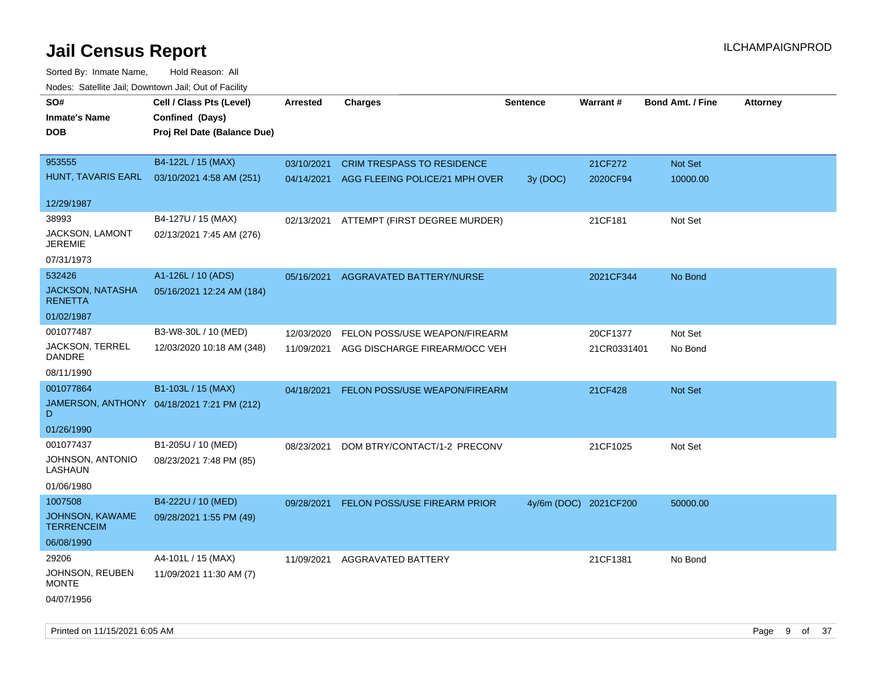| roaco. Oatomto dan, Downtown dan, Oat or Fability |                                            |                 |                                           |                 |                       |                         |                 |
|---------------------------------------------------|--------------------------------------------|-----------------|-------------------------------------------|-----------------|-----------------------|-------------------------|-----------------|
| SO#                                               | Cell / Class Pts (Level)                   | <b>Arrested</b> | <b>Charges</b>                            | <b>Sentence</b> | Warrant#              | <b>Bond Amt. / Fine</b> | <b>Attorney</b> |
| <b>Inmate's Name</b>                              | Confined (Days)                            |                 |                                           |                 |                       |                         |                 |
| <b>DOB</b>                                        | Proj Rel Date (Balance Due)                |                 |                                           |                 |                       |                         |                 |
|                                                   |                                            |                 |                                           |                 |                       |                         |                 |
| 953555                                            | B4-122L / 15 (MAX)                         | 03/10/2021      | <b>CRIM TRESPASS TO RESIDENCE</b>         |                 | 21CF272               | Not Set                 |                 |
| HUNT, TAVARIS EARL                                | 03/10/2021 4:58 AM (251)                   |                 | 04/14/2021 AGG FLEEING POLICE/21 MPH OVER | 3y (DOC)        | 2020CF94              | 10000.00                |                 |
|                                                   |                                            |                 |                                           |                 |                       |                         |                 |
| 12/29/1987                                        |                                            |                 |                                           |                 |                       |                         |                 |
| 38993                                             | B4-127U / 15 (MAX)                         |                 | 02/13/2021 ATTEMPT (FIRST DEGREE MURDER)  |                 | 21CF181               | Not Set                 |                 |
| JACKSON, LAMONT<br><b>JEREMIE</b>                 | 02/13/2021 7:45 AM (276)                   |                 |                                           |                 |                       |                         |                 |
| 07/31/1973                                        |                                            |                 |                                           |                 |                       |                         |                 |
| 532426                                            | A1-126L / 10 (ADS)                         | 05/16/2021      | AGGRAVATED BATTERY/NURSE                  |                 | 2021CF344             | No Bond                 |                 |
| <b>JACKSON, NATASHA</b>                           | 05/16/2021 12:24 AM (184)                  |                 |                                           |                 |                       |                         |                 |
| <b>RENETTA</b>                                    |                                            |                 |                                           |                 |                       |                         |                 |
| 01/02/1987                                        |                                            |                 |                                           |                 |                       |                         |                 |
| 001077487                                         | B3-W8-30L / 10 (MED)                       | 12/03/2020      | FELON POSS/USE WEAPON/FIREARM             |                 | 20CF1377              | Not Set                 |                 |
| JACKSON, TERREL                                   | 12/03/2020 10:18 AM (348)                  | 11/09/2021      | AGG DISCHARGE FIREARM/OCC VEH             |                 | 21CR0331401           | No Bond                 |                 |
| DANDRE                                            |                                            |                 |                                           |                 |                       |                         |                 |
| 08/11/1990                                        |                                            |                 |                                           |                 |                       |                         |                 |
| 001077864                                         | B1-103L / 15 (MAX)                         | 04/18/2021      | FELON POSS/USE WEAPON/FIREARM             |                 | 21CF428               | Not Set                 |                 |
| D                                                 | JAMERSON, ANTHONY 04/18/2021 7:21 PM (212) |                 |                                           |                 |                       |                         |                 |
| 01/26/1990                                        |                                            |                 |                                           |                 |                       |                         |                 |
| 001077437                                         | B1-205U / 10 (MED)                         | 08/23/2021      | DOM BTRY/CONTACT/1-2 PRECONV              |                 | 21CF1025              | Not Set                 |                 |
| JOHNSON, ANTONIO<br>LASHAUN                       | 08/23/2021 7:48 PM (85)                    |                 |                                           |                 |                       |                         |                 |
| 01/06/1980                                        |                                            |                 |                                           |                 |                       |                         |                 |
| 1007508                                           | B4-222U / 10 (MED)                         | 09/28/2021      | FELON POSS/USE FIREARM PRIOR              |                 | 4y/6m (DOC) 2021CF200 | 50000.00                |                 |
| JOHNSON, KAWAME<br><b>TERRENCEIM</b>              | 09/28/2021 1:55 PM (49)                    |                 |                                           |                 |                       |                         |                 |
| 06/08/1990                                        |                                            |                 |                                           |                 |                       |                         |                 |
| 29206                                             | A4-101L / 15 (MAX)                         | 11/09/2021      | AGGRAVATED BATTERY                        |                 | 21CF1381              | No Bond                 |                 |
| JOHNSON, REUBEN<br><b>MONTE</b>                   | 11/09/2021 11:30 AM (7)                    |                 |                                           |                 |                       |                         |                 |
| 04/07/1956                                        |                                            |                 |                                           |                 |                       |                         |                 |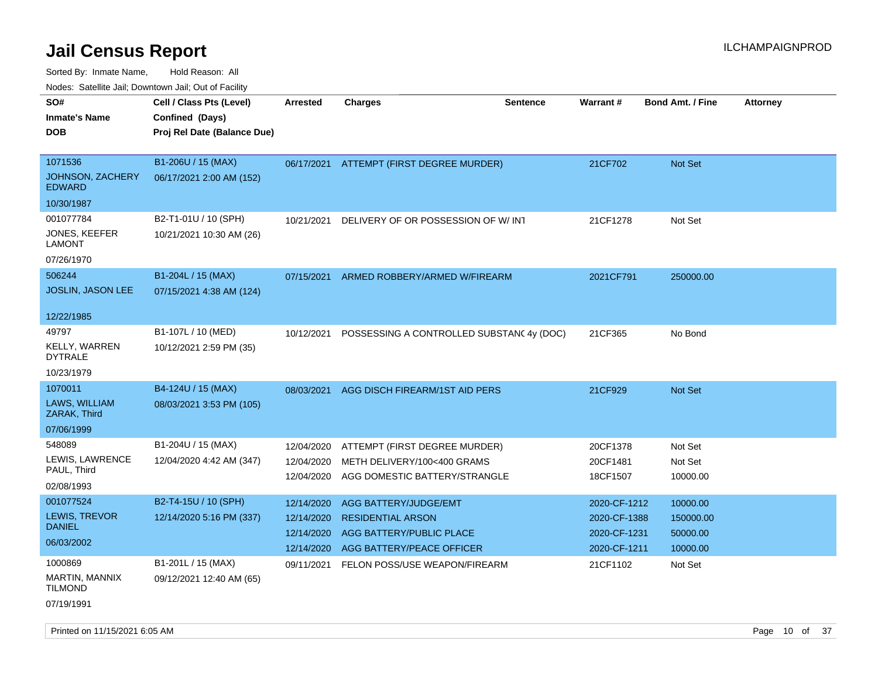Sorted By: Inmate Name, Hold Reason: All

|  | Nodes: Satellite Jail; Downtown Jail; Out of Facility |  |
|--|-------------------------------------------------------|--|
|--|-------------------------------------------------------|--|

| SO#<br><b>Inmate's Name</b><br><b>DOB</b>    | Cell / Class Pts (Level)<br>Confined (Days)<br>Proj Rel Date (Balance Due) | <b>Arrested</b>          | <b>Charges</b>                                               | <b>Sentence</b> | Warrant#             | <b>Bond Amt. / Fine</b> | <b>Attorney</b> |
|----------------------------------------------|----------------------------------------------------------------------------|--------------------------|--------------------------------------------------------------|-----------------|----------------------|-------------------------|-----------------|
| 1071536<br>JOHNSON, ZACHERY<br><b>EDWARD</b> | B1-206U / 15 (MAX)<br>06/17/2021 2:00 AM (152)                             | 06/17/2021               | ATTEMPT (FIRST DEGREE MURDER)                                |                 | 21CF702              | <b>Not Set</b>          |                 |
| 10/30/1987                                   |                                                                            |                          |                                                              |                 |                      |                         |                 |
| 001077784<br>JONES, KEEFER<br><b>LAMONT</b>  | B2-T1-01U / 10 (SPH)<br>10/21/2021 10:30 AM (26)                           | 10/21/2021               | DELIVERY OF OR POSSESSION OF W/INT                           |                 | 21CF1278             | Not Set                 |                 |
| 07/26/1970                                   |                                                                            |                          |                                                              |                 |                      |                         |                 |
| 506244<br><b>JOSLIN, JASON LEE</b>           | B1-204L / 15 (MAX)<br>07/15/2021 4:38 AM (124)                             | 07/15/2021               | ARMED ROBBERY/ARMED W/FIREARM                                |                 | 2021CF791            | 250000.00               |                 |
| 12/22/1985                                   |                                                                            |                          |                                                              |                 |                      |                         |                 |
| 49797<br>KELLY, WARREN<br><b>DYTRALE</b>     | B1-107L / 10 (MED)<br>10/12/2021 2:59 PM (35)                              | 10/12/2021               | POSSESSING A CONTROLLED SUBSTANC 4y (DOC)                    |                 | 21CF365              | No Bond                 |                 |
| 10/23/1979                                   |                                                                            |                          |                                                              |                 |                      |                         |                 |
| 1070011                                      | B4-124U / 15 (MAX)                                                         | 08/03/2021               | AGG DISCH FIREARM/1ST AID PERS                               |                 | 21CF929              | Not Set                 |                 |
| LAWS, WILLIAM<br>ZARAK, Third                | 08/03/2021 3:53 PM (105)                                                   |                          |                                                              |                 |                      |                         |                 |
| 07/06/1999                                   |                                                                            |                          |                                                              |                 |                      |                         |                 |
| 548089                                       | B1-204U / 15 (MAX)                                                         | 12/04/2020               | ATTEMPT (FIRST DEGREE MURDER)                                |                 | 20CF1378             | Not Set                 |                 |
| LEWIS, LAWRENCE<br>PAUL, Third               | 12/04/2020 4:42 AM (347)                                                   | 12/04/2020<br>12/04/2020 | METH DELIVERY/100<400 GRAMS<br>AGG DOMESTIC BATTERY/STRANGLE |                 | 20CF1481<br>18CF1507 | Not Set<br>10000.00     |                 |
| 02/08/1993                                   |                                                                            |                          |                                                              |                 |                      |                         |                 |
| 001077524                                    | B2-T4-15U / 10 (SPH)                                                       | 12/14/2020               | AGG BATTERY/JUDGE/EMT                                        |                 | 2020-CF-1212         | 10000.00                |                 |
| LEWIS, TREVOR                                | 12/14/2020 5:16 PM (337)                                                   | 12/14/2020               | <b>RESIDENTIAL ARSON</b>                                     |                 | 2020-CF-1388         | 150000.00               |                 |
| <b>DANIEL</b>                                |                                                                            | 12/14/2020               | AGG BATTERY/PUBLIC PLACE                                     |                 | 2020-CF-1231         | 50000.00                |                 |
| 06/03/2002                                   |                                                                            | 12/14/2020               | AGG BATTERY/PEACE OFFICER                                    |                 | 2020-CF-1211         | 10000.00                |                 |
| 1000869                                      | B1-201L / 15 (MAX)                                                         | 09/11/2021               | FELON POSS/USE WEAPON/FIREARM                                |                 | 21CF1102             | Not Set                 |                 |
| MARTIN, MANNIX<br><b>TILMOND</b>             | 09/12/2021 12:40 AM (65)                                                   |                          |                                                              |                 |                      |                         |                 |
| 07/19/1991                                   |                                                                            |                          |                                                              |                 |                      |                         |                 |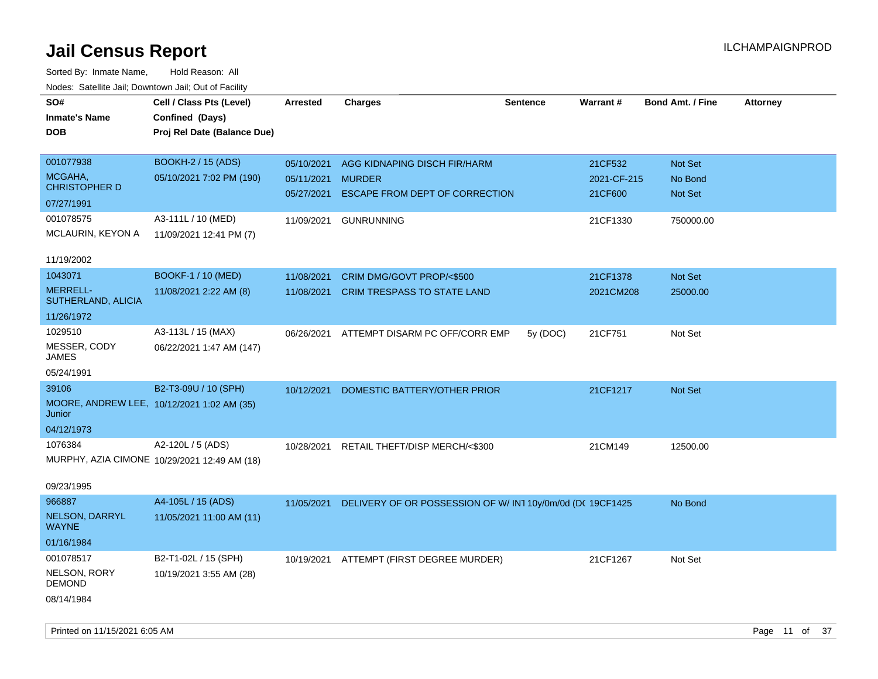| ivouss. Saleling Jali, Downtown Jali, Out of Facility |                                              |                 |                                                            |                 |             |                         |                 |
|-------------------------------------------------------|----------------------------------------------|-----------------|------------------------------------------------------------|-----------------|-------------|-------------------------|-----------------|
| SO#                                                   | Cell / Class Pts (Level)                     | <b>Arrested</b> | <b>Charges</b>                                             | <b>Sentence</b> | Warrant#    | <b>Bond Amt. / Fine</b> | <b>Attorney</b> |
| <b>Inmate's Name</b>                                  | Confined (Days)                              |                 |                                                            |                 |             |                         |                 |
| <b>DOB</b>                                            | Proj Rel Date (Balance Due)                  |                 |                                                            |                 |             |                         |                 |
|                                                       |                                              |                 |                                                            |                 |             |                         |                 |
| 001077938                                             | <b>BOOKH-2 / 15 (ADS)</b>                    | 05/10/2021      | AGG KIDNAPING DISCH FIR/HARM                               |                 | 21CF532     | Not Set                 |                 |
| MCGAHA,                                               | 05/10/2021 7:02 PM (190)                     | 05/11/2021      | <b>MURDER</b>                                              |                 | 2021-CF-215 | No Bond                 |                 |
| <b>CHRISTOPHER D</b>                                  |                                              | 05/27/2021      | ESCAPE FROM DEPT OF CORRECTION                             |                 | 21CF600     | Not Set                 |                 |
| 07/27/1991                                            |                                              |                 |                                                            |                 |             |                         |                 |
| 001078575                                             | A3-111L / 10 (MED)                           | 11/09/2021      | <b>GUNRUNNING</b>                                          |                 | 21CF1330    | 750000.00               |                 |
| MCLAURIN, KEYON A                                     | 11/09/2021 12:41 PM (7)                      |                 |                                                            |                 |             |                         |                 |
|                                                       |                                              |                 |                                                            |                 |             |                         |                 |
| 11/19/2002                                            |                                              |                 |                                                            |                 |             |                         |                 |
| 1043071                                               | BOOKF-1 / 10 (MED)                           | 11/08/2021      | CRIM DMG/GOVT PROP/<\$500                                  |                 | 21CF1378    | Not Set                 |                 |
| <b>MERRELL-</b>                                       | 11/08/2021 2:22 AM (8)                       | 11/08/2021      | CRIM TRESPASS TO STATE LAND                                |                 | 2021CM208   | 25000.00                |                 |
| SUTHERLAND, ALICIA                                    |                                              |                 |                                                            |                 |             |                         |                 |
| 11/26/1972                                            |                                              |                 |                                                            |                 |             |                         |                 |
| 1029510                                               | A3-113L / 15 (MAX)                           | 06/26/2021      | ATTEMPT DISARM PC OFF/CORR EMP                             | 5y (DOC)        | 21CF751     | Not Set                 |                 |
| MESSER, CODY<br><b>JAMES</b>                          | 06/22/2021 1:47 AM (147)                     |                 |                                                            |                 |             |                         |                 |
| 05/24/1991                                            |                                              |                 |                                                            |                 |             |                         |                 |
|                                                       |                                              |                 |                                                            |                 |             |                         |                 |
| 39106                                                 | B2-T3-09U / 10 (SPH)                         | 10/12/2021      | DOMESTIC BATTERY/OTHER PRIOR                               |                 | 21CF1217    | Not Set                 |                 |
| MOORE, ANDREW LEE, 10/12/2021 1:02 AM (35)<br>Junior  |                                              |                 |                                                            |                 |             |                         |                 |
| 04/12/1973                                            |                                              |                 |                                                            |                 |             |                         |                 |
| 1076384                                               | A2-120L / 5 (ADS)                            | 10/28/2021      | RETAIL THEFT/DISP MERCH/<\$300                             |                 | 21CM149     | 12500.00                |                 |
|                                                       | MURPHY, AZIA CIMONE 10/29/2021 12:49 AM (18) |                 |                                                            |                 |             |                         |                 |
|                                                       |                                              |                 |                                                            |                 |             |                         |                 |
| 09/23/1995                                            |                                              |                 |                                                            |                 |             |                         |                 |
| 966887                                                | A4-105L / 15 (ADS)                           | 11/05/2021      | DELIVERY OF OR POSSESSION OF W/ IN1 10y/0m/0d (DC 19CF1425 |                 |             | No Bond                 |                 |
| NELSON, DARRYL<br><b>WAYNE</b>                        | 11/05/2021 11:00 AM (11)                     |                 |                                                            |                 |             |                         |                 |
| 01/16/1984                                            |                                              |                 |                                                            |                 |             |                         |                 |
| 001078517                                             | B2-T1-02L / 15 (SPH)                         |                 | 10/19/2021 ATTEMPT (FIRST DEGREE MURDER)                   |                 | 21CF1267    | Not Set                 |                 |
| NELSON, RORY<br><b>DEMOND</b>                         | 10/19/2021 3:55 AM (28)                      |                 |                                                            |                 |             |                         |                 |
| 08/14/1984                                            |                                              |                 |                                                            |                 |             |                         |                 |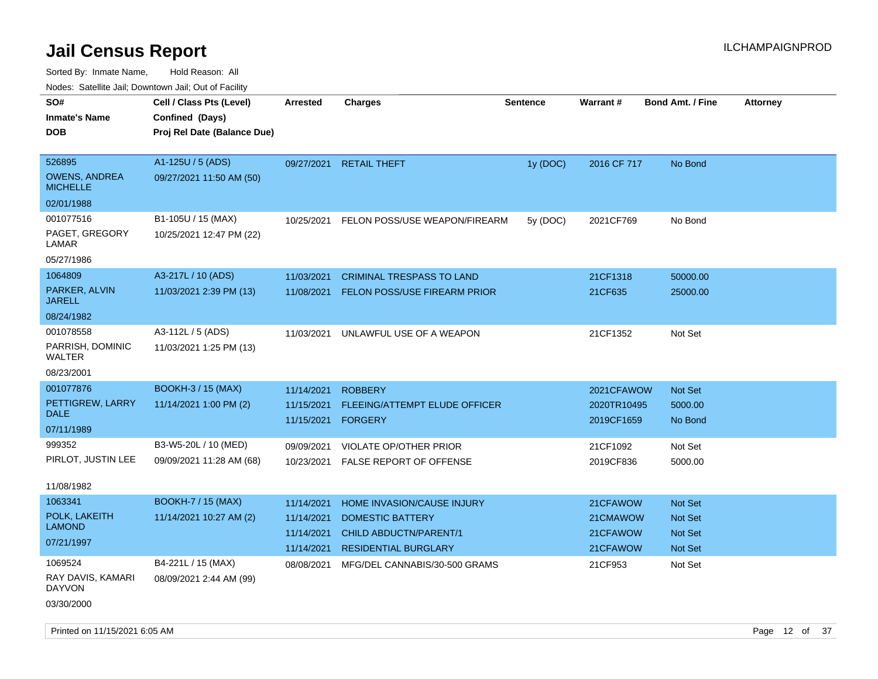| Noues. Sateme Jan, Downtown Jan, Out of Facility |                             |                 |                                     |                 |             |                         |                 |
|--------------------------------------------------|-----------------------------|-----------------|-------------------------------------|-----------------|-------------|-------------------------|-----------------|
| SO#                                              | Cell / Class Pts (Level)    | <b>Arrested</b> | <b>Charges</b>                      | <b>Sentence</b> | Warrant#    | <b>Bond Amt. / Fine</b> | <b>Attorney</b> |
| <b>Inmate's Name</b>                             | Confined (Days)             |                 |                                     |                 |             |                         |                 |
| <b>DOB</b>                                       | Proj Rel Date (Balance Due) |                 |                                     |                 |             |                         |                 |
|                                                  |                             |                 |                                     |                 |             |                         |                 |
| 526895                                           | A1-125U / 5 (ADS)           | 09/27/2021      | <b>RETAIL THEFT</b>                 | 1y (DOC)        | 2016 CF 717 | No Bond                 |                 |
| <b>OWENS, ANDREA</b><br><b>MICHELLE</b>          | 09/27/2021 11:50 AM (50)    |                 |                                     |                 |             |                         |                 |
| 02/01/1988                                       |                             |                 |                                     |                 |             |                         |                 |
| 001077516                                        | B1-105U / 15 (MAX)          | 10/25/2021      | FELON POSS/USE WEAPON/FIREARM       | 5y (DOC)        | 2021CF769   | No Bond                 |                 |
| PAGET, GREGORY<br>LAMAR                          | 10/25/2021 12:47 PM (22)    |                 |                                     |                 |             |                         |                 |
| 05/27/1986                                       |                             |                 |                                     |                 |             |                         |                 |
| 1064809                                          | A3-217L / 10 (ADS)          | 11/03/2021      | <b>CRIMINAL TRESPASS TO LAND</b>    |                 | 21CF1318    | 50000.00                |                 |
| PARKER, ALVIN<br>JARELL                          | 11/03/2021 2:39 PM (13)     | 11/08/2021      | <b>FELON POSS/USE FIREARM PRIOR</b> |                 | 21CF635     | 25000.00                |                 |
| 08/24/1982                                       |                             |                 |                                     |                 |             |                         |                 |
| 001078558                                        | A3-112L / 5 (ADS)           | 11/03/2021      | UNLAWFUL USE OF A WEAPON            |                 | 21CF1352    | Not Set                 |                 |
| PARRISH, DOMINIC<br>WALTER                       | 11/03/2021 1:25 PM (13)     |                 |                                     |                 |             |                         |                 |
| 08/23/2001                                       |                             |                 |                                     |                 |             |                         |                 |
| 001077876                                        | <b>BOOKH-3/15 (MAX)</b>     | 11/14/2021      | <b>ROBBERY</b>                      |                 | 2021CFAWOW  | <b>Not Set</b>          |                 |
| PETTIGREW, LARRY                                 | 11/14/2021 1:00 PM (2)      | 11/15/2021      | FLEEING/ATTEMPT ELUDE OFFICER       |                 | 2020TR10495 | 5000.00                 |                 |
| <b>DALE</b>                                      |                             | 11/15/2021      | <b>FORGERY</b>                      |                 | 2019CF1659  | No Bond                 |                 |
| 07/11/1989                                       |                             |                 |                                     |                 |             |                         |                 |
| 999352                                           | B3-W5-20L / 10 (MED)        | 09/09/2021      | <b>VIOLATE OP/OTHER PRIOR</b>       |                 | 21CF1092    | Not Set                 |                 |
| PIRLOT, JUSTIN LEE                               | 09/09/2021 11:28 AM (68)    | 10/23/2021      | <b>FALSE REPORT OF OFFENSE</b>      |                 | 2019CF836   | 5000.00                 |                 |
| 11/08/1982                                       |                             |                 |                                     |                 |             |                         |                 |
| 1063341                                          | <b>BOOKH-7 / 15 (MAX)</b>   | 11/14/2021      | HOME INVASION/CAUSE INJURY          |                 | 21CFAWOW    | Not Set                 |                 |
| POLK, LAKEITH                                    | 11/14/2021 10:27 AM (2)     | 11/14/2021      | <b>DOMESTIC BATTERY</b>             |                 | 21CMAWOW    | <b>Not Set</b>          |                 |
| <b>LAMOND</b>                                    |                             | 11/14/2021      | <b>CHILD ABDUCTN/PARENT/1</b>       |                 | 21CFAWOW    | <b>Not Set</b>          |                 |
| 07/21/1997                                       |                             | 11/14/2021      | <b>RESIDENTIAL BURGLARY</b>         |                 | 21CFAWOW    | <b>Not Set</b>          |                 |
| 1069524                                          | B4-221L / 15 (MAX)          | 08/08/2021      | MFG/DEL CANNABIS/30-500 GRAMS       |                 | 21CF953     | Not Set                 |                 |
| RAY DAVIS, KAMARI<br><b>DAYVON</b>               | 08/09/2021 2:44 AM (99)     |                 |                                     |                 |             |                         |                 |
| 03/30/2000                                       |                             |                 |                                     |                 |             |                         |                 |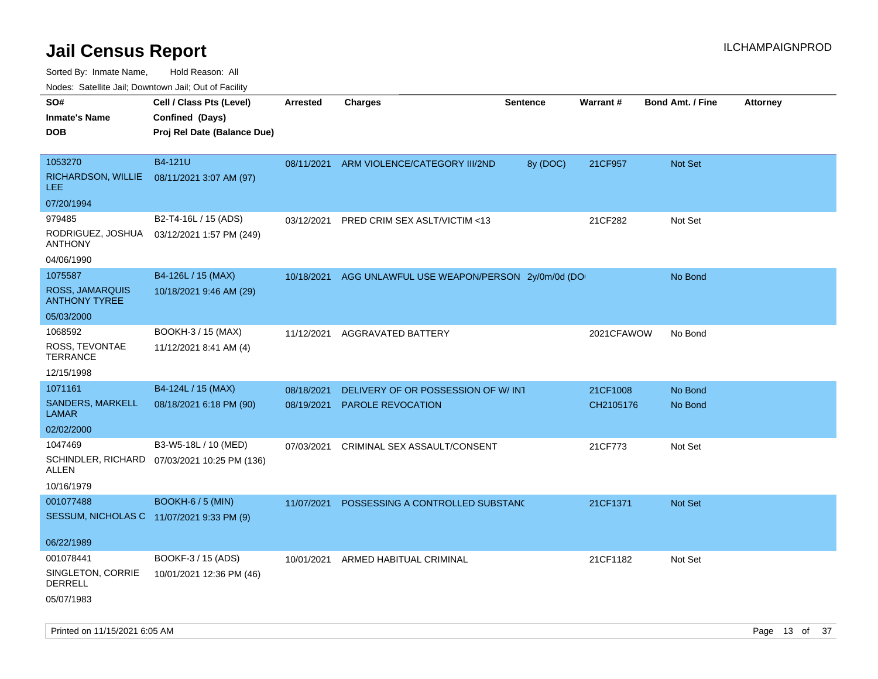Sorted By: Inmate Name, Hold Reason: All

Nodes: Satellite Jail; Downtown Jail; Out of Facility

| rougs. Calcing Jan, Downtown Jan, Out of Facility |                                              |                 |                                             |                 |                 |                         |                 |
|---------------------------------------------------|----------------------------------------------|-----------------|---------------------------------------------|-----------------|-----------------|-------------------------|-----------------|
| SO#                                               | Cell / Class Pts (Level)                     | <b>Arrested</b> | <b>Charges</b>                              | <b>Sentence</b> | <b>Warrant#</b> | <b>Bond Amt. / Fine</b> | <b>Attorney</b> |
| <b>Inmate's Name</b>                              | Confined (Days)                              |                 |                                             |                 |                 |                         |                 |
| <b>DOB</b>                                        | Proj Rel Date (Balance Due)                  |                 |                                             |                 |                 |                         |                 |
|                                                   |                                              |                 |                                             |                 |                 |                         |                 |
| 1053270                                           | B4-121U                                      | 08/11/2021      | ARM VIOLENCE/CATEGORY III/2ND               | 8y (DOC)        | 21CF957         | Not Set                 |                 |
| RICHARDSON, WILLIE<br>LEE.                        | 08/11/2021 3:07 AM (97)                      |                 |                                             |                 |                 |                         |                 |
| 07/20/1994                                        |                                              |                 |                                             |                 |                 |                         |                 |
| 979485                                            | B2-T4-16L / 15 (ADS)                         | 03/12/2021      | PRED CRIM SEX ASLT/VICTIM <13               |                 | 21CF282         | Not Set                 |                 |
| RODRIGUEZ, JOSHUA<br><b>ANTHONY</b>               | 03/12/2021 1:57 PM (249)                     |                 |                                             |                 |                 |                         |                 |
| 04/06/1990                                        |                                              |                 |                                             |                 |                 |                         |                 |
| 1075587                                           | B4-126L / 15 (MAX)                           | 10/18/2021      | AGG UNLAWFUL USE WEAPON/PERSON 2y/0m/0d (DO |                 |                 | No Bond                 |                 |
| ROSS, JAMARQUIS<br><b>ANTHONY TYREE</b>           | 10/18/2021 9:46 AM (29)                      |                 |                                             |                 |                 |                         |                 |
| 05/03/2000                                        |                                              |                 |                                             |                 |                 |                         |                 |
| 1068592                                           | BOOKH-3 / 15 (MAX)                           | 11/12/2021      | AGGRAVATED BATTERY                          |                 | 2021CFAWOW      | No Bond                 |                 |
| ROSS, TEVONTAE<br><b>TERRANCE</b>                 | 11/12/2021 8:41 AM (4)                       |                 |                                             |                 |                 |                         |                 |
| 12/15/1998                                        |                                              |                 |                                             |                 |                 |                         |                 |
| 1071161                                           | B4-124L / 15 (MAX)                           | 08/18/2021      | DELIVERY OF OR POSSESSION OF W/INT          |                 | 21CF1008        | No Bond                 |                 |
| SANDERS, MARKELL<br><b>LAMAR</b>                  | 08/18/2021 6:18 PM (90)                      | 08/19/2021      | <b>PAROLE REVOCATION</b>                    |                 | CH2105176       | No Bond                 |                 |
| 02/02/2000                                        |                                              |                 |                                             |                 |                 |                         |                 |
| 1047469                                           | B3-W5-18L / 10 (MED)                         | 07/03/2021      | CRIMINAL SEX ASSAULT/CONSENT                |                 | 21CF773         | Not Set                 |                 |
| ALLEN                                             | SCHINDLER, RICHARD 07/03/2021 10:25 PM (136) |                 |                                             |                 |                 |                         |                 |
| 10/16/1979                                        |                                              |                 |                                             |                 |                 |                         |                 |
| 001077488                                         | BOOKH-6 / 5 (MIN)                            | 11/07/2021      | POSSESSING A CONTROLLED SUBSTANC            |                 | 21CF1371        | <b>Not Set</b>          |                 |
| SESSUM, NICHOLAS C 11/07/2021 9:33 PM (9)         |                                              |                 |                                             |                 |                 |                         |                 |
|                                                   |                                              |                 |                                             |                 |                 |                         |                 |
| 06/22/1989                                        |                                              |                 |                                             |                 |                 |                         |                 |
| 001078441                                         | BOOKF-3 / 15 (ADS)                           | 10/01/2021      | ARMED HABITUAL CRIMINAL                     |                 | 21CF1182        | Not Set                 |                 |
| SINGLETON, CORRIE<br>DERRELL                      | 10/01/2021 12:36 PM (46)                     |                 |                                             |                 |                 |                         |                 |
| 05/07/1983                                        |                                              |                 |                                             |                 |                 |                         |                 |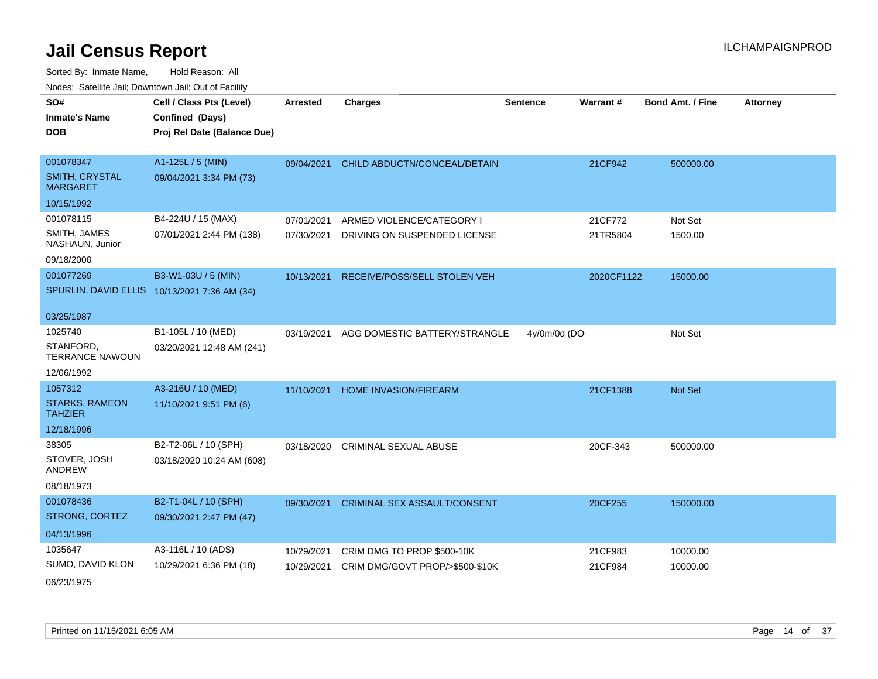| SO#                                     | Cell / Class Pts (Level)    | <b>Arrested</b> | <b>Charges</b>                          | <b>Sentence</b> | Warrant#   | <b>Bond Amt. / Fine</b> | <b>Attorney</b> |
|-----------------------------------------|-----------------------------|-----------------|-----------------------------------------|-----------------|------------|-------------------------|-----------------|
| <b>Inmate's Name</b>                    | Confined (Days)             |                 |                                         |                 |            |                         |                 |
| <b>DOB</b>                              | Proj Rel Date (Balance Due) |                 |                                         |                 |            |                         |                 |
|                                         |                             |                 |                                         |                 |            |                         |                 |
| 001078347                               | A1-125L / 5 (MIN)           | 09/04/2021      | CHILD ABDUCTN/CONCEAL/DETAIN            |                 | 21CF942    | 500000.00               |                 |
| SMITH, CRYSTAL<br><b>MARGARET</b>       | 09/04/2021 3:34 PM (73)     |                 |                                         |                 |            |                         |                 |
| 10/15/1992                              |                             |                 |                                         |                 |            |                         |                 |
| 001078115                               | B4-224U / 15 (MAX)          | 07/01/2021      | ARMED VIOLENCE/CATEGORY I               |                 | 21CF772    | Not Set                 |                 |
| SMITH, JAMES<br>NASHAUN, Junior         | 07/01/2021 2:44 PM (138)    | 07/30/2021      | DRIVING ON SUSPENDED LICENSE            |                 | 21TR5804   | 1500.00                 |                 |
| 09/18/2000                              |                             |                 |                                         |                 |            |                         |                 |
| 001077269                               | B3-W1-03U / 5 (MIN)         |                 | 10/13/2021 RECEIVE/POSS/SELL STOLEN VEH |                 | 2020CF1122 | 15000.00                |                 |
| SPURLIN, DAVID ELLIS                    | 10/13/2021 7:36 AM (34)     |                 |                                         |                 |            |                         |                 |
|                                         |                             |                 |                                         |                 |            |                         |                 |
| 03/25/1987                              |                             |                 |                                         |                 |            |                         |                 |
| 1025740                                 | B1-105L / 10 (MED)          | 03/19/2021      | AGG DOMESTIC BATTERY/STRANGLE           | 4y/0m/0d (DO    |            | Not Set                 |                 |
| STANFORD,<br><b>TERRANCE NAWOUN</b>     | 03/20/2021 12:48 AM (241)   |                 |                                         |                 |            |                         |                 |
| 12/06/1992                              |                             |                 |                                         |                 |            |                         |                 |
| 1057312                                 | A3-216U / 10 (MED)          | 11/10/2021      | HOME INVASION/FIREARM                   |                 | 21CF1388   | Not Set                 |                 |
| <b>STARKS, RAMEON</b><br><b>TAHZIER</b> | 11/10/2021 9:51 PM (6)      |                 |                                         |                 |            |                         |                 |
| 12/18/1996                              |                             |                 |                                         |                 |            |                         |                 |
| 38305                                   | B2-T2-06L / 10 (SPH)        | 03/18/2020      | CRIMINAL SEXUAL ABUSE                   |                 | 20CF-343   | 500000.00               |                 |
| STOVER, JOSH<br><b>ANDREW</b>           | 03/18/2020 10:24 AM (608)   |                 |                                         |                 |            |                         |                 |
| 08/18/1973                              |                             |                 |                                         |                 |            |                         |                 |
| 001078436                               | B2-T1-04L / 10 (SPH)        | 09/30/2021      | <b>CRIMINAL SEX ASSAULT/CONSENT</b>     |                 | 20CF255    | 150000.00               |                 |
| STRONG, CORTEZ                          | 09/30/2021 2:47 PM (47)     |                 |                                         |                 |            |                         |                 |
| 04/13/1996                              |                             |                 |                                         |                 |            |                         |                 |
| 1035647                                 | A3-116L / 10 (ADS)          | 10/29/2021      | CRIM DMG TO PROP \$500-10K              |                 | 21CF983    | 10000.00                |                 |
| SUMO, DAVID KLON                        | 10/29/2021 6:36 PM (18)     | 10/29/2021      | CRIM DMG/GOVT PROP/>\$500-\$10K         |                 | 21CF984    | 10000.00                |                 |
| 06/23/1975                              |                             |                 |                                         |                 |            |                         |                 |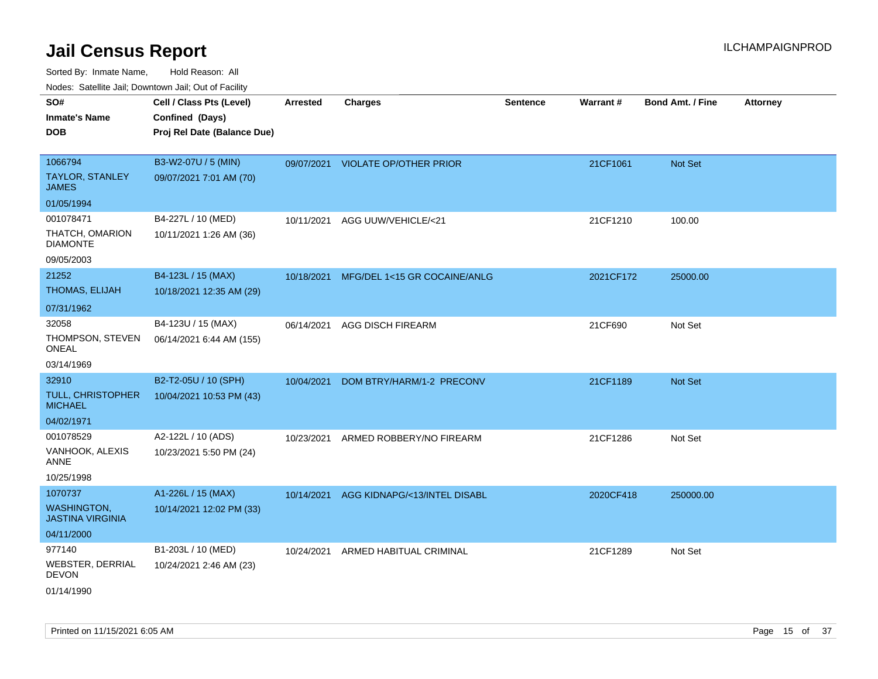| SO#<br><b>Inmate's Name</b><br><b>DOB</b>                                   | Cell / Class Pts (Level)<br>Confined (Days)<br>Proj Rel Date (Balance Due) | <b>Arrested</b> | <b>Charges</b>                          | <b>Sentence</b> | <b>Warrant#</b> | <b>Bond Amt. / Fine</b> | <b>Attorney</b> |
|-----------------------------------------------------------------------------|----------------------------------------------------------------------------|-----------------|-----------------------------------------|-----------------|-----------------|-------------------------|-----------------|
| 1066794<br><b>TAYLOR, STANLEY</b><br><b>JAMES</b>                           | B3-W2-07U / 5 (MIN)<br>09/07/2021 7:01 AM (70)                             |                 | 09/07/2021 VIOLATE OP/OTHER PRIOR       |                 | 21CF1061        | Not Set                 |                 |
| 01/05/1994<br>001078471<br>THATCH, OMARION<br><b>DIAMONTE</b><br>09/05/2003 | B4-227L / 10 (MED)<br>10/11/2021 1:26 AM (36)                              | 10/11/2021      | AGG UUW/VEHICLE/<21                     |                 | 21CF1210        | 100.00                  |                 |
| 21252<br>THOMAS, ELIJAH<br>07/31/1962                                       | B4-123L / 15 (MAX)<br>10/18/2021 12:35 AM (29)                             |                 | 10/18/2021 MFG/DEL 1<15 GR COCAINE/ANLG |                 | 2021CF172       | 25000.00                |                 |
| 32058<br>THOMPSON, STEVEN<br>ONEAL<br>03/14/1969                            | B4-123U / 15 (MAX)<br>06/14/2021 6:44 AM (155)                             | 06/14/2021      | <b>AGG DISCH FIREARM</b>                |                 | 21CF690         | Not Set                 |                 |
| 32910<br><b>TULL, CHRISTOPHER</b><br><b>MICHAEL</b><br>04/02/1971           | B2-T2-05U / 10 (SPH)<br>10/04/2021 10:53 PM (43)                           | 10/04/2021      | DOM BTRY/HARM/1-2 PRECONV               |                 | 21CF1189        | <b>Not Set</b>          |                 |
| 001078529<br>VANHOOK, ALEXIS<br>ANNE<br>10/25/1998                          | A2-122L / 10 (ADS)<br>10/23/2021 5:50 PM (24)                              | 10/23/2021      | ARMED ROBBERY/NO FIREARM                |                 | 21CF1286        | Not Set                 |                 |
| 1070737<br><b>WASHINGTON,</b><br><b>JASTINA VIRGINIA</b><br>04/11/2000      | A1-226L / 15 (MAX)<br>10/14/2021 12:02 PM (33)                             | 10/14/2021      | AGG KIDNAPG/<13/INTEL DISABL            |                 | 2020CF418       | 250000.00               |                 |
| 977140<br><b>WEBSTER, DERRIAL</b><br>DEVON<br>01/14/1990                    | B1-203L / 10 (MED)<br>10/24/2021 2:46 AM (23)                              | 10/24/2021      | ARMED HABITUAL CRIMINAL                 |                 | 21CF1289        | Not Set                 |                 |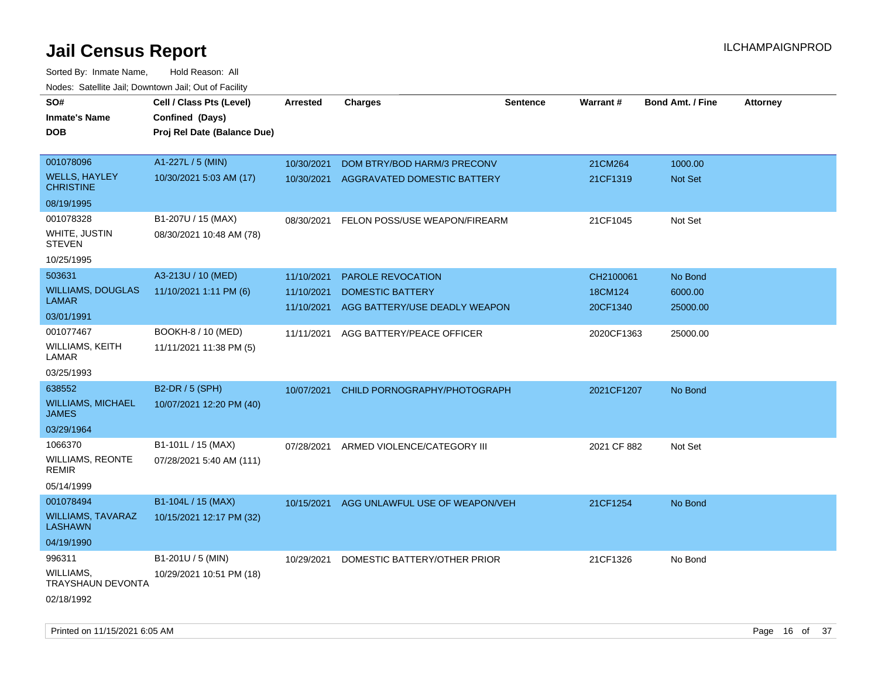| roaco. Calcinio dan, Downtown dan, Out or Fability |                             |            |                                |                 |             |                         |                 |
|----------------------------------------------------|-----------------------------|------------|--------------------------------|-----------------|-------------|-------------------------|-----------------|
| SO#                                                | Cell / Class Pts (Level)    | Arrested   | <b>Charges</b>                 | <b>Sentence</b> | Warrant#    | <b>Bond Amt. / Fine</b> | <b>Attorney</b> |
| <b>Inmate's Name</b>                               | Confined (Days)             |            |                                |                 |             |                         |                 |
| DOB                                                | Proj Rel Date (Balance Due) |            |                                |                 |             |                         |                 |
|                                                    |                             |            |                                |                 |             |                         |                 |
| 001078096                                          | A1-227L / 5 (MIN)           | 10/30/2021 | DOM BTRY/BOD HARM/3 PRECONV    |                 | 21CM264     | 1000.00                 |                 |
| <b>WELLS, HAYLEY</b><br><b>CHRISTINE</b>           | 10/30/2021 5:03 AM (17)     | 10/30/2021 | AGGRAVATED DOMESTIC BATTERY    |                 | 21CF1319    | Not Set                 |                 |
| 08/19/1995                                         |                             |            |                                |                 |             |                         |                 |
| 001078328                                          | B1-207U / 15 (MAX)          | 08/30/2021 | FELON POSS/USE WEAPON/FIREARM  |                 | 21CF1045    | Not Set                 |                 |
| WHITE, JUSTIN<br><b>STEVEN</b>                     | 08/30/2021 10:48 AM (78)    |            |                                |                 |             |                         |                 |
| 10/25/1995                                         |                             |            |                                |                 |             |                         |                 |
| 503631                                             | A3-213U / 10 (MED)          | 11/10/2021 | <b>PAROLE REVOCATION</b>       |                 | CH2100061   | No Bond                 |                 |
| <b>WILLIAMS, DOUGLAS</b>                           | 11/10/2021 1:11 PM (6)      | 11/10/2021 | <b>DOMESTIC BATTERY</b>        |                 | 18CM124     | 6000.00                 |                 |
| <b>LAMAR</b>                                       |                             | 11/10/2021 | AGG BATTERY/USE DEADLY WEAPON  |                 | 20CF1340    | 25000.00                |                 |
| 03/01/1991                                         |                             |            |                                |                 |             |                         |                 |
| 001077467                                          | BOOKH-8 / 10 (MED)          | 11/11/2021 | AGG BATTERY/PEACE OFFICER      |                 | 2020CF1363  | 25000.00                |                 |
| WILLIAMS, KEITH<br>LAMAR                           | 11/11/2021 11:38 PM (5)     |            |                                |                 |             |                         |                 |
| 03/25/1993                                         |                             |            |                                |                 |             |                         |                 |
| 638552                                             | B2-DR / 5 (SPH)             | 10/07/2021 | CHILD PORNOGRAPHY/PHOTOGRAPH   |                 | 2021CF1207  | No Bond                 |                 |
| <b>WILLIAMS, MICHAEL</b><br><b>JAMES</b>           | 10/07/2021 12:20 PM (40)    |            |                                |                 |             |                         |                 |
| 03/29/1964                                         |                             |            |                                |                 |             |                         |                 |
| 1066370                                            | B1-101L / 15 (MAX)          | 07/28/2021 | ARMED VIOLENCE/CATEGORY III    |                 | 2021 CF 882 | Not Set                 |                 |
| <b>WILLIAMS, REONTE</b><br>REMIR                   | 07/28/2021 5:40 AM (111)    |            |                                |                 |             |                         |                 |
| 05/14/1999                                         |                             |            |                                |                 |             |                         |                 |
| 001078494                                          | B1-104L / 15 (MAX)          | 10/15/2021 | AGG UNLAWFUL USE OF WEAPON/VEH |                 | 21CF1254    | No Bond                 |                 |
| <b>WILLIAMS, TAVARAZ</b><br><b>LASHAWN</b>         | 10/15/2021 12:17 PM (32)    |            |                                |                 |             |                         |                 |
| 04/19/1990                                         |                             |            |                                |                 |             |                         |                 |
| 996311                                             | B1-201U / 5 (MIN)           | 10/29/2021 | DOMESTIC BATTERY/OTHER PRIOR   |                 | 21CF1326    | No Bond                 |                 |
| WILLIAMS,<br><b>TRAYSHAUN DEVONTA</b>              | 10/29/2021 10:51 PM (18)    |            |                                |                 |             |                         |                 |
| 02/18/1992                                         |                             |            |                                |                 |             |                         |                 |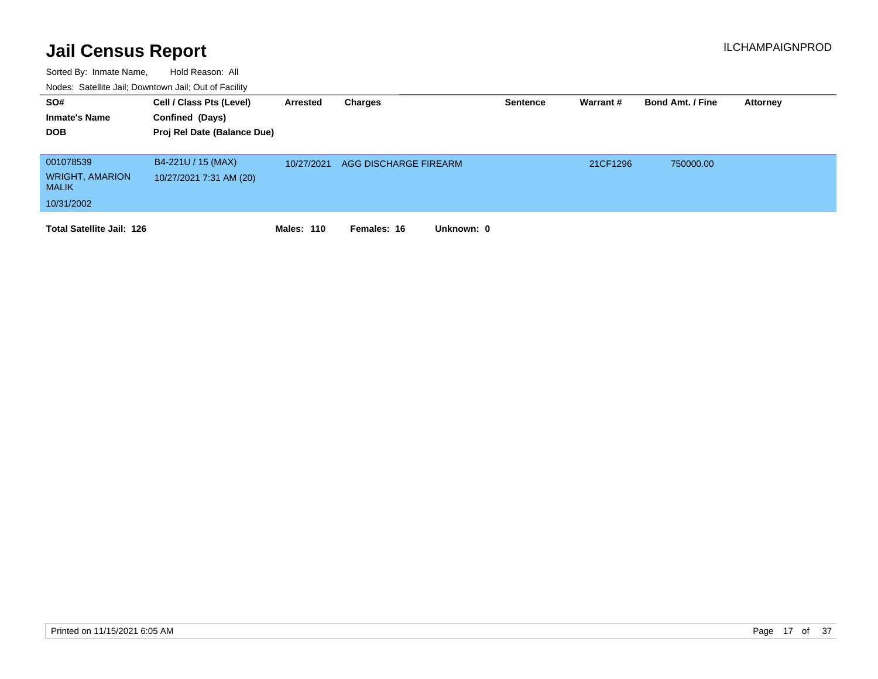| SO#<br><b>Inmate's Name</b><br><b>DOB</b>                         | Cell / Class Pts (Level)<br>Confined (Days)<br>Proj Rel Date (Balance Due) | Arrested          | Charges                   | <b>Sentence</b> | Warrant # | <b>Bond Amt. / Fine</b> | <b>Attorney</b> |
|-------------------------------------------------------------------|----------------------------------------------------------------------------|-------------------|---------------------------|-----------------|-----------|-------------------------|-----------------|
| 001078539<br><b>WRIGHT, AMARION</b><br><b>MALIK</b><br>10/31/2002 | B4-221U / 15 (MAX)<br>10/27/2021 7:31 AM (20)                              | 10/27/2021        | AGG DISCHARGE FIREARM     |                 | 21CF1296  | 750000.00               |                 |
| <b>Total Satellite Jail: 126</b>                                  |                                                                            | <b>Males: 110</b> | Females: 16<br>Unknown: 0 |                 |           |                         |                 |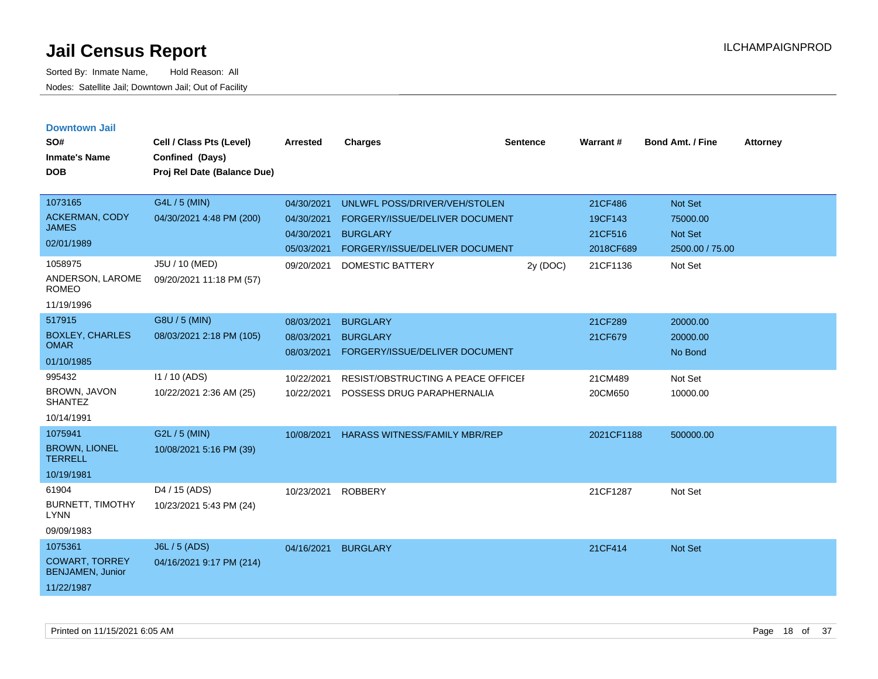| <b>Downtown Jail</b> |  |
|----------------------|--|
|                      |  |

| SO#<br><b>Inmate's Name</b><br><b>DOB</b>                                 | Cell / Class Pts (Level)<br>Confined (Days)<br>Proj Rel Date (Balance Due) | <b>Arrested</b>                                      | <b>Charges</b>                                                                                                       | <b>Sentence</b> | Warrant#                                   | Bond Amt. / Fine                                  | <b>Attorney</b> |
|---------------------------------------------------------------------------|----------------------------------------------------------------------------|------------------------------------------------------|----------------------------------------------------------------------------------------------------------------------|-----------------|--------------------------------------------|---------------------------------------------------|-----------------|
| 1073165<br><b>ACKERMAN, CODY</b><br><b>JAMES</b><br>02/01/1989            | G4L / 5 (MIN)<br>04/30/2021 4:48 PM (200)                                  | 04/30/2021<br>04/30/2021<br>04/30/2021<br>05/03/2021 | UNLWFL POSS/DRIVER/VEH/STOLEN<br>FORGERY/ISSUE/DELIVER DOCUMENT<br><b>BURGLARY</b><br>FORGERY/ISSUE/DELIVER DOCUMENT |                 | 21CF486<br>19CF143<br>21CF516<br>2018CF689 | Not Set<br>75000.00<br>Not Set<br>2500.00 / 75.00 |                 |
| 1058975<br>ANDERSON, LAROME<br><b>ROMEO</b><br>11/19/1996                 | J5U / 10 (MED)<br>09/20/2021 11:18 PM (57)                                 | 09/20/2021                                           | DOMESTIC BATTERY                                                                                                     | 2y (DOC)        | 21CF1136                                   | Not Set                                           |                 |
| 517915<br><b>BOXLEY, CHARLES</b><br><b>OMAR</b><br>01/10/1985             | G8U / 5 (MIN)<br>08/03/2021 2:18 PM (105)                                  | 08/03/2021<br>08/03/2021<br>08/03/2021               | <b>BURGLARY</b><br><b>BURGLARY</b><br>FORGERY/ISSUE/DELIVER DOCUMENT                                                 |                 | 21CF289<br>21CF679                         | 20000.00<br>20000.00<br>No Bond                   |                 |
| 995432<br>BROWN, JAVON<br><b>SHANTEZ</b><br>10/14/1991                    | I1 / 10 (ADS)<br>10/22/2021 2:36 AM (25)                                   | 10/22/2021<br>10/22/2021                             | RESIST/OBSTRUCTING A PEACE OFFICEI<br>POSSESS DRUG PARAPHERNALIA                                                     |                 | 21CM489<br>20CM650                         | Not Set<br>10000.00                               |                 |
| 1075941<br><b>BROWN, LIONEL</b><br><b>TERRELL</b><br>10/19/1981           | G2L / 5 (MIN)<br>10/08/2021 5:16 PM (39)                                   | 10/08/2021                                           | <b>HARASS WITNESS/FAMILY MBR/REP</b>                                                                                 |                 | 2021CF1188                                 | 500000.00                                         |                 |
| 61904<br><b>BURNETT, TIMOTHY</b><br><b>LYNN</b><br>09/09/1983             | D <sub>4</sub> / 15 (ADS)<br>10/23/2021 5:43 PM (24)                       | 10/23/2021                                           | <b>ROBBERY</b>                                                                                                       |                 | 21CF1287                                   | Not Set                                           |                 |
| 1075361<br><b>COWART, TORREY</b><br><b>BENJAMEN, Junior</b><br>11/22/1987 | J6L / 5 (ADS)<br>04/16/2021 9:17 PM (214)                                  | 04/16/2021                                           | <b>BURGLARY</b>                                                                                                      |                 | 21CF414                                    | Not Set                                           |                 |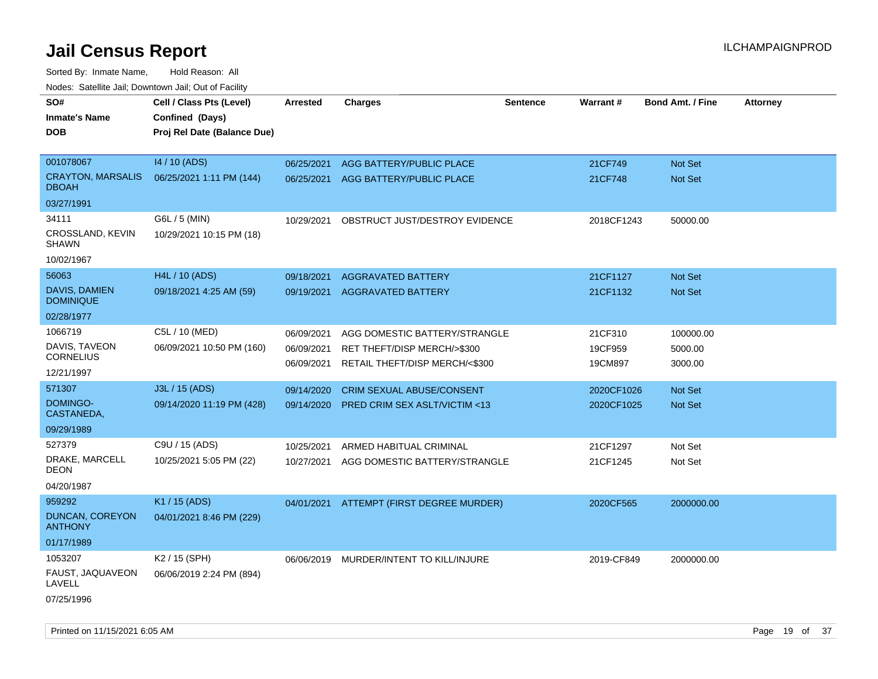| roucs. Calcillic Jali, Downtown Jali, Out of Facility |                                             |                 |                                          |                 |            |                         |                 |
|-------------------------------------------------------|---------------------------------------------|-----------------|------------------------------------------|-----------------|------------|-------------------------|-----------------|
| SO#<br><b>Inmate's Name</b>                           | Cell / Class Pts (Level)<br>Confined (Days) | <b>Arrested</b> | <b>Charges</b>                           | <b>Sentence</b> | Warrant#   | <b>Bond Amt. / Fine</b> | <b>Attorney</b> |
| <b>DOB</b>                                            | Proj Rel Date (Balance Due)                 |                 |                                          |                 |            |                         |                 |
| 001078067                                             | 14 / 10 (ADS)                               | 06/25/2021      | AGG BATTERY/PUBLIC PLACE                 |                 | 21CF749    | <b>Not Set</b>          |                 |
| <b>CRAYTON, MARSALIS</b><br><b>DBOAH</b>              | 06/25/2021 1:11 PM (144)                    | 06/25/2021      | AGG BATTERY/PUBLIC PLACE                 |                 | 21CF748    | <b>Not Set</b>          |                 |
| 03/27/1991                                            |                                             |                 |                                          |                 |            |                         |                 |
| 34111                                                 | G6L / 5 (MIN)                               | 10/29/2021      | OBSTRUCT JUST/DESTROY EVIDENCE           |                 | 2018CF1243 | 50000.00                |                 |
| CROSSLAND, KEVIN<br><b>SHAWN</b>                      | 10/29/2021 10:15 PM (18)                    |                 |                                          |                 |            |                         |                 |
| 10/02/1967                                            |                                             |                 |                                          |                 |            |                         |                 |
| 56063                                                 | H4L / 10 (ADS)                              | 09/18/2021      | <b>AGGRAVATED BATTERY</b>                |                 | 21CF1127   | Not Set                 |                 |
| <b>DAVIS, DAMIEN</b><br><b>DOMINIQUE</b>              | 09/18/2021 4:25 AM (59)                     | 09/19/2021      | <b>AGGRAVATED BATTERY</b>                |                 | 21CF1132   | Not Set                 |                 |
| 02/28/1977                                            |                                             |                 |                                          |                 |            |                         |                 |
| 1066719                                               | C5L / 10 (MED)                              | 06/09/2021      | AGG DOMESTIC BATTERY/STRANGLE            |                 | 21CF310    | 100000.00               |                 |
| DAVIS, TAVEON<br><b>CORNELIUS</b>                     | 06/09/2021 10:50 PM (160)                   | 06/09/2021      | RET THEFT/DISP MERCH/>\$300              |                 | 19CF959    | 5000.00                 |                 |
| 12/21/1997                                            |                                             | 06/09/2021      | RETAIL THEFT/DISP MERCH/<\$300           |                 | 19CM897    | 3000.00                 |                 |
| 571307                                                | J3L / 15 (ADS)                              | 09/14/2020      | CRIM SEXUAL ABUSE/CONSENT                |                 | 2020CF1026 | Not Set                 |                 |
| DOMINGO-<br>CASTANEDA,                                | 09/14/2020 11:19 PM (428)                   | 09/14/2020      | <b>PRED CRIM SEX ASLT/VICTIM &lt;13</b>  |                 | 2020CF1025 | <b>Not Set</b>          |                 |
| 09/29/1989                                            |                                             |                 |                                          |                 |            |                         |                 |
| 527379                                                | C9U / 15 (ADS)                              | 10/25/2021      | ARMED HABITUAL CRIMINAL                  |                 | 21CF1297   | Not Set                 |                 |
| DRAKE, MARCELL<br>DEON                                | 10/25/2021 5:05 PM (22)                     | 10/27/2021      | AGG DOMESTIC BATTERY/STRANGLE            |                 | 21CF1245   | Not Set                 |                 |
| 04/20/1987                                            |                                             |                 |                                          |                 |            |                         |                 |
| 959292                                                | K1 / 15 (ADS)                               |                 | 04/01/2021 ATTEMPT (FIRST DEGREE MURDER) |                 | 2020CF565  | 2000000.00              |                 |
| <b>DUNCAN, COREYON</b><br><b>ANTHONY</b>              | 04/01/2021 8:46 PM (229)                    |                 |                                          |                 |            |                         |                 |
| 01/17/1989                                            |                                             |                 |                                          |                 |            |                         |                 |
| 1053207                                               | K <sub>2</sub> / 15 (SPH)                   |                 | 06/06/2019 MURDER/INTENT TO KILL/INJURE  |                 | 2019-CF849 | 2000000.00              |                 |
| FAUST, JAQUAVEON<br>LAVELL                            | 06/06/2019 2:24 PM (894)                    |                 |                                          |                 |            |                         |                 |
| 07/25/1996                                            |                                             |                 |                                          |                 |            |                         |                 |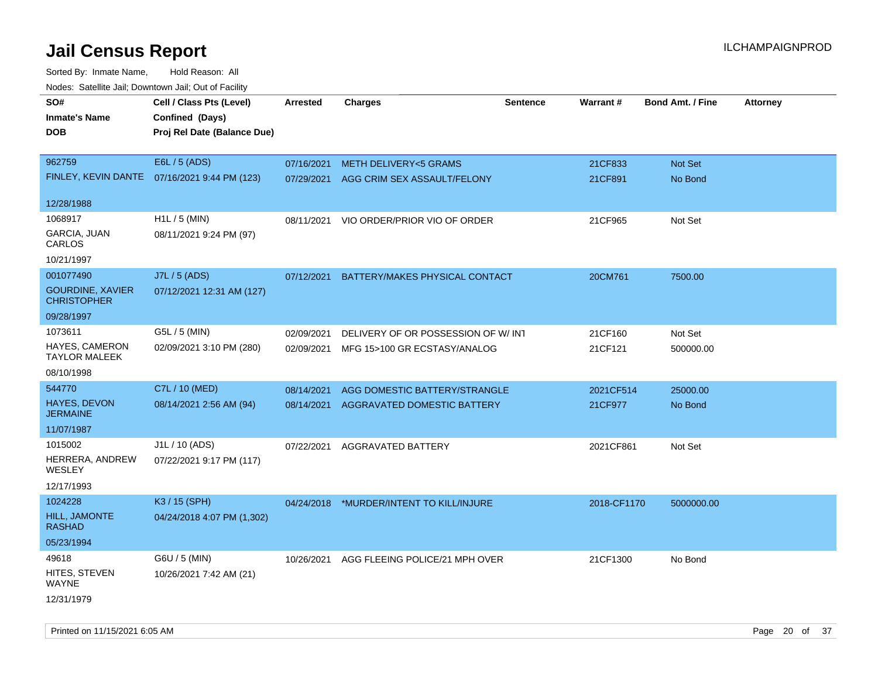Sorted By: Inmate Name, Hold Reason: All Nodes: Satellite Jail; Downtown Jail; Out of Facility

| ivouss. Saleling Jali, Downtown Jali, Out of Facility |                                              |                 |                                          |                 |             |                         |                 |
|-------------------------------------------------------|----------------------------------------------|-----------------|------------------------------------------|-----------------|-------------|-------------------------|-----------------|
| SO#                                                   | Cell / Class Pts (Level)                     | <b>Arrested</b> | <b>Charges</b>                           | <b>Sentence</b> | Warrant#    | <b>Bond Amt. / Fine</b> | <b>Attorney</b> |
| <b>Inmate's Name</b>                                  | Confined (Days)                              |                 |                                          |                 |             |                         |                 |
| <b>DOB</b>                                            | Proj Rel Date (Balance Due)                  |                 |                                          |                 |             |                         |                 |
|                                                       |                                              |                 |                                          |                 |             |                         |                 |
| 962759                                                | E6L / 5 (ADS)                                | 07/16/2021      | <b>METH DELIVERY&lt;5 GRAMS</b>          |                 | 21CF833     | Not Set                 |                 |
|                                                       | FINLEY, KEVIN DANTE 07/16/2021 9:44 PM (123) | 07/29/2021      | AGG CRIM SEX ASSAULT/FELONY              |                 | 21CF891     | No Bond                 |                 |
|                                                       |                                              |                 |                                          |                 |             |                         |                 |
| 12/28/1988                                            |                                              |                 |                                          |                 |             |                         |                 |
| 1068917                                               | H1L / 5 (MIN)                                | 08/11/2021      | VIO ORDER/PRIOR VIO OF ORDER             |                 | 21CF965     | Not Set                 |                 |
| <b>GARCIA, JUAN</b><br>CARLOS                         | 08/11/2021 9:24 PM (97)                      |                 |                                          |                 |             |                         |                 |
| 10/21/1997                                            |                                              |                 |                                          |                 |             |                         |                 |
| 001077490                                             | J7L / 5 (ADS)                                | 07/12/2021      | BATTERY/MAKES PHYSICAL CONTACT           |                 | 20CM761     | 7500.00                 |                 |
| <b>GOURDINE, XAVIER</b><br><b>CHRISTOPHER</b>         | 07/12/2021 12:31 AM (127)                    |                 |                                          |                 |             |                         |                 |
| 09/28/1997                                            |                                              |                 |                                          |                 |             |                         |                 |
| 1073611                                               | G5L / 5 (MIN)                                | 02/09/2021      | DELIVERY OF OR POSSESSION OF W/INT       |                 | 21CF160     | Not Set                 |                 |
| <b>HAYES, CAMERON</b>                                 | 02/09/2021 3:10 PM (280)                     | 02/09/2021      | MFG 15>100 GR ECSTASY/ANALOG             |                 | 21CF121     | 500000.00               |                 |
| <b>TAYLOR MALEEK</b>                                  |                                              |                 |                                          |                 |             |                         |                 |
| 08/10/1998                                            |                                              |                 |                                          |                 |             |                         |                 |
| 544770                                                | C7L / 10 (MED)                               | 08/14/2021      | AGG DOMESTIC BATTERY/STRANGLE            |                 | 2021CF514   | 25000.00                |                 |
| HAYES, DEVON<br><b>JERMAINE</b>                       | 08/14/2021 2:56 AM (94)                      | 08/14/2021      | AGGRAVATED DOMESTIC BATTERY              |                 | 21CF977     | No Bond                 |                 |
| 11/07/1987                                            |                                              |                 |                                          |                 |             |                         |                 |
| 1015002                                               | J1L / 10 (ADS)                               | 07/22/2021      | AGGRAVATED BATTERY                       |                 | 2021CF861   | Not Set                 |                 |
| HERRERA, ANDREW<br><b>WESLEY</b>                      | 07/22/2021 9:17 PM (117)                     |                 |                                          |                 |             |                         |                 |
| 12/17/1993                                            |                                              |                 |                                          |                 |             |                         |                 |
| 1024228                                               | K3 / 15 (SPH)                                |                 | 04/24/2018 *MURDER/INTENT TO KILL/INJURE |                 | 2018-CF1170 | 5000000.00              |                 |
| HILL, JAMONTE<br><b>RASHAD</b>                        | 04/24/2018 4:07 PM (1,302)                   |                 |                                          |                 |             |                         |                 |
| 05/23/1994                                            |                                              |                 |                                          |                 |             |                         |                 |
| 49618                                                 | G6U / 5 (MIN)                                | 10/26/2021      | AGG FLEEING POLICE/21 MPH OVER           |                 | 21CF1300    | No Bond                 |                 |
| HITES, STEVEN<br>WAYNE                                | 10/26/2021 7:42 AM (21)                      |                 |                                          |                 |             |                         |                 |
| 12/31/1979                                            |                                              |                 |                                          |                 |             |                         |                 |

Printed on 11/15/2021 6:05 AM **Page 20 of 37**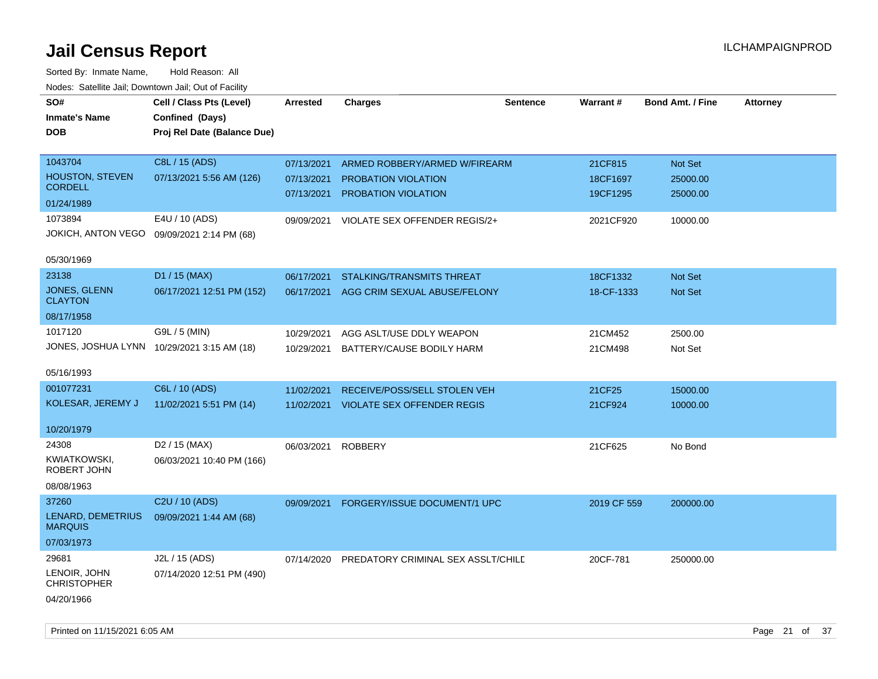| SO#<br><b>Inmate's Name</b><br><b>DOB</b>  | Cell / Class Pts (Level)<br>Confined (Days)<br>Proj Rel Date (Balance Due) | <b>Arrested</b> | <b>Charges</b>                     | <b>Sentence</b> | Warrant#    | <b>Bond Amt. / Fine</b> | <b>Attorney</b> |
|--------------------------------------------|----------------------------------------------------------------------------|-----------------|------------------------------------|-----------------|-------------|-------------------------|-----------------|
| 1043704                                    | C8L / 15 (ADS)                                                             | 07/13/2021      | ARMED ROBBERY/ARMED W/FIREARM      |                 | 21CF815     | Not Set                 |                 |
| <b>HOUSTON, STEVEN</b><br><b>CORDELL</b>   | 07/13/2021 5:56 AM (126)                                                   | 07/13/2021      | PROBATION VIOLATION                |                 | 18CF1697    | 25000.00                |                 |
| 01/24/1989                                 |                                                                            | 07/13/2021      | PROBATION VIOLATION                |                 | 19CF1295    | 25000.00                |                 |
| 1073894                                    | E4U / 10 (ADS)                                                             | 09/09/2021      | VIOLATE SEX OFFENDER REGIS/2+      |                 | 2021CF920   | 10000.00                |                 |
| JOKICH, ANTON VEGO                         | 09/09/2021 2:14 PM (68)                                                    |                 |                                    |                 |             |                         |                 |
| 05/30/1969                                 |                                                                            |                 |                                    |                 |             |                         |                 |
| 23138                                      | D1 / 15 (MAX)                                                              | 06/17/2021      | <b>STALKING/TRANSMITS THREAT</b>   |                 | 18CF1332    | <b>Not Set</b>          |                 |
| JONES, GLENN<br><b>CLAYTON</b>             | 06/17/2021 12:51 PM (152)                                                  | 06/17/2021      | AGG CRIM SEXUAL ABUSE/FELONY       |                 | 18-CF-1333  | Not Set                 |                 |
| 08/17/1958                                 |                                                                            |                 |                                    |                 |             |                         |                 |
| 1017120                                    | G9L / 5 (MIN)                                                              | 10/29/2021      | AGG ASLT/USE DDLY WEAPON           |                 | 21CM452     | 2500.00                 |                 |
| JONES, JOSHUA LYNN 10/29/2021 3:15 AM (18) |                                                                            | 10/29/2021      | BATTERY/CAUSE BODILY HARM          |                 | 21CM498     | Not Set                 |                 |
| 05/16/1993                                 |                                                                            |                 |                                    |                 |             |                         |                 |
| 001077231                                  | C6L / 10 (ADS)                                                             | 11/02/2021      | RECEIVE/POSS/SELL STOLEN VEH       |                 | 21CF25      | 15000.00                |                 |
| KOLESAR, JEREMY J                          | 11/02/2021 5:51 PM (14)                                                    | 11/02/2021      | <b>VIOLATE SEX OFFENDER REGIS</b>  |                 | 21CF924     | 10000.00                |                 |
| 10/20/1979                                 |                                                                            |                 |                                    |                 |             |                         |                 |
| 24308                                      | D <sub>2</sub> / 15 (MAX)                                                  | 06/03/2021      | <b>ROBBERY</b>                     |                 | 21CF625     | No Bond                 |                 |
| KWIATKOWSKI,<br>ROBERT JOHN                | 06/03/2021 10:40 PM (166)                                                  |                 |                                    |                 |             |                         |                 |
| 08/08/1963                                 |                                                                            |                 |                                    |                 |             |                         |                 |
| 37260                                      | C2U / 10 (ADS)                                                             | 09/09/2021      | FORGERY/ISSUE DOCUMENT/1 UPC       |                 | 2019 CF 559 | 200000.00               |                 |
| LENARD, DEMETRIUS<br><b>MARQUIS</b>        | 09/09/2021 1:44 AM (68)                                                    |                 |                                    |                 |             |                         |                 |
| 07/03/1973                                 |                                                                            |                 |                                    |                 |             |                         |                 |
| 29681                                      | J2L / 15 (ADS)                                                             | 07/14/2020      | PREDATORY CRIMINAL SEX ASSLT/CHILD |                 | 20CF-781    | 250000.00               |                 |
| LENOIR, JOHN<br><b>CHRISTOPHER</b>         | 07/14/2020 12:51 PM (490)                                                  |                 |                                    |                 |             |                         |                 |
| 04/20/1966                                 |                                                                            |                 |                                    |                 |             |                         |                 |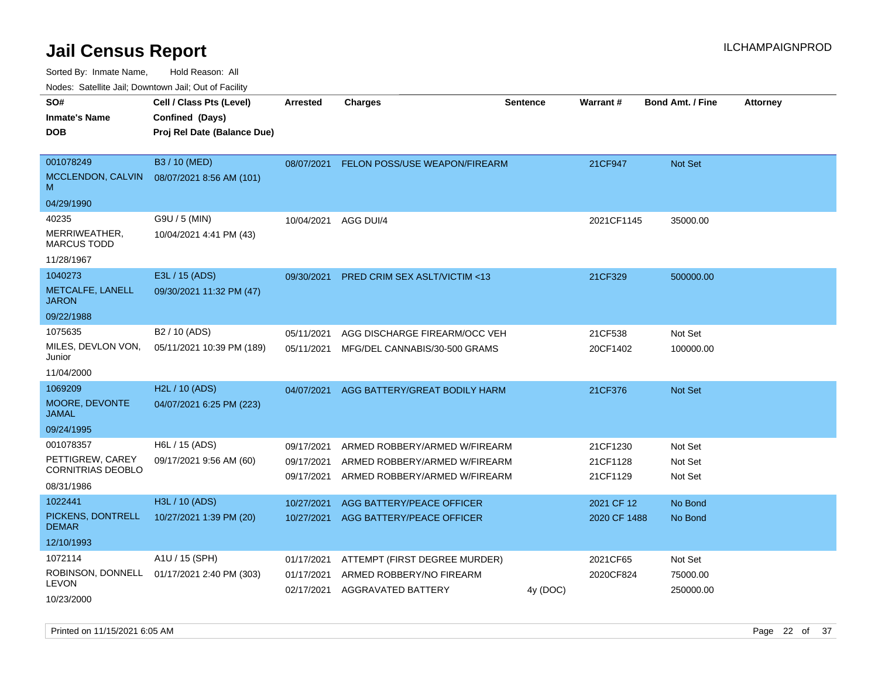Sorted By: Inmate Name, Hold Reason: All

Nodes: Satellite Jail; Downtown Jail; Out of Facility

| SO#<br><b>Inmate's Name</b><br><b>DOB</b>                               | Cell / Class Pts (Level)<br>Confined (Days)<br>Proj Rel Date (Balance Due) | <b>Arrested</b>                        | <b>Charges</b>                                                                                  | <b>Sentence</b> | Warrant#                         | <b>Bond Amt. / Fine</b>          | <b>Attorney</b> |
|-------------------------------------------------------------------------|----------------------------------------------------------------------------|----------------------------------------|-------------------------------------------------------------------------------------------------|-----------------|----------------------------------|----------------------------------|-----------------|
| 001078249<br>MCCLENDON, CALVIN<br>M<br>04/29/1990                       | B3 / 10 (MED)<br>08/07/2021 8:56 AM (101)                                  | 08/07/2021                             | FELON POSS/USE WEAPON/FIREARM                                                                   |                 | 21CF947                          | Not Set                          |                 |
| 40235<br>MERRIWEATHER,<br><b>MARCUS TODD</b><br>11/28/1967              | G9U / 5 (MIN)<br>10/04/2021 4:41 PM (43)                                   | 10/04/2021                             | AGG DUI/4                                                                                       |                 | 2021CF1145                       | 35000.00                         |                 |
| 1040273<br>METCALFE, LANELL<br><b>JARON</b>                             | E3L / 15 (ADS)<br>09/30/2021 11:32 PM (47)                                 | 09/30/2021                             | PRED CRIM SEX ASLT/VICTIM <13                                                                   |                 | 21CF329                          | 500000.00                        |                 |
| 09/22/1988<br>1075635<br>MILES, DEVLON VON,<br>Junior<br>11/04/2000     | B <sub>2</sub> / 10 (ADS)<br>05/11/2021 10:39 PM (189)                     | 05/11/2021<br>05/11/2021               | AGG DISCHARGE FIREARM/OCC VEH<br>MFG/DEL CANNABIS/30-500 GRAMS                                  |                 | 21CF538<br>20CF1402              | Not Set<br>100000.00             |                 |
| 1069209<br>MOORE, DEVONTE<br><b>JAMAL</b><br>09/24/1995                 | H2L / 10 (ADS)<br>04/07/2021 6:25 PM (223)                                 | 04/07/2021                             | AGG BATTERY/GREAT BODILY HARM                                                                   |                 | 21CF376                          | <b>Not Set</b>                   |                 |
| 001078357<br>PETTIGREW, CAREY<br><b>CORNITRIAS DEOBLO</b><br>08/31/1986 | H6L / 15 (ADS)<br>09/17/2021 9:56 AM (60)                                  | 09/17/2021<br>09/17/2021<br>09/17/2021 | ARMED ROBBERY/ARMED W/FIREARM<br>ARMED ROBBERY/ARMED W/FIREARM<br>ARMED ROBBERY/ARMED W/FIREARM |                 | 21CF1230<br>21CF1128<br>21CF1129 | Not Set<br>Not Set<br>Not Set    |                 |
| 1022441<br>PICKENS, DONTRELL<br><b>DEMAR</b><br>12/10/1993              | H3L / 10 (ADS)<br>10/27/2021 1:39 PM (20)                                  | 10/27/2021<br>10/27/2021               | AGG BATTERY/PEACE OFFICER<br>AGG BATTERY/PEACE OFFICER                                          |                 | 2021 CF 12<br>2020 CF 1488       | No Bond<br>No Bond               |                 |
| 1072114<br>ROBINSON, DONNELL<br><b>LEVON</b><br>10/23/2000              | A1U / 15 (SPH)<br>01/17/2021 2:40 PM (303)                                 | 01/17/2021<br>01/17/2021<br>02/17/2021 | ATTEMPT (FIRST DEGREE MURDER)<br>ARMED ROBBERY/NO FIREARM<br>AGGRAVATED BATTERY                 | 4y (DOC)        | 2021CF65<br>2020CF824            | Not Set<br>75000.00<br>250000.00 |                 |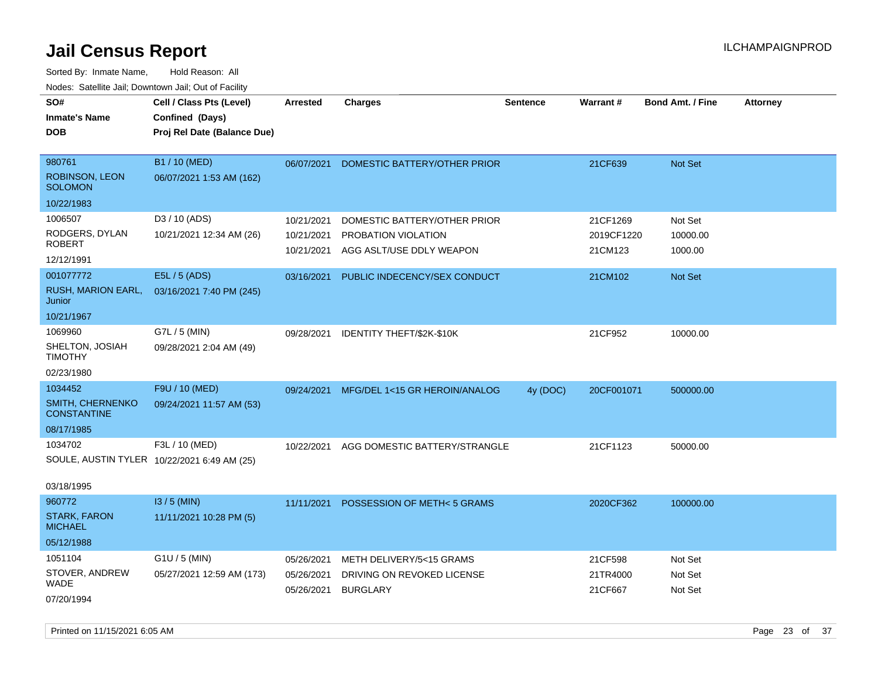Sorted By: Inmate Name, Hold Reason: All

| Nodes: Satellite Jail; Downtown Jail; Out of Facility |                                             |                 |                                     |                 |            |                         |                 |
|-------------------------------------------------------|---------------------------------------------|-----------------|-------------------------------------|-----------------|------------|-------------------------|-----------------|
| SO#                                                   | Cell / Class Pts (Level)                    | <b>Arrested</b> | <b>Charges</b>                      | <b>Sentence</b> | Warrant #  | <b>Bond Amt. / Fine</b> | <b>Attorney</b> |
| <b>Inmate's Name</b>                                  | Confined (Days)                             |                 |                                     |                 |            |                         |                 |
| <b>DOB</b>                                            | Proj Rel Date (Balance Due)                 |                 |                                     |                 |            |                         |                 |
|                                                       |                                             |                 |                                     |                 |            |                         |                 |
| 980761                                                | B1 / 10 (MED)                               | 06/07/2021      | <b>DOMESTIC BATTERY/OTHER PRIOR</b> |                 | 21CF639    | Not Set                 |                 |
| ROBINSON, LEON<br><b>SOLOMON</b>                      | 06/07/2021 1:53 AM (162)                    |                 |                                     |                 |            |                         |                 |
| 10/22/1983                                            |                                             |                 |                                     |                 |            |                         |                 |
| 1006507                                               | D3 / 10 (ADS)                               | 10/21/2021      | DOMESTIC BATTERY/OTHER PRIOR        |                 | 21CF1269   | Not Set                 |                 |
| RODGERS, DYLAN                                        | 10/21/2021 12:34 AM (26)                    | 10/21/2021      | PROBATION VIOLATION                 |                 | 2019CF1220 | 10000.00                |                 |
| <b>ROBERT</b>                                         |                                             | 10/21/2021      | AGG ASLT/USE DDLY WEAPON            |                 | 21CM123    | 1000.00                 |                 |
| 12/12/1991                                            |                                             |                 |                                     |                 |            |                         |                 |
| 001077772                                             | E5L / 5 (ADS)                               | 03/16/2021      | PUBLIC INDECENCY/SEX CONDUCT        |                 | 21CM102    | Not Set                 |                 |
| RUSH, MARION EARL,<br>Junior                          | 03/16/2021 7:40 PM (245)                    |                 |                                     |                 |            |                         |                 |
| 10/21/1967                                            |                                             |                 |                                     |                 |            |                         |                 |
| 1069960                                               | G7L / 5 (MIN)                               | 09/28/2021      | IDENTITY THEFT/\$2K-\$10K           |                 | 21CF952    | 10000.00                |                 |
| SHELTON, JOSIAH<br><b>TIMOTHY</b>                     | 09/28/2021 2:04 AM (49)                     |                 |                                     |                 |            |                         |                 |
| 02/23/1980                                            |                                             |                 |                                     |                 |            |                         |                 |
| 1034452                                               | F9U / 10 (MED)                              | 09/24/2021      | MFG/DEL 1<15 GR HEROIN/ANALOG       | 4y (DOC)        | 20CF001071 | 500000.00               |                 |
| <b>SMITH, CHERNENKO</b><br><b>CONSTANTINE</b>         | 09/24/2021 11:57 AM (53)                    |                 |                                     |                 |            |                         |                 |
| 08/17/1985                                            |                                             |                 |                                     |                 |            |                         |                 |
| 1034702                                               | F3L / 10 (MED)                              | 10/22/2021      | AGG DOMESTIC BATTERY/STRANGLE       |                 | 21CF1123   | 50000.00                |                 |
|                                                       | SOULE, AUSTIN TYLER 10/22/2021 6:49 AM (25) |                 |                                     |                 |            |                         |                 |
|                                                       |                                             |                 |                                     |                 |            |                         |                 |
| 03/18/1995                                            |                                             |                 |                                     |                 |            |                         |                 |
| 960772                                                | $13/5$ (MIN)                                | 11/11/2021      | POSSESSION OF METH<5 GRAMS          |                 | 2020CF362  | 100000.00               |                 |
| <b>STARK, FARON</b><br><b>MICHAEL</b>                 | 11/11/2021 10:28 PM (5)                     |                 |                                     |                 |            |                         |                 |
| 05/12/1988                                            |                                             |                 |                                     |                 |            |                         |                 |
| 1051104                                               | G1U / 5 (MIN)                               | 05/26/2021      | METH DELIVERY/5<15 GRAMS            |                 | 21CF598    | Not Set                 |                 |
| STOVER, ANDREW<br><b>WADE</b>                         | 05/27/2021 12:59 AM (173)                   | 05/26/2021      | DRIVING ON REVOKED LICENSE          |                 | 21TR4000   | Not Set                 |                 |
| 07/20/1994                                            |                                             | 05/26/2021      | <b>BURGLARY</b>                     |                 | 21CF667    | Not Set                 |                 |
|                                                       |                                             |                 |                                     |                 |            |                         |                 |

Printed on 11/15/2021 6:05 AM **Page 23 of 37**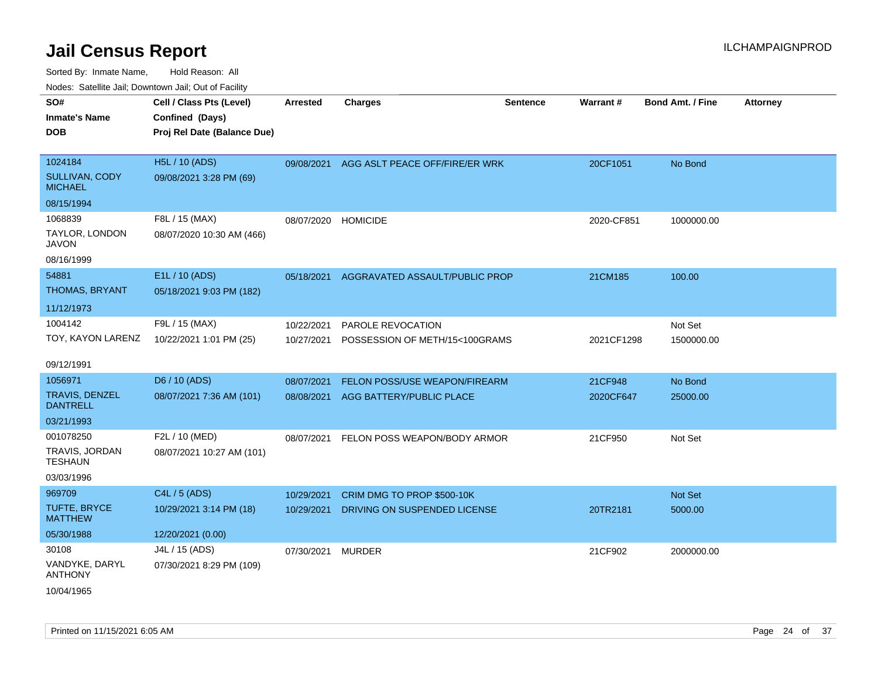| SO#                               | Cell / Class Pts (Level)    | <b>Arrested</b> | <b>Charges</b>                            | <b>Sentence</b> | Warrant#   | <b>Bond Amt. / Fine</b> | <b>Attorney</b> |
|-----------------------------------|-----------------------------|-----------------|-------------------------------------------|-----------------|------------|-------------------------|-----------------|
| <b>Inmate's Name</b>              | Confined (Days)             |                 |                                           |                 |            |                         |                 |
| <b>DOB</b>                        | Proj Rel Date (Balance Due) |                 |                                           |                 |            |                         |                 |
|                                   |                             |                 |                                           |                 |            |                         |                 |
| 1024184                           | H5L / 10 (ADS)              |                 | 09/08/2021 AGG ASLT PEACE OFF/FIRE/ER WRK |                 | 20CF1051   | No Bond                 |                 |
| SULLIVAN, CODY<br><b>MICHAEL</b>  | 09/08/2021 3:28 PM (69)     |                 |                                           |                 |            |                         |                 |
| 08/15/1994                        |                             |                 |                                           |                 |            |                         |                 |
| 1068839                           | F8L / 15 (MAX)              | 08/07/2020      | <b>HOMICIDE</b>                           |                 | 2020-CF851 | 1000000.00              |                 |
| TAYLOR, LONDON<br><b>JAVON</b>    | 08/07/2020 10:30 AM (466)   |                 |                                           |                 |            |                         |                 |
| 08/16/1999                        |                             |                 |                                           |                 |            |                         |                 |
| 54881                             | E1L / 10 (ADS)              | 05/18/2021      | AGGRAVATED ASSAULT/PUBLIC PROP            |                 | 21CM185    | 100.00                  |                 |
| <b>THOMAS, BRYANT</b>             | 05/18/2021 9:03 PM (182)    |                 |                                           |                 |            |                         |                 |
| 11/12/1973                        |                             |                 |                                           |                 |            |                         |                 |
| 1004142                           | F9L / 15 (MAX)              | 10/22/2021      | PAROLE REVOCATION                         |                 |            | Not Set                 |                 |
| TOY, KAYON LARENZ                 | 10/22/2021 1:01 PM (25)     | 10/27/2021      | POSSESSION OF METH/15<100GRAMS            |                 | 2021CF1298 | 1500000.00              |                 |
| 09/12/1991                        |                             |                 |                                           |                 |            |                         |                 |
| 1056971                           | D6 / 10 (ADS)               | 08/07/2021      | FELON POSS/USE WEAPON/FIREARM             |                 | 21CF948    | No Bond                 |                 |
| TRAVIS, DENZEL<br><b>DANTRELL</b> | 08/07/2021 7:36 AM (101)    | 08/08/2021      | AGG BATTERY/PUBLIC PLACE                  |                 | 2020CF647  | 25000.00                |                 |
| 03/21/1993                        |                             |                 |                                           |                 |            |                         |                 |
| 001078250                         | F2L / 10 (MED)              | 08/07/2021      | FELON POSS WEAPON/BODY ARMOR              |                 | 21CF950    | Not Set                 |                 |
| TRAVIS, JORDAN<br><b>TESHAUN</b>  | 08/07/2021 10:27 AM (101)   |                 |                                           |                 |            |                         |                 |
| 03/03/1996                        |                             |                 |                                           |                 |            |                         |                 |
| 969709                            | C4L / 5 (ADS)               | 10/29/2021      | CRIM DMG TO PROP \$500-10K                |                 |            | Not Set                 |                 |
| TUFTE, BRYCE<br><b>MATTHEW</b>    | 10/29/2021 3:14 PM (18)     | 10/29/2021      | DRIVING ON SUSPENDED LICENSE              |                 | 20TR2181   | 5000.00                 |                 |
| 05/30/1988                        | 12/20/2021 (0.00)           |                 |                                           |                 |            |                         |                 |
| 30108                             | J4L / 15 (ADS)              | 07/30/2021      | <b>MURDER</b>                             |                 | 21CF902    | 2000000.00              |                 |
| VANDYKE, DARYL<br><b>ANTHONY</b>  | 07/30/2021 8:29 PM (109)    |                 |                                           |                 |            |                         |                 |
| 10/04/1965                        |                             |                 |                                           |                 |            |                         |                 |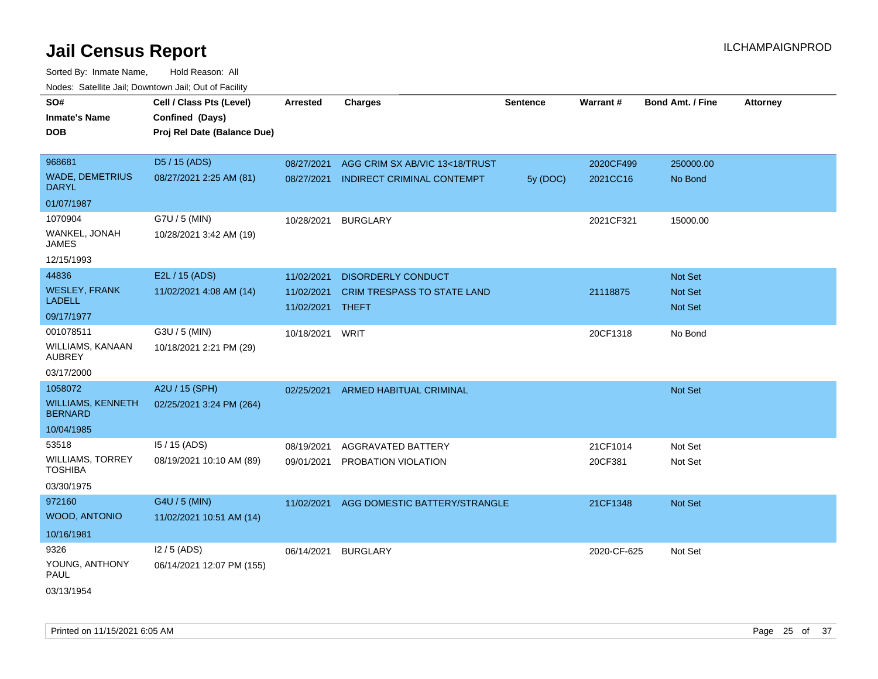| <b>NOULD:</b> Catoline bail, Downtown bail, Out of I dollty |                                                                            |                                |                                   |                 |                 |                         |                 |
|-------------------------------------------------------------|----------------------------------------------------------------------------|--------------------------------|-----------------------------------|-----------------|-----------------|-------------------------|-----------------|
| SO#<br><b>Inmate's Name</b><br><b>DOB</b>                   | Cell / Class Pts (Level)<br>Confined (Days)<br>Proj Rel Date (Balance Due) | <b>Arrested</b>                | <b>Charges</b>                    | <b>Sentence</b> | <b>Warrant#</b> | <b>Bond Amt. / Fine</b> | <b>Attorney</b> |
| 968681                                                      | D5 / 15 (ADS)                                                              | 08/27/2021                     | AGG CRIM SX AB/VIC 13<18/TRUST    |                 | 2020CF499       | 250000.00               |                 |
| <b>WADE, DEMETRIUS</b><br><b>DARYL</b>                      | 08/27/2021 2:25 AM (81)                                                    | 08/27/2021                     | <b>INDIRECT CRIMINAL CONTEMPT</b> | 5y (DOC)        | 2021CC16        | No Bond                 |                 |
| 01/07/1987                                                  |                                                                            |                                |                                   |                 |                 |                         |                 |
| 1070904                                                     | G7U / 5 (MIN)                                                              | 10/28/2021                     | <b>BURGLARY</b>                   |                 | 2021CF321       | 15000.00                |                 |
| WANKEL, JONAH<br>JAMES                                      | 10/28/2021 3:42 AM (19)                                                    |                                |                                   |                 |                 |                         |                 |
| 12/15/1993                                                  |                                                                            |                                |                                   |                 |                 |                         |                 |
| 44836                                                       | E2L / 15 (ADS)                                                             | 11/02/2021                     | <b>DISORDERLY CONDUCT</b>         |                 |                 | Not Set                 |                 |
| <b>WESLEY, FRANK</b><br><b>LADELL</b>                       | 11/02/2021 4:08 AM (14)                                                    | 11/02/2021<br>11/02/2021 THEFT | CRIM TRESPASS TO STATE LAND       |                 | 21118875        | Not Set<br>Not Set      |                 |
| 09/17/1977                                                  |                                                                            |                                |                                   |                 |                 |                         |                 |
| 001078511                                                   | G3U / 5 (MIN)                                                              | 10/18/2021                     | WRIT                              |                 | 20CF1318        | No Bond                 |                 |
| <b>WILLIAMS, KANAAN</b><br><b>AUBREY</b>                    | 10/18/2021 2:21 PM (29)                                                    |                                |                                   |                 |                 |                         |                 |
| 03/17/2000                                                  |                                                                            |                                |                                   |                 |                 |                         |                 |
| 1058072                                                     | A2U / 15 (SPH)                                                             | 02/25/2021                     | ARMED HABITUAL CRIMINAL           |                 |                 | Not Set                 |                 |
| <b>WILLIAMS, KENNETH</b><br><b>BERNARD</b>                  | 02/25/2021 3:24 PM (264)                                                   |                                |                                   |                 |                 |                         |                 |
| 10/04/1985                                                  |                                                                            |                                |                                   |                 |                 |                         |                 |
| 53518                                                       | I5 / 15 (ADS)                                                              | 08/19/2021                     | AGGRAVATED BATTERY                |                 | 21CF1014        | Not Set                 |                 |
| <b>WILLIAMS, TORREY</b><br><b>TOSHIBA</b>                   | 08/19/2021 10:10 AM (89)                                                   | 09/01/2021                     | PROBATION VIOLATION               |                 | 20CF381         | Not Set                 |                 |
| 03/30/1975                                                  |                                                                            |                                |                                   |                 |                 |                         |                 |
| 972160                                                      | G4U / 5 (MIN)                                                              | 11/02/2021                     | AGG DOMESTIC BATTERY/STRANGLE     |                 | 21CF1348        | Not Set                 |                 |
| WOOD, ANTONIO                                               | 11/02/2021 10:51 AM (14)                                                   |                                |                                   |                 |                 |                         |                 |
| 10/16/1981                                                  |                                                                            |                                |                                   |                 |                 |                         |                 |
| 9326                                                        | $12/5$ (ADS)                                                               | 06/14/2021                     | <b>BURGLARY</b>                   |                 | 2020-CF-625     | Not Set                 |                 |
| YOUNG, ANTHONY<br>PAUL                                      | 06/14/2021 12:07 PM (155)                                                  |                                |                                   |                 |                 |                         |                 |
| 03/13/1954                                                  |                                                                            |                                |                                   |                 |                 |                         |                 |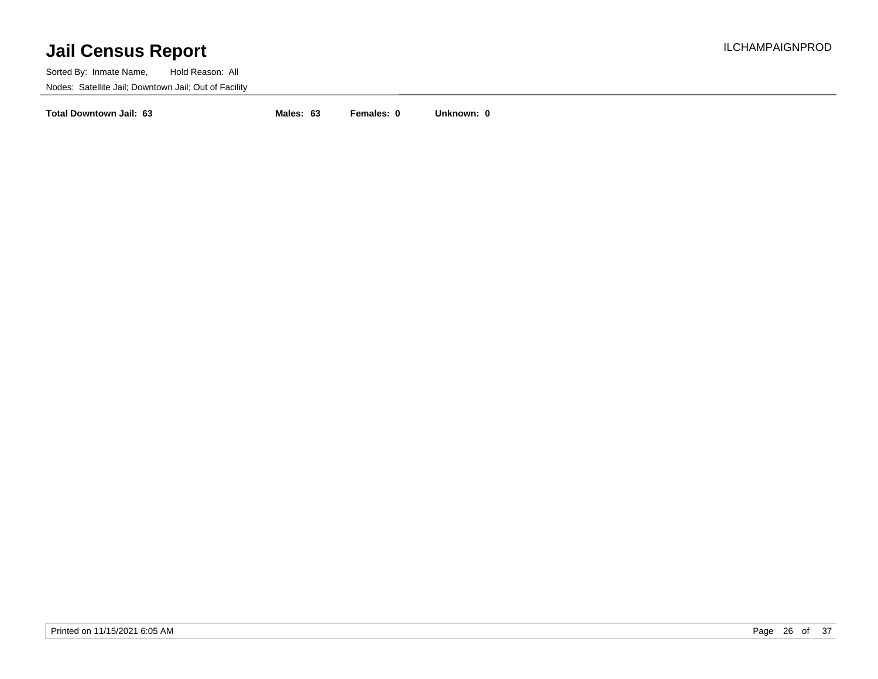Sorted By: Inmate Name, Hold Reason: All Nodes: Satellite Jail; Downtown Jail; Out of Facility

**Total Downtown Jail: 63 Males: 63 Females: 0 Unknown: 0**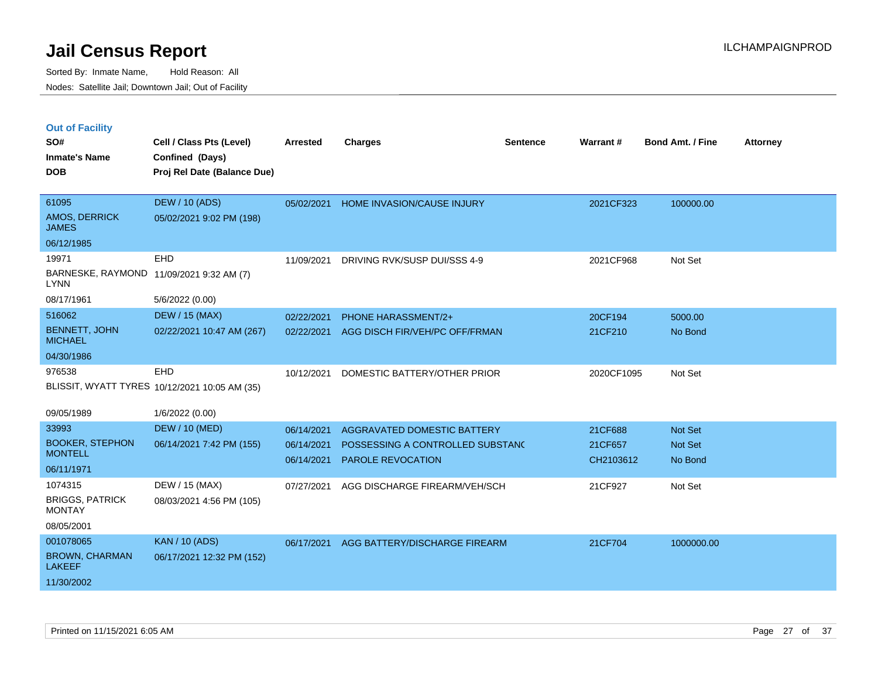|  | <b>Out of Facility</b> |  |
|--|------------------------|--|

| SO#<br><b>Inmate's Name</b><br><b>DOB</b>                         | Cell / Class Pts (Level)<br>Confined (Days)<br>Proj Rel Date (Balance Due) | <b>Arrested</b>          | <b>Charges</b>                                               | <b>Sentence</b> | Warrant#             | <b>Bond Amt. / Fine</b> | <b>Attorney</b> |
|-------------------------------------------------------------------|----------------------------------------------------------------------------|--------------------------|--------------------------------------------------------------|-----------------|----------------------|-------------------------|-----------------|
| 61095<br>AMOS, DERRICK<br><b>JAMES</b>                            | <b>DEW / 10 (ADS)</b><br>05/02/2021 9:02 PM (198)                          | 05/02/2021               | HOME INVASION/CAUSE INJURY                                   |                 | 2021CF323            | 100000.00               |                 |
| 06/12/1985                                                        |                                                                            |                          |                                                              |                 |                      |                         |                 |
| 19971<br><b>LYNN</b>                                              | <b>EHD</b><br>BARNESKE, RAYMOND 11/09/2021 9:32 AM (7)                     | 11/09/2021               | DRIVING RVK/SUSP DUI/SSS 4-9                                 |                 | 2021CF968            | Not Set                 |                 |
| 08/17/1961                                                        | 5/6/2022 (0.00)                                                            |                          |                                                              |                 |                      |                         |                 |
| 516062                                                            | <b>DEW / 15 (MAX)</b>                                                      | 02/22/2021               | <b>PHONE HARASSMENT/2+</b>                                   |                 | 20CF194              | 5000.00                 |                 |
| <b>BENNETT, JOHN</b><br><b>MICHAEL</b>                            | 02/22/2021 10:47 AM (267)                                                  | 02/22/2021               | AGG DISCH FIR/VEH/PC OFF/FRMAN                               |                 | 21CF210              | No Bond                 |                 |
| 04/30/1986                                                        |                                                                            |                          |                                                              |                 |                      |                         |                 |
| 976538                                                            | EHD<br>BLISSIT, WYATT TYRES 10/12/2021 10:05 AM (35)                       | 10/12/2021               | DOMESTIC BATTERY/OTHER PRIOR                                 |                 | 2020CF1095           | Not Set                 |                 |
| 09/05/1989                                                        | 1/6/2022 (0.00)                                                            |                          |                                                              |                 |                      |                         |                 |
| 33993                                                             | <b>DEW / 10 (MED)</b>                                                      | 06/14/2021               | AGGRAVATED DOMESTIC BATTERY                                  |                 | 21CF688              | Not Set                 |                 |
| <b>BOOKER, STEPHON</b><br><b>MONTELL</b>                          | 06/14/2021 7:42 PM (155)                                                   | 06/14/2021<br>06/14/2021 | POSSESSING A CONTROLLED SUBSTANC<br><b>PAROLE REVOCATION</b> |                 | 21CF657<br>CH2103612 | Not Set<br>No Bond      |                 |
| 06/11/1971                                                        |                                                                            |                          |                                                              |                 |                      |                         |                 |
| 1074315<br><b>BRIGGS, PATRICK</b><br><b>MONTAY</b><br>08/05/2001  | DEW / 15 (MAX)<br>08/03/2021 4:56 PM (105)                                 | 07/27/2021               | AGG DISCHARGE FIREARM/VEH/SCH                                |                 | 21CF927              | Not Set                 |                 |
| 001078065<br><b>BROWN, CHARMAN</b><br><b>LAKEEF</b><br>11/30/2002 | <b>KAN / 10 (ADS)</b><br>06/17/2021 12:32 PM (152)                         | 06/17/2021               | AGG BATTERY/DISCHARGE FIREARM                                |                 | 21CF704              | 1000000.00              |                 |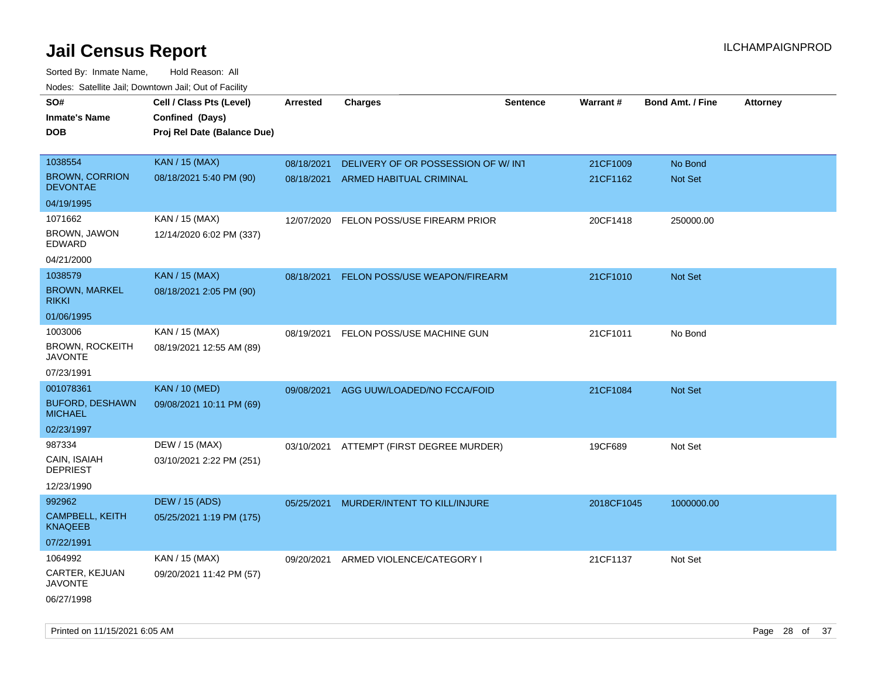| roaco. Odichile Jan, Downtown Jan, Out of Facility  |                                                                            |                 |                                          |                 |                 |                         |                 |
|-----------------------------------------------------|----------------------------------------------------------------------------|-----------------|------------------------------------------|-----------------|-----------------|-------------------------|-----------------|
| SO#<br><b>Inmate's Name</b><br><b>DOB</b>           | Cell / Class Pts (Level)<br>Confined (Days)<br>Proj Rel Date (Balance Due) | <b>Arrested</b> | <b>Charges</b>                           | <b>Sentence</b> | <b>Warrant#</b> | <b>Bond Amt. / Fine</b> | <b>Attorney</b> |
|                                                     |                                                                            |                 |                                          |                 |                 |                         |                 |
| 1038554                                             | <b>KAN / 15 (MAX)</b>                                                      | 08/18/2021      | DELIVERY OF OR POSSESSION OF W/INT       |                 | 21CF1009        | No Bond                 |                 |
| <b>BROWN, CORRION</b><br><b>DEVONTAE</b>            | 08/18/2021 5:40 PM (90)                                                    | 08/18/2021      | ARMED HABITUAL CRIMINAL                  |                 | 21CF1162        | Not Set                 |                 |
| 04/19/1995                                          |                                                                            |                 |                                          |                 |                 |                         |                 |
| 1071662                                             | KAN / 15 (MAX)                                                             | 12/07/2020      | FELON POSS/USE FIREARM PRIOR             |                 | 20CF1418        | 250000.00               |                 |
| BROWN, JAWON<br>EDWARD                              | 12/14/2020 6:02 PM (337)                                                   |                 |                                          |                 |                 |                         |                 |
| 04/21/2000                                          |                                                                            |                 |                                          |                 |                 |                         |                 |
| 1038579                                             | <b>KAN / 15 (MAX)</b>                                                      | 08/18/2021      | FELON POSS/USE WEAPON/FIREARM            |                 | 21CF1010        | Not Set                 |                 |
| <b>BROWN, MARKEL</b><br><b>RIKKI</b>                | 08/18/2021 2:05 PM (90)                                                    |                 |                                          |                 |                 |                         |                 |
| 01/06/1995                                          |                                                                            |                 |                                          |                 |                 |                         |                 |
| 1003006<br><b>BROWN, ROCKEITH</b><br><b>JAVONTE</b> | KAN / 15 (MAX)<br>08/19/2021 12:55 AM (89)                                 |                 | 08/19/2021 FELON POSS/USE MACHINE GUN    |                 | 21CF1011        | No Bond                 |                 |
| 07/23/1991                                          |                                                                            |                 |                                          |                 |                 |                         |                 |
| 001078361                                           | <b>KAN / 10 (MED)</b>                                                      | 09/08/2021      | AGG UUW/LOADED/NO FCCA/FOID              |                 | 21CF1084        | Not Set                 |                 |
| <b>BUFORD, DESHAWN</b><br><b>MICHAEL</b>            | 09/08/2021 10:11 PM (69)                                                   |                 |                                          |                 |                 |                         |                 |
| 02/23/1997                                          |                                                                            |                 |                                          |                 |                 |                         |                 |
| 987334                                              | DEW / 15 (MAX)                                                             |                 | 03/10/2021 ATTEMPT (FIRST DEGREE MURDER) |                 | 19CF689         | Not Set                 |                 |
| CAIN, ISAIAH<br><b>DEPRIEST</b>                     | 03/10/2021 2:22 PM (251)                                                   |                 |                                          |                 |                 |                         |                 |
| 12/23/1990                                          |                                                                            |                 |                                          |                 |                 |                         |                 |
| 992962                                              | <b>DEW / 15 (ADS)</b>                                                      | 05/25/2021      | MURDER/INTENT TO KILL/INJURE             |                 | 2018CF1045      | 1000000.00              |                 |
| <b>CAMPBELL, KEITH</b><br><b>KNAQEEB</b>            | 05/25/2021 1:19 PM (175)                                                   |                 |                                          |                 |                 |                         |                 |
| 07/22/1991                                          |                                                                            |                 |                                          |                 |                 |                         |                 |
| 1064992                                             | KAN / 15 (MAX)                                                             | 09/20/2021      | ARMED VIOLENCE/CATEGORY I                |                 | 21CF1137        | Not Set                 |                 |
| CARTER, KEJUAN<br><b>JAVONTE</b>                    | 09/20/2021 11:42 PM (57)                                                   |                 |                                          |                 |                 |                         |                 |
| 06/27/1998                                          |                                                                            |                 |                                          |                 |                 |                         |                 |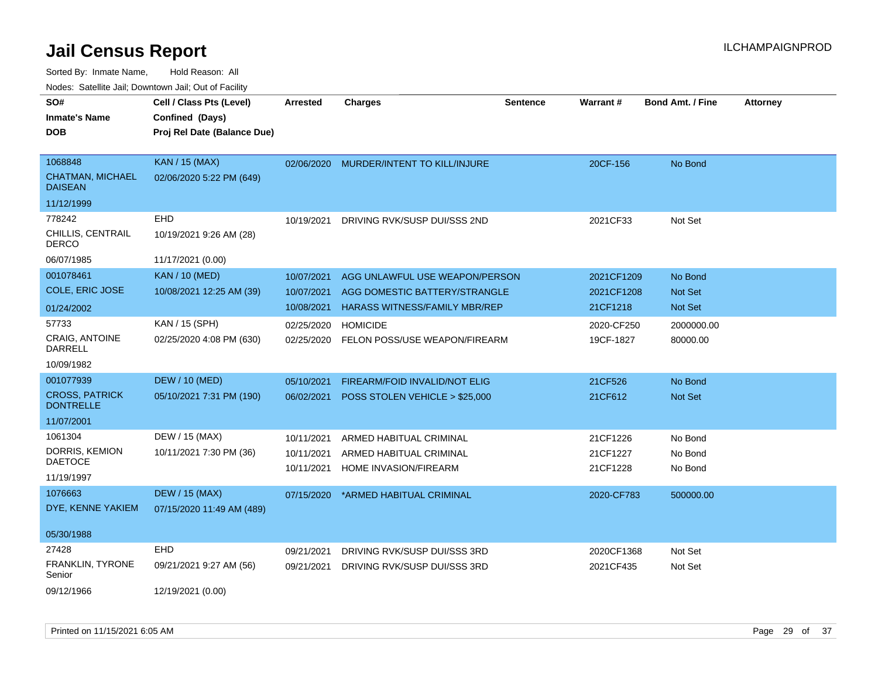| rouco. Calcinic Jan, Downtown Jan, Out of Facility   |                                                                            |                          |                                                                 |                 |                          |                           |                 |
|------------------------------------------------------|----------------------------------------------------------------------------|--------------------------|-----------------------------------------------------------------|-----------------|--------------------------|---------------------------|-----------------|
| SO#<br><b>Inmate's Name</b><br><b>DOB</b>            | Cell / Class Pts (Level)<br>Confined (Days)<br>Proj Rel Date (Balance Due) | <b>Arrested</b>          | <b>Charges</b>                                                  | <b>Sentence</b> | <b>Warrant#</b>          | <b>Bond Amt. / Fine</b>   | <b>Attorney</b> |
| 1068848<br><b>CHATMAN, MICHAEL</b><br><b>DAISEAN</b> | <b>KAN / 15 (MAX)</b><br>02/06/2020 5:22 PM (649)                          | 02/06/2020               | MURDER/INTENT TO KILL/INJURE                                    |                 | 20CF-156                 | No Bond                   |                 |
| 11/12/1999                                           |                                                                            |                          |                                                                 |                 |                          |                           |                 |
| 778242<br>CHILLIS, CENTRAIL<br><b>DERCO</b>          | <b>EHD</b><br>10/19/2021 9:26 AM (28)                                      | 10/19/2021               | DRIVING RVK/SUSP DUI/SSS 2ND                                    |                 | 2021CF33                 | Not Set                   |                 |
| 06/07/1985                                           | 11/17/2021 (0.00)                                                          |                          |                                                                 |                 |                          |                           |                 |
| 001078461<br>COLE, ERIC JOSE                         | <b>KAN / 10 (MED)</b><br>10/08/2021 12:25 AM (39)                          | 10/07/2021<br>10/07/2021 | AGG UNLAWFUL USE WEAPON/PERSON<br>AGG DOMESTIC BATTERY/STRANGLE |                 | 2021CF1209<br>2021CF1208 | No Bond<br><b>Not Set</b> |                 |
| 01/24/2002                                           |                                                                            | 10/08/2021               | <b>HARASS WITNESS/FAMILY MBR/REP</b>                            |                 | 21CF1218                 | <b>Not Set</b>            |                 |
| 57733<br>CRAIG, ANTOINE<br>DARRELL                   | KAN / 15 (SPH)<br>02/25/2020 4:08 PM (630)                                 | 02/25/2020<br>02/25/2020 | <b>HOMICIDE</b><br>FELON POSS/USE WEAPON/FIREARM                |                 | 2020-CF250<br>19CF-1827  | 2000000.00<br>80000.00    |                 |
| 10/09/1982                                           |                                                                            |                          |                                                                 |                 |                          |                           |                 |
| 001077939                                            | <b>DEW / 10 (MED)</b>                                                      | 05/10/2021               | <b>FIREARM/FOID INVALID/NOT ELIG</b>                            |                 | 21CF526                  | No Bond                   |                 |
| <b>CROSS, PATRICK</b><br><b>DONTRELLE</b>            | 05/10/2021 7:31 PM (190)                                                   | 06/02/2021               | POSS STOLEN VEHICLE > \$25,000                                  |                 | 21CF612                  | <b>Not Set</b>            |                 |
| 11/07/2001                                           |                                                                            |                          |                                                                 |                 |                          |                           |                 |
| 1061304                                              | DEW / 15 (MAX)                                                             | 10/11/2021               | ARMED HABITUAL CRIMINAL                                         |                 | 21CF1226                 | No Bond                   |                 |
| DORRIS, KEMION<br><b>DAETOCE</b>                     | 10/11/2021 7:30 PM (36)                                                    | 10/11/2021               | ARMED HABITUAL CRIMINAL                                         |                 | 21CF1227                 | No Bond                   |                 |
| 11/19/1997                                           |                                                                            | 10/11/2021               | HOME INVASION/FIREARM                                           |                 | 21CF1228                 | No Bond                   |                 |
| 1076663<br>DYE, KENNE YAKIEM                         | <b>DEW / 15 (MAX)</b><br>07/15/2020 11:49 AM (489)                         | 07/15/2020               | *ARMED HABITUAL CRIMINAL                                        |                 | 2020-CF783               | 500000.00                 |                 |
| 05/30/1988                                           |                                                                            |                          |                                                                 |                 |                          |                           |                 |
| 27428                                                | <b>EHD</b>                                                                 | 09/21/2021               | DRIVING RVK/SUSP DUI/SSS 3RD                                    |                 | 2020CF1368               | Not Set                   |                 |
| <b>FRANKLIN, TYRONE</b><br>Senior                    | 09/21/2021 9:27 AM (56)                                                    | 09/21/2021               | DRIVING RVK/SUSP DUI/SSS 3RD                                    |                 | 2021CF435                | Not Set                   |                 |
| 09/12/1966                                           | 12/19/2021 (0.00)                                                          |                          |                                                                 |                 |                          |                           |                 |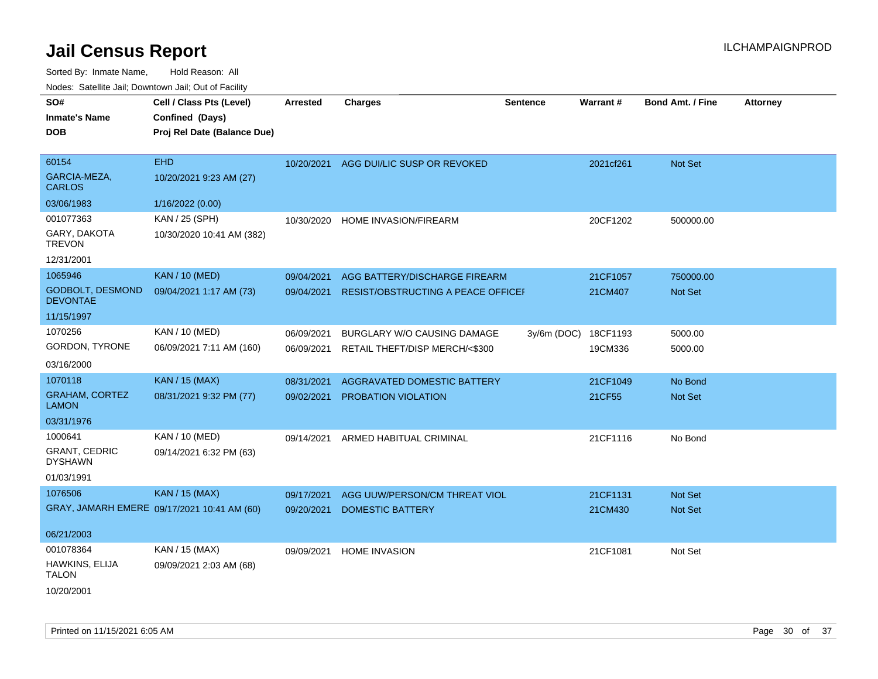| SO#<br><b>Inmate's Name</b><br><b>DOB</b>                       | Cell / Class Pts (Level)<br>Confined (Days)<br>Proj Rel Date (Balance Due) | <b>Arrested</b>          | <b>Charges</b>                                                       | <b>Sentence</b> | Warrant#            | Bond Amt. / Fine   | <b>Attorney</b> |
|-----------------------------------------------------------------|----------------------------------------------------------------------------|--------------------------|----------------------------------------------------------------------|-----------------|---------------------|--------------------|-----------------|
| 60154<br>GARCIA-MEZA,<br><b>CARLOS</b>                          | <b>EHD</b><br>10/20/2021 9:23 AM (27)                                      | 10/20/2021               | AGG DUI/LIC SUSP OR REVOKED                                          |                 | 2021cf261           | Not Set            |                 |
| 03/06/1983                                                      | 1/16/2022 (0.00)                                                           |                          |                                                                      |                 |                     |                    |                 |
| 001077363<br>GARY, DAKOTA<br><b>TREVON</b><br>12/31/2001        | KAN / 25 (SPH)<br>10/30/2020 10:41 AM (382)                                | 10/30/2020               | HOME INVASION/FIREARM                                                |                 | 20CF1202            | 500000.00          |                 |
| 1065946                                                         | <b>KAN / 10 (MED)</b>                                                      | 09/04/2021               | AGG BATTERY/DISCHARGE FIREARM                                        |                 | 21CF1057            | 750000.00          |                 |
| <b>GODBOLT, DESMOND</b><br><b>DEVONTAE</b>                      | 09/04/2021 1:17 AM (73)                                                    | 09/04/2021               | RESIST/OBSTRUCTING A PEACE OFFICEF                                   |                 | 21CM407             | Not Set            |                 |
| 11/15/1997                                                      |                                                                            |                          |                                                                      |                 |                     |                    |                 |
| 1070256<br>GORDON, TYRONE                                       | KAN / 10 (MED)<br>06/09/2021 7:11 AM (160)                                 | 06/09/2021<br>06/09/2021 | <b>BURGLARY W/O CAUSING DAMAGE</b><br>RETAIL THEFT/DISP MERCH/<\$300 | $3y/6m$ (DOC)   | 18CF1193<br>19CM336 | 5000.00<br>5000.00 |                 |
| 03/16/2000                                                      |                                                                            |                          |                                                                      |                 |                     |                    |                 |
| 1070118<br><b>GRAHAM, CORTEZ</b><br><b>LAMON</b>                | <b>KAN / 15 (MAX)</b><br>08/31/2021 9:32 PM (77)                           | 08/31/2021<br>09/02/2021 | AGGRAVATED DOMESTIC BATTERY<br>PROBATION VIOLATION                   |                 | 21CF1049<br>21CF55  | No Bond<br>Not Set |                 |
| 03/31/1976                                                      |                                                                            |                          |                                                                      |                 |                     |                    |                 |
| 1000641<br><b>GRANT, CEDRIC</b><br><b>DYSHAWN</b><br>01/03/1991 | KAN / 10 (MED)<br>09/14/2021 6:32 PM (63)                                  | 09/14/2021               | ARMED HABITUAL CRIMINAL                                              |                 | 21CF1116            | No Bond            |                 |
| 1076506                                                         | <b>KAN / 15 (MAX)</b>                                                      | 09/17/2021               | AGG UUW/PERSON/CM THREAT VIOL                                        |                 | 21CF1131            | Not Set            |                 |
|                                                                 | GRAY, JAMARH EMERE 09/17/2021 10:41 AM (60)                                | 09/20/2021               | <b>DOMESTIC BATTERY</b>                                              |                 | 21CM430             | Not Set            |                 |
| 06/21/2003                                                      |                                                                            |                          |                                                                      |                 |                     |                    |                 |
| 001078364<br>HAWKINS, ELIJA<br><b>TALON</b><br>10/20/2001       | KAN / 15 (MAX)<br>09/09/2021 2:03 AM (68)                                  | 09/09/2021               | <b>HOME INVASION</b>                                                 |                 | 21CF1081            | Not Set            |                 |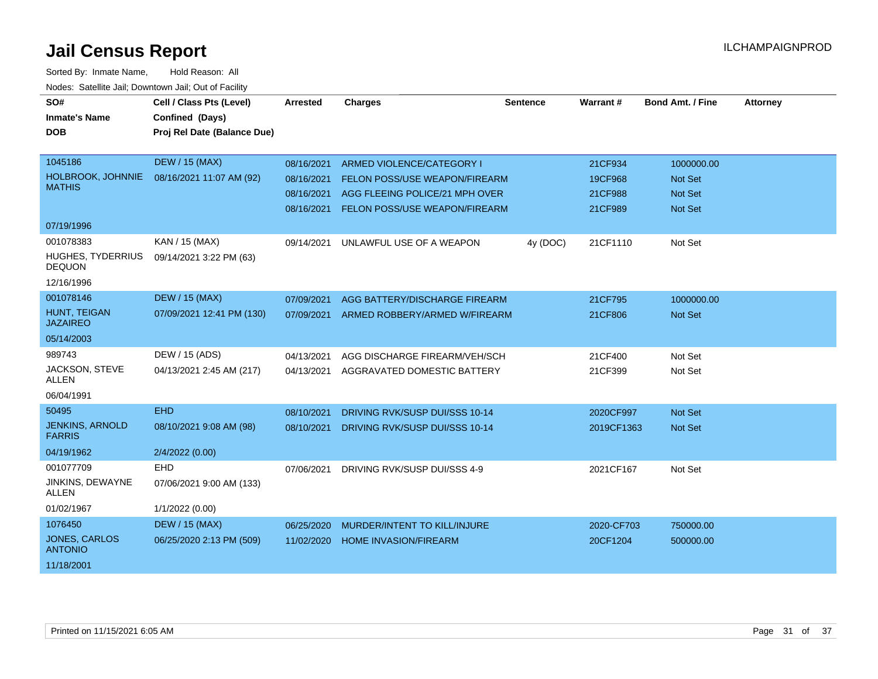| SO#<br><b>Inmate's Name</b><br><b>DOB</b> | Cell / Class Pts (Level)<br>Confined (Days)<br>Proj Rel Date (Balance Due) | Arrested   | <b>Charges</b>                           | <b>Sentence</b> | Warrant#   | <b>Bond Amt. / Fine</b> | <b>Attorney</b> |
|-------------------------------------------|----------------------------------------------------------------------------|------------|------------------------------------------|-----------------|------------|-------------------------|-----------------|
|                                           |                                                                            |            |                                          |                 |            |                         |                 |
| 1045186                                   | <b>DEW / 15 (MAX)</b>                                                      | 08/16/2021 | ARMED VIOLENCE/CATEGORY I                |                 | 21CF934    | 1000000.00              |                 |
| HOLBROOK, JOHNNIE                         | 08/16/2021 11:07 AM (92)                                                   | 08/16/2021 | <b>FELON POSS/USE WEAPON/FIREARM</b>     |                 | 19CF968    | Not Set                 |                 |
| <b>MATHIS</b>                             |                                                                            | 08/16/2021 | AGG FLEEING POLICE/21 MPH OVER           |                 | 21CF988    | <b>Not Set</b>          |                 |
|                                           |                                                                            |            | 08/16/2021 FELON POSS/USE WEAPON/FIREARM |                 | 21CF989    | <b>Not Set</b>          |                 |
| 07/19/1996                                |                                                                            |            |                                          |                 |            |                         |                 |
| 001078383                                 | KAN / 15 (MAX)                                                             | 09/14/2021 | UNLAWFUL USE OF A WEAPON                 | 4y (DOC)        | 21CF1110   | Not Set                 |                 |
| HUGHES, TYDERRIUS<br><b>DEQUON</b>        | 09/14/2021 3:22 PM (63)                                                    |            |                                          |                 |            |                         |                 |
| 12/16/1996                                |                                                                            |            |                                          |                 |            |                         |                 |
| 001078146                                 | <b>DEW / 15 (MAX)</b>                                                      | 07/09/2021 | AGG BATTERY/DISCHARGE FIREARM            |                 | 21CF795    | 1000000.00              |                 |
| HUNT, TEIGAN<br><b>JAZAIREO</b>           | 07/09/2021 12:41 PM (130)                                                  |            | 07/09/2021 ARMED ROBBERY/ARMED W/FIREARM |                 | 21CF806    | <b>Not Set</b>          |                 |
| 05/14/2003                                |                                                                            |            |                                          |                 |            |                         |                 |
| 989743                                    | DEW / 15 (ADS)                                                             | 04/13/2021 | AGG DISCHARGE FIREARM/VEH/SCH            |                 | 21CF400    | Not Set                 |                 |
| JACKSON, STEVE<br><b>ALLEN</b>            | 04/13/2021 2:45 AM (217)                                                   | 04/13/2021 | AGGRAVATED DOMESTIC BATTERY              |                 | 21CF399    | Not Set                 |                 |
| 06/04/1991                                |                                                                            |            |                                          |                 |            |                         |                 |
| 50495                                     | <b>EHD</b>                                                                 | 08/10/2021 | <b>DRIVING RVK/SUSP DUI/SSS 10-14</b>    |                 | 2020CF997  | Not Set                 |                 |
| <b>JENKINS, ARNOLD</b><br><b>FARRIS</b>   | 08/10/2021 9:08 AM (98)                                                    | 08/10/2021 | DRIVING RVK/SUSP DUI/SSS 10-14           |                 | 2019CF1363 | <b>Not Set</b>          |                 |
| 04/19/1962                                | 2/4/2022 (0.00)                                                            |            |                                          |                 |            |                         |                 |
| 001077709                                 | <b>EHD</b>                                                                 | 07/06/2021 | DRIVING RVK/SUSP DUI/SSS 4-9             |                 | 2021CF167  | Not Set                 |                 |
| JINKINS, DEWAYNE<br><b>ALLEN</b>          | 07/06/2021 9:00 AM (133)                                                   |            |                                          |                 |            |                         |                 |
| 01/02/1967                                | 1/1/2022 (0.00)                                                            |            |                                          |                 |            |                         |                 |
| 1076450                                   | <b>DEW / 15 (MAX)</b>                                                      | 06/25/2020 | MURDER/INTENT TO KILL/INJURE             |                 | 2020-CF703 | 750000.00               |                 |
| JONES, CARLOS<br><b>ANTONIO</b>           | 06/25/2020 2:13 PM (509)                                                   | 11/02/2020 | <b>HOME INVASION/FIREARM</b>             |                 | 20CF1204   | 500000.00               |                 |
| 11/18/2001                                |                                                                            |            |                                          |                 |            |                         |                 |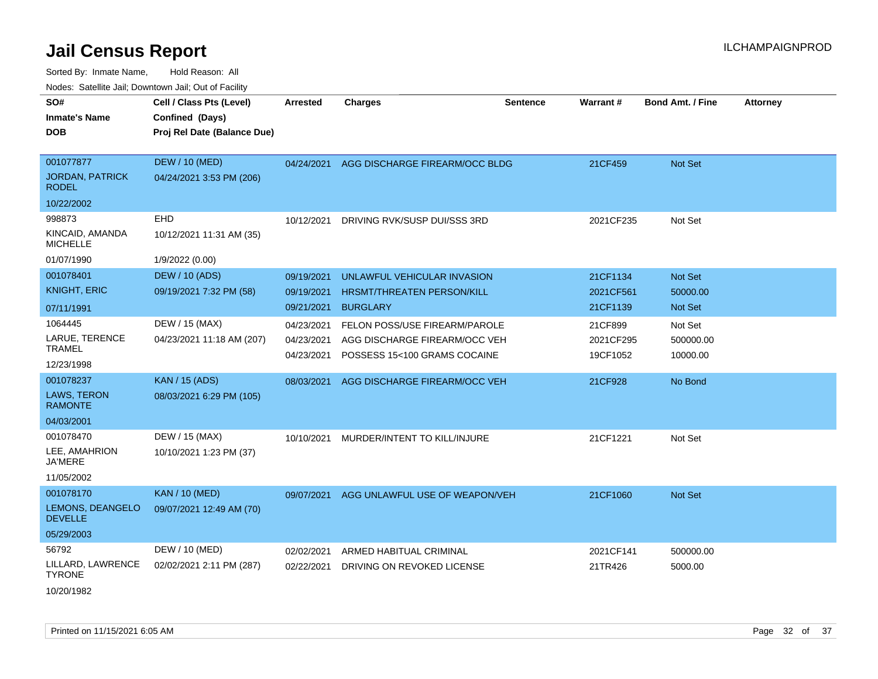| <b>Nouro:</b> Catoline Jan, Downtown Jan, Out of Fability |                                                                            |                                        |                                                                                                |                 |                                  |                                  |                 |
|-----------------------------------------------------------|----------------------------------------------------------------------------|----------------------------------------|------------------------------------------------------------------------------------------------|-----------------|----------------------------------|----------------------------------|-----------------|
| SO#<br><b>Inmate's Name</b><br><b>DOB</b>                 | Cell / Class Pts (Level)<br>Confined (Days)<br>Proj Rel Date (Balance Due) | Arrested                               | <b>Charges</b>                                                                                 | <b>Sentence</b> | Warrant#                         | <b>Bond Amt. / Fine</b>          | <b>Attorney</b> |
| 001077877<br><b>JORDAN, PATRICK</b><br><b>RODEL</b>       | <b>DEW / 10 (MED)</b><br>04/24/2021 3:53 PM (206)                          | 04/24/2021                             | AGG DISCHARGE FIREARM/OCC BLDG                                                                 |                 | 21CF459                          | Not Set                          |                 |
| 10/22/2002                                                |                                                                            |                                        |                                                                                                |                 |                                  |                                  |                 |
| 998873<br>KINCAID, AMANDA<br><b>MICHELLE</b>              | EHD<br>10/12/2021 11:31 AM (35)                                            | 10/12/2021                             | DRIVING RVK/SUSP DUI/SSS 3RD                                                                   |                 | 2021CF235                        | Not Set                          |                 |
| 01/07/1990                                                | 1/9/2022 (0.00)                                                            |                                        |                                                                                                |                 |                                  |                                  |                 |
| 001078401<br><b>KNIGHT, ERIC</b>                          | <b>DEW / 10 (ADS)</b><br>09/19/2021 7:32 PM (58)                           | 09/19/2021<br>09/19/2021               | UNLAWFUL VEHICULAR INVASION<br>HRSMT/THREATEN PERSON/KILL                                      |                 | 21CF1134<br>2021CF561            | Not Set<br>50000.00              |                 |
| 07/11/1991                                                |                                                                            | 09/21/2021                             | <b>BURGLARY</b>                                                                                |                 | 21CF1139                         | Not Set                          |                 |
| 1064445<br>LARUE, TERENCE<br><b>TRAMEL</b>                | DEW / 15 (MAX)<br>04/23/2021 11:18 AM (207)                                | 04/23/2021<br>04/23/2021<br>04/23/2021 | FELON POSS/USE FIREARM/PAROLE<br>AGG DISCHARGE FIREARM/OCC VEH<br>POSSESS 15<100 GRAMS COCAINE |                 | 21CF899<br>2021CF295<br>19CF1052 | Not Set<br>500000.00<br>10000.00 |                 |
| 12/23/1998                                                |                                                                            |                                        |                                                                                                |                 |                                  |                                  |                 |
| 001078237<br>LAWS, TERON<br><b>RAMONTE</b><br>04/03/2001  | <b>KAN / 15 (ADS)</b><br>08/03/2021 6:29 PM (105)                          | 08/03/2021                             | AGG DISCHARGE FIREARM/OCC VEH                                                                  |                 | 21CF928                          | No Bond                          |                 |
| 001078470                                                 | DEW / 15 (MAX)                                                             | 10/10/2021                             | MURDER/INTENT TO KILL/INJURE                                                                   |                 | 21CF1221                         | Not Set                          |                 |
| LEE, AMAHRION<br><b>JA'MERE</b>                           | 10/10/2021 1:23 PM (37)                                                    |                                        |                                                                                                |                 |                                  |                                  |                 |
| 11/05/2002                                                |                                                                            |                                        |                                                                                                |                 |                                  |                                  |                 |
| 001078170<br>LEMONS, DEANGELO<br><b>DEVELLE</b>           | <b>KAN / 10 (MED)</b><br>09/07/2021 12:49 AM (70)                          | 09/07/2021                             | AGG UNLAWFUL USE OF WEAPON/VEH                                                                 |                 | 21CF1060                         | <b>Not Set</b>                   |                 |
| 05/29/2003                                                |                                                                            |                                        |                                                                                                |                 |                                  |                                  |                 |
| 56792                                                     | DEW / 10 (MED)                                                             | 02/02/2021                             | ARMED HABITUAL CRIMINAL                                                                        |                 | 2021CF141                        | 500000.00                        |                 |
| LILLARD, LAWRENCE<br><b>TYRONE</b>                        | 02/02/2021 2:11 PM (287)                                                   | 02/22/2021                             | DRIVING ON REVOKED LICENSE                                                                     |                 | 21TR426                          | 5000.00                          |                 |
| 10/20/1982                                                |                                                                            |                                        |                                                                                                |                 |                                  |                                  |                 |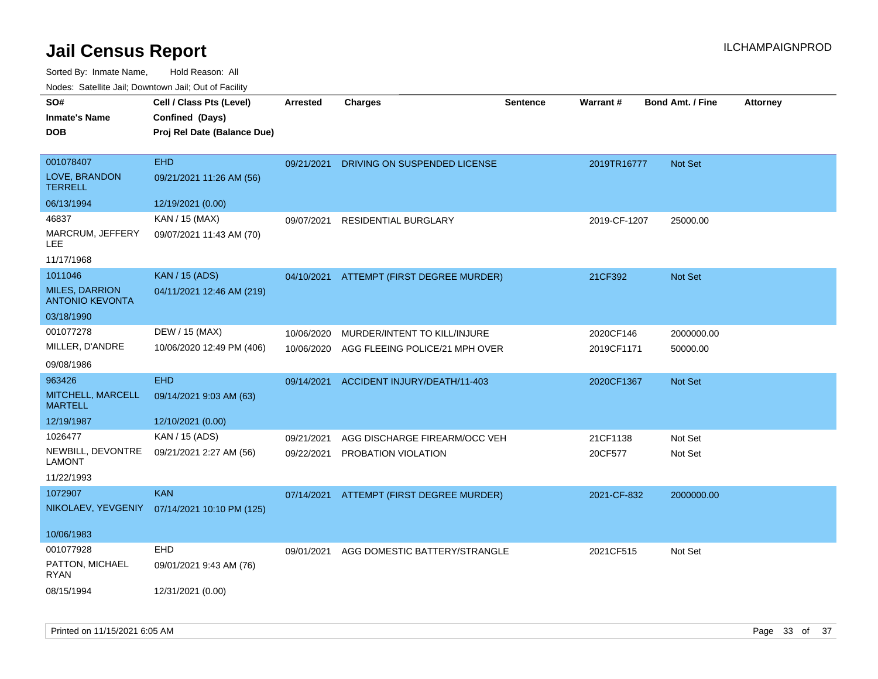Sorted By: Inmate Name, Hold Reason: All

| Nodes: Satellite Jail; Downtown Jail; Out of Facility |  |
|-------------------------------------------------------|--|
|                                                       |  |

| SO#                                             | Cell / Class Pts (Level)                     | <b>Arrested</b> | <b>Charges</b>                           | <b>Sentence</b> | <b>Warrant#</b> | <b>Bond Amt. / Fine</b> | <b>Attorney</b> |
|-------------------------------------------------|----------------------------------------------|-----------------|------------------------------------------|-----------------|-----------------|-------------------------|-----------------|
| <b>Inmate's Name</b>                            | Confined (Days)                              |                 |                                          |                 |                 |                         |                 |
| <b>DOB</b>                                      | Proj Rel Date (Balance Due)                  |                 |                                          |                 |                 |                         |                 |
|                                                 |                                              |                 |                                          |                 |                 |                         |                 |
| 001078407                                       | <b>EHD</b>                                   | 09/21/2021      | DRIVING ON SUSPENDED LICENSE             |                 | 2019TR16777     | Not Set                 |                 |
| LOVE, BRANDON<br><b>TERRELL</b>                 | 09/21/2021 11:26 AM (56)                     |                 |                                          |                 |                 |                         |                 |
| 06/13/1994                                      | 12/19/2021 (0.00)                            |                 |                                          |                 |                 |                         |                 |
| 46837                                           | KAN / 15 (MAX)                               | 09/07/2021      | <b>RESIDENTIAL BURGLARY</b>              |                 | 2019-CF-1207    | 25000.00                |                 |
| MARCRUM, JEFFERY<br>LEE                         | 09/07/2021 11:43 AM (70)                     |                 |                                          |                 |                 |                         |                 |
| 11/17/1968                                      |                                              |                 |                                          |                 |                 |                         |                 |
| 1011046                                         | <b>KAN / 15 (ADS)</b>                        |                 | 04/10/2021 ATTEMPT (FIRST DEGREE MURDER) |                 | 21CF392         | Not Set                 |                 |
| <b>MILES, DARRION</b><br><b>ANTONIO KEVONTA</b> | 04/11/2021 12:46 AM (219)                    |                 |                                          |                 |                 |                         |                 |
| 03/18/1990                                      |                                              |                 |                                          |                 |                 |                         |                 |
| 001077278                                       | DEW / 15 (MAX)                               | 10/06/2020      | MURDER/INTENT TO KILL/INJURE             |                 | 2020CF146       | 2000000.00              |                 |
| MILLER, D'ANDRE                                 | 10/06/2020 12:49 PM (406)                    | 10/06/2020      | AGG FLEEING POLICE/21 MPH OVER           |                 | 2019CF1171      | 50000.00                |                 |
| 09/08/1986                                      |                                              |                 |                                          |                 |                 |                         |                 |
| 963426                                          | <b>EHD</b>                                   | 09/14/2021      | ACCIDENT INJURY/DEATH/11-403             |                 | 2020CF1367      | Not Set                 |                 |
| MITCHELL, MARCELL<br><b>MARTELL</b>             | 09/14/2021 9:03 AM (63)                      |                 |                                          |                 |                 |                         |                 |
| 12/19/1987                                      | 12/10/2021 (0.00)                            |                 |                                          |                 |                 |                         |                 |
| 1026477                                         | KAN / 15 (ADS)                               | 09/21/2021      | AGG DISCHARGE FIREARM/OCC VEH            |                 | 21CF1138        | Not Set                 |                 |
| NEWBILL, DEVONTRE<br><b>LAMONT</b>              | 09/21/2021 2:27 AM (56)                      | 09/22/2021      | PROBATION VIOLATION                      |                 | 20CF577         | Not Set                 |                 |
| 11/22/1993                                      |                                              |                 |                                          |                 |                 |                         |                 |
| 1072907                                         | <b>KAN</b>                                   |                 | 07/14/2021 ATTEMPT (FIRST DEGREE MURDER) |                 | 2021-CF-832     | 2000000.00              |                 |
|                                                 | NIKOLAEV, YEVGENIY 07/14/2021 10:10 PM (125) |                 |                                          |                 |                 |                         |                 |
| 10/06/1983                                      |                                              |                 |                                          |                 |                 |                         |                 |
| 001077928                                       | EHD                                          | 09/01/2021      | AGG DOMESTIC BATTERY/STRANGLE            |                 | 2021CF515       | Not Set                 |                 |
| PATTON, MICHAEL<br>RYAN                         | 09/01/2021 9:43 AM (76)                      |                 |                                          |                 |                 |                         |                 |
| 08/15/1994                                      | 12/31/2021 (0.00)                            |                 |                                          |                 |                 |                         |                 |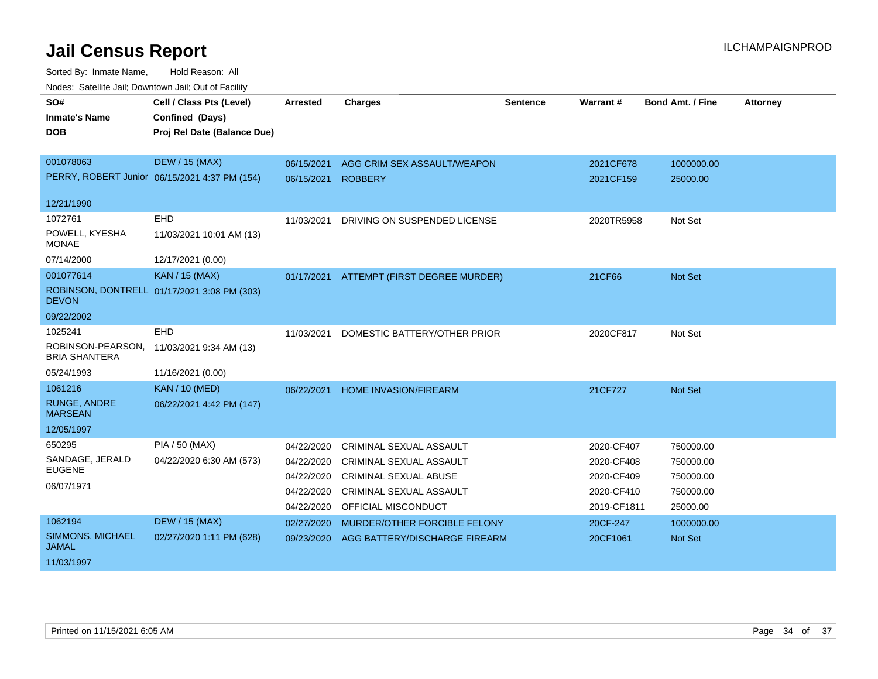| SO#                                       | Cell / Class Pts (Level)                      | <b>Arrested</b> | <b>Charges</b>                 | <b>Sentence</b> | Warrant#    | <b>Bond Amt. / Fine</b> | <b>Attorney</b> |
|-------------------------------------------|-----------------------------------------------|-----------------|--------------------------------|-----------------|-------------|-------------------------|-----------------|
| <b>Inmate's Name</b>                      | Confined (Days)                               |                 |                                |                 |             |                         |                 |
| <b>DOB</b>                                | Proj Rel Date (Balance Due)                   |                 |                                |                 |             |                         |                 |
|                                           |                                               |                 |                                |                 |             |                         |                 |
| 001078063                                 | <b>DEW / 15 (MAX)</b>                         | 06/15/2021      | AGG CRIM SEX ASSAULT/WEAPON    |                 | 2021CF678   | 1000000.00              |                 |
|                                           | PERRY, ROBERT Junior 06/15/2021 4:37 PM (154) | 06/15/2021      | <b>ROBBERY</b>                 |                 | 2021CF159   | 25000.00                |                 |
| 12/21/1990                                |                                               |                 |                                |                 |             |                         |                 |
| 1072761                                   | EHD                                           | 11/03/2021      | DRIVING ON SUSPENDED LICENSE   |                 | 2020TR5958  | Not Set                 |                 |
| POWELL, KYESHA<br><b>MONAE</b>            | 11/03/2021 10:01 AM (13)                      |                 |                                |                 |             |                         |                 |
| 07/14/2000                                | 12/17/2021 (0.00)                             |                 |                                |                 |             |                         |                 |
| 001077614                                 | <b>KAN / 15 (MAX)</b>                         | 01/17/2021      | ATTEMPT (FIRST DEGREE MURDER)  |                 | 21CF66      | <b>Not Set</b>          |                 |
| <b>DEVON</b>                              | ROBINSON, DONTRELL 01/17/2021 3:08 PM (303)   |                 |                                |                 |             |                         |                 |
| 09/22/2002                                |                                               |                 |                                |                 |             |                         |                 |
| 1025241                                   | <b>EHD</b>                                    | 11/03/2021      | DOMESTIC BATTERY/OTHER PRIOR   |                 | 2020CF817   | Not Set                 |                 |
| ROBINSON-PEARSON,<br><b>BRIA SHANTERA</b> | 11/03/2021 9:34 AM (13)                       |                 |                                |                 |             |                         |                 |
| 05/24/1993                                | 11/16/2021 (0.00)                             |                 |                                |                 |             |                         |                 |
| 1061216                                   | <b>KAN / 10 (MED)</b>                         | 06/22/2021      | <b>HOME INVASION/FIREARM</b>   |                 | 21CF727     | <b>Not Set</b>          |                 |
| <b>RUNGE, ANDRE</b><br><b>MARSEAN</b>     | 06/22/2021 4:42 PM (147)                      |                 |                                |                 |             |                         |                 |
| 12/05/1997                                |                                               |                 |                                |                 |             |                         |                 |
| 650295                                    | <b>PIA / 50 (MAX)</b>                         | 04/22/2020      | CRIMINAL SEXUAL ASSAULT        |                 | 2020-CF407  | 750000.00               |                 |
| SANDAGE, JERALD                           | 04/22/2020 6:30 AM (573)                      | 04/22/2020      | <b>CRIMINAL SEXUAL ASSAULT</b> |                 | 2020-CF408  | 750000.00               |                 |
| <b>EUGENE</b>                             |                                               | 04/22/2020      | <b>CRIMINAL SEXUAL ABUSE</b>   |                 | 2020-CF409  | 750000.00               |                 |
| 06/07/1971                                |                                               | 04/22/2020      | <b>CRIMINAL SEXUAL ASSAULT</b> |                 | 2020-CF410  | 750000.00               |                 |
|                                           |                                               | 04/22/2020      | <b>OFFICIAL MISCONDUCT</b>     |                 | 2019-CF1811 | 25000.00                |                 |
| 1062194                                   | <b>DEW / 15 (MAX)</b>                         | 02/27/2020      | MURDER/OTHER FORCIBLE FELONY   |                 | 20CF-247    | 1000000.00              |                 |
| SIMMONS, MICHAEL<br><b>JAMAL</b>          | 02/27/2020 1:11 PM (628)                      | 09/23/2020      | AGG BATTERY/DISCHARGE FIREARM  |                 | 20CF1061    | <b>Not Set</b>          |                 |
| 11/03/1997                                |                                               |                 |                                |                 |             |                         |                 |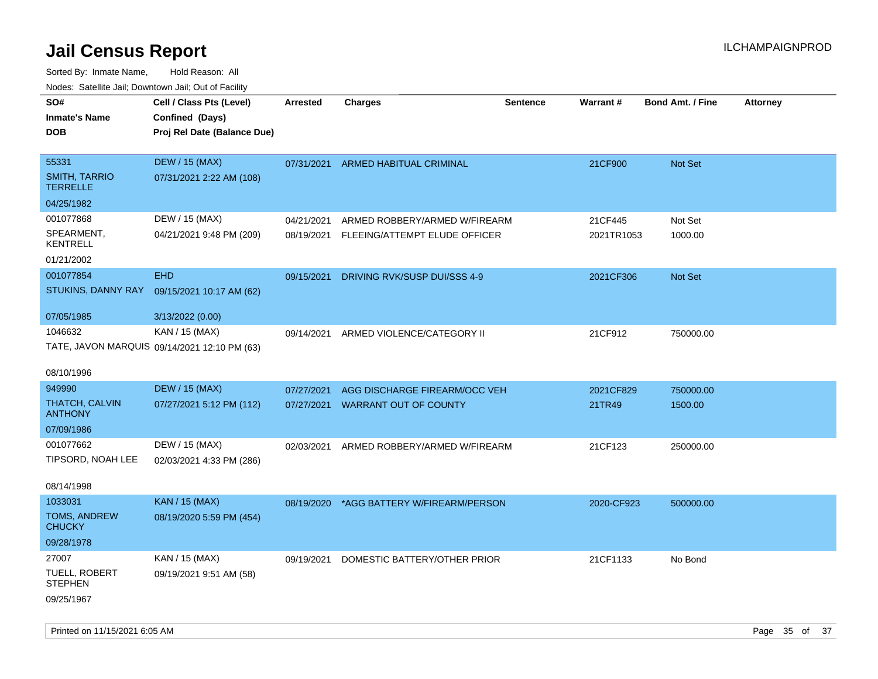| rouco. Calcillo Jali, Downtown Jali, Out of Facility |                                              |                 |                                    |                 |            |                         |                 |
|------------------------------------------------------|----------------------------------------------|-----------------|------------------------------------|-----------------|------------|-------------------------|-----------------|
| SO#                                                  | Cell / Class Pts (Level)                     | <b>Arrested</b> | <b>Charges</b>                     | <b>Sentence</b> | Warrant#   | <b>Bond Amt. / Fine</b> | <b>Attorney</b> |
| <b>Inmate's Name</b>                                 | Confined (Days)                              |                 |                                    |                 |            |                         |                 |
| DOB                                                  | Proj Rel Date (Balance Due)                  |                 |                                    |                 |            |                         |                 |
|                                                      |                                              |                 |                                    |                 |            |                         |                 |
| 55331                                                | <b>DEW / 15 (MAX)</b>                        |                 | 07/31/2021 ARMED HABITUAL CRIMINAL |                 | 21CF900    | Not Set                 |                 |
| <b>SMITH, TARRIO</b><br>TERRELLE                     | 07/31/2021 2:22 AM (108)                     |                 |                                    |                 |            |                         |                 |
| 04/25/1982                                           |                                              |                 |                                    |                 |            |                         |                 |
| 001077868                                            | DEW / 15 (MAX)                               | 04/21/2021      | ARMED ROBBERY/ARMED W/FIREARM      |                 | 21CF445    | Not Set                 |                 |
| SPEARMENT,<br>KENTRELL                               | 04/21/2021 9:48 PM (209)                     | 08/19/2021      | FLEEING/ATTEMPT ELUDE OFFICER      |                 | 2021TR1053 | 1000.00                 |                 |
| 01/21/2002                                           |                                              |                 |                                    |                 |            |                         |                 |
| 001077854                                            | <b>EHD</b>                                   | 09/15/2021      | DRIVING RVK/SUSP DUI/SSS 4-9       |                 | 2021CF306  | <b>Not Set</b>          |                 |
|                                                      | STUKINS, DANNY RAY 09/15/2021 10:17 AM (62)  |                 |                                    |                 |            |                         |                 |
|                                                      |                                              |                 |                                    |                 |            |                         |                 |
| 07/05/1985                                           | 3/13/2022 (0.00)                             |                 |                                    |                 |            |                         |                 |
| 1046632                                              | KAN / 15 (MAX)                               | 09/14/2021      | ARMED VIOLENCE/CATEGORY II         |                 | 21CF912    | 750000.00               |                 |
|                                                      | TATE, JAVON MARQUIS 09/14/2021 12:10 PM (63) |                 |                                    |                 |            |                         |                 |
| 08/10/1996                                           |                                              |                 |                                    |                 |            |                         |                 |
| 949990                                               | <b>DEW / 15 (MAX)</b>                        | 07/27/2021      | AGG DISCHARGE FIREARM/OCC VEH      |                 | 2021CF829  | 750000.00               |                 |
| THATCH, CALVIN<br><b>ANTHONY</b>                     | 07/27/2021 5:12 PM (112)                     | 07/27/2021      | <b>WARRANT OUT OF COUNTY</b>       |                 | 21TR49     | 1500.00                 |                 |
| 07/09/1986                                           |                                              |                 |                                    |                 |            |                         |                 |
| 001077662                                            | DEW / 15 (MAX)                               | 02/03/2021      | ARMED ROBBERY/ARMED W/FIREARM      |                 | 21CF123    | 250000.00               |                 |
| TIPSORD, NOAH LEE                                    | 02/03/2021 4:33 PM (286)                     |                 |                                    |                 |            |                         |                 |
|                                                      |                                              |                 |                                    |                 |            |                         |                 |
| 08/14/1998                                           |                                              |                 |                                    |                 |            |                         |                 |
| 1033031                                              | <b>KAN / 15 (MAX)</b>                        | 08/19/2020      | *AGG BATTERY W/FIREARM/PERSON      |                 | 2020-CF923 | 500000.00               |                 |
| <b>TOMS, ANDREW</b><br>CHUCKY                        | 08/19/2020 5:59 PM (454)                     |                 |                                    |                 |            |                         |                 |
| 09/28/1978                                           |                                              |                 |                                    |                 |            |                         |                 |
| 27007                                                | KAN / 15 (MAX)                               | 09/19/2021      | DOMESTIC BATTERY/OTHER PRIOR       |                 | 21CF1133   | No Bond                 |                 |
| TUELL, ROBERT<br>STEPHEN                             | 09/19/2021 9:51 AM (58)                      |                 |                                    |                 |            |                         |                 |
| 09/25/1967                                           |                                              |                 |                                    |                 |            |                         |                 |
|                                                      |                                              |                 |                                    |                 |            |                         |                 |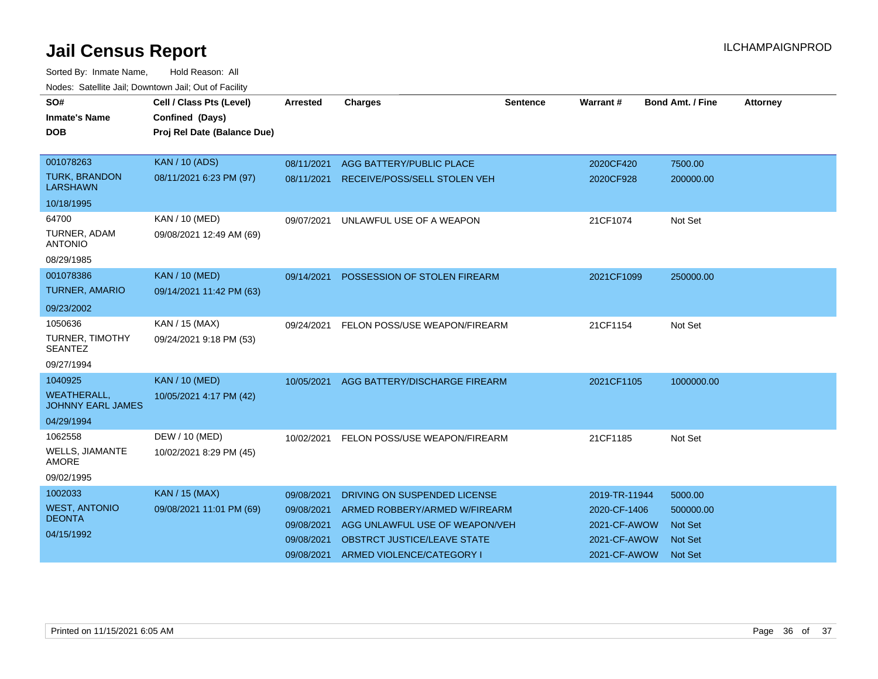| SO#<br><b>Inmate's Name</b><br><b>DOB</b>      | Cell / Class Pts (Level)<br>Confined (Days)<br>Proj Rel Date (Balance Due) | <b>Arrested</b> | <b>Charges</b>                 | <b>Sentence</b> | <b>Warrant#</b> | <b>Bond Amt. / Fine</b> | <b>Attorney</b> |
|------------------------------------------------|----------------------------------------------------------------------------|-----------------|--------------------------------|-----------------|-----------------|-------------------------|-----------------|
|                                                |                                                                            |                 |                                |                 |                 |                         |                 |
| 001078263                                      | <b>KAN / 10 (ADS)</b>                                                      | 08/11/2021      | AGG BATTERY/PUBLIC PLACE       |                 | 2020CF420       | 7500.00                 |                 |
| <b>TURK, BRANDON</b><br><b>LARSHAWN</b>        | 08/11/2021 6:23 PM (97)                                                    | 08/11/2021      | RECEIVE/POSS/SELL STOLEN VEH   |                 | 2020CF928       | 200000.00               |                 |
| 10/18/1995                                     |                                                                            |                 |                                |                 |                 |                         |                 |
| 64700                                          | <b>KAN / 10 (MED)</b>                                                      | 09/07/2021      | UNLAWFUL USE OF A WEAPON       |                 | 21CF1074        | Not Set                 |                 |
| TURNER, ADAM<br><b>ANTONIO</b>                 | 09/08/2021 12:49 AM (69)                                                   |                 |                                |                 |                 |                         |                 |
| 08/29/1985                                     |                                                                            |                 |                                |                 |                 |                         |                 |
| 001078386                                      | <b>KAN / 10 (MED)</b>                                                      | 09/14/2021      | POSSESSION OF STOLEN FIREARM   |                 | 2021CF1099      | 250000.00               |                 |
| <b>TURNER, AMARIO</b>                          | 09/14/2021 11:42 PM (63)                                                   |                 |                                |                 |                 |                         |                 |
| 09/23/2002                                     |                                                                            |                 |                                |                 |                 |                         |                 |
| 1050636                                        | KAN / 15 (MAX)                                                             | 09/24/2021      | FELON POSS/USE WEAPON/FIREARM  |                 | 21CF1154        | Not Set                 |                 |
| <b>TURNER, TIMOTHY</b><br><b>SEANTEZ</b>       | 09/24/2021 9:18 PM (53)                                                    |                 |                                |                 |                 |                         |                 |
| 09/27/1994                                     |                                                                            |                 |                                |                 |                 |                         |                 |
| 1040925                                        | <b>KAN / 10 (MED)</b>                                                      | 10/05/2021      | AGG BATTERY/DISCHARGE FIREARM  |                 | 2021CF1105      | 1000000.00              |                 |
| <b>WEATHERALL,</b><br><b>JOHNNY EARL JAMES</b> | 10/05/2021 4:17 PM (42)                                                    |                 |                                |                 |                 |                         |                 |
| 04/29/1994                                     |                                                                            |                 |                                |                 |                 |                         |                 |
| 1062558                                        | DEW / 10 (MED)                                                             | 10/02/2021      | FELON POSS/USE WEAPON/FIREARM  |                 | 21CF1185        | Not Set                 |                 |
| <b>WELLS, JIAMANTE</b><br><b>AMORE</b>         | 10/02/2021 8:29 PM (45)                                                    |                 |                                |                 |                 |                         |                 |
| 09/02/1995                                     |                                                                            |                 |                                |                 |                 |                         |                 |
| 1002033                                        | <b>KAN / 15 (MAX)</b>                                                      | 09/08/2021      | DRIVING ON SUSPENDED LICENSE   |                 | 2019-TR-11944   | 5000.00                 |                 |
| <b>WEST, ANTONIO</b>                           | 09/08/2021 11:01 PM (69)                                                   | 09/08/2021      | ARMED ROBBERY/ARMED W/FIREARM  |                 | 2020-CF-1406    | 500000.00               |                 |
| <b>DEONTA</b>                                  |                                                                            | 09/08/2021      | AGG UNLAWFUL USE OF WEAPON/VEH |                 | 2021-CF-AWOW    | <b>Not Set</b>          |                 |
| 04/15/1992                                     |                                                                            | 09/08/2021      | OBSTRCT JUSTICE/LEAVE STATE    |                 | 2021-CF-AWOW    | <b>Not Set</b>          |                 |
|                                                |                                                                            | 09/08/2021      | ARMED VIOLENCE/CATEGORY I      |                 | 2021-CF-AWOW    | <b>Not Set</b>          |                 |